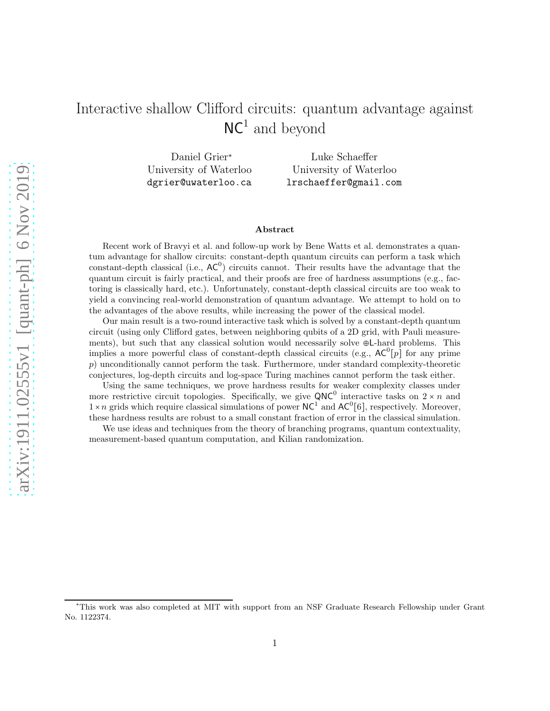# Interactive shallow Clifford circuits: quantum advantage against  $NC<sup>1</sup>$  and beyond

Daniel Grier<sup>∗</sup> University of Waterloo dgrier@uwaterloo.ca

Luke Schaeffer University of Waterloo lrschaeffer@gmail.com

#### Abstract

Recent work of Bravyi et al. and follow-up work by Bene Watts et al. demonstrates a quantum advantage for shallow circuits: constant-depth quantum circuits can perform a task which constant-depth classical (i.e.,  $AC^0$ ) circuits cannot. Their results have the advantage that the quantum circuit is fairly practical, and their proofs are free of hardness assumptions (e.g., factoring is classically hard, etc.). Unfortunately, constant-depth classical circuits are too weak to yield a convincing real-world demonstration of quantum advantage. We attempt to hold on to the advantages of the above results, while increasing the power of the classical model.

Our main result is a two-round interactive task which is solved by a constant-depth quantum circuit (using only Clifford gates, between neighboring qubits of a 2D grid, with Pauli measurements), but such that any classical solution would necessarily solve ⊕L-hard problems. This implies a more powerful class of constant-depth classical circuits (e.g.,  $AC^0[p]$  for any prime p) unconditionally cannot perform the task. Furthermore, under standard complexity-theoretic conjectures, log-depth circuits and log-space Turing machines cannot perform the task either.

Using the same techniques, we prove hardness results for weaker complexity classes under more restrictive circuit topologies. Specifically, we give QNC<sup>0</sup> interactive tasks on  $2 \times n$  and  $1 \times n$  grids which require classical simulations of power NC<sup>1</sup> and AC<sup>0</sup>[6], respectively. Moreover, these hardness results are robust to a small constant fraction of error in the classical simulation.

We use ideas and techniques from the theory of branching programs, quantum contextuality, measurement-based quantum computation, and Kilian randomization.

<sup>∗</sup>This work was also completed at MIT with support from an NSF Graduate Research Fellowship under Grant No. 1122374.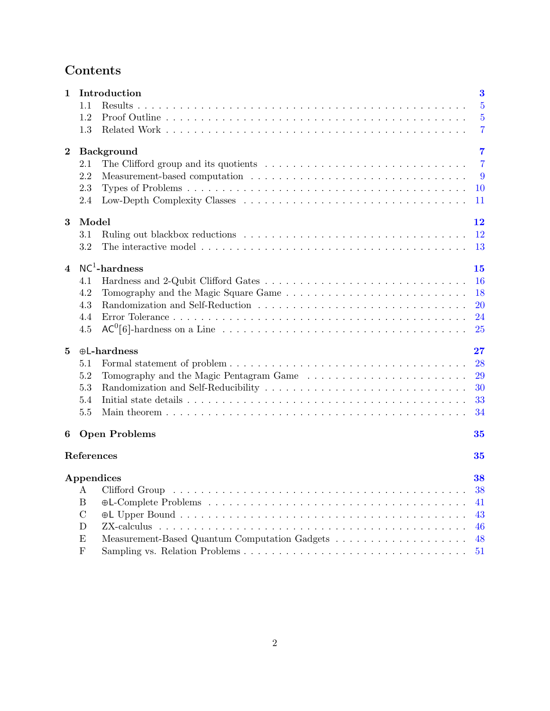# Contents

| $\mathbf 1$    |                  | Introduction                        | $\bf{3}$       |
|----------------|------------------|-------------------------------------|----------------|
|                | 1.1              | Results                             | $\overline{5}$ |
|                | 1.2              |                                     | $\overline{5}$ |
|                | 1.3              |                                     | $\overline{7}$ |
| $\bf{2}$       |                  | <b>Background</b>                   | 7              |
|                | $2.1\,$          |                                     | $\overline{7}$ |
|                | 2.2              |                                     | 9              |
|                | 2.3              |                                     | 10             |
|                | 2.4              |                                     | 11             |
| $\bf{3}$       | Model            |                                     | 12             |
|                | 3.1              |                                     | <b>12</b>      |
|                | 3.2              |                                     | 13             |
| $\overline{4}$ |                  | $NC1$ -hardness                     | 15             |
|                | 4.1              |                                     | 16             |
|                | 4.2              |                                     | 18             |
|                | 4.3              |                                     | 20             |
|                | 4.4              |                                     | 24             |
|                | 4.5              |                                     | 25             |
| 5              |                  | $\oplus$ L-hardness                 | $\bf 27$       |
|                | 5.1              |                                     | 28             |
|                | 5.2              |                                     | 29             |
|                | 5.3              | Randomization and Self-Reducibility | 30             |
|                | 5.4              |                                     | 33             |
|                | 5.5              |                                     | 34             |
| 6              |                  | <b>Open Problems</b>                | 35             |
|                | References       |                                     | 35             |
|                |                  | Appendices                          | $\bf{38}$      |
|                | А                | Clifford Group                      | 38             |
|                | $\boldsymbol{B}$ |                                     | 41             |
|                | $\mathcal{C}$    |                                     | 43             |
|                | D                | ZX-calculus                         | 46             |
|                | E                |                                     | 48             |
|                | $\mathbf{F}$     |                                     | 51             |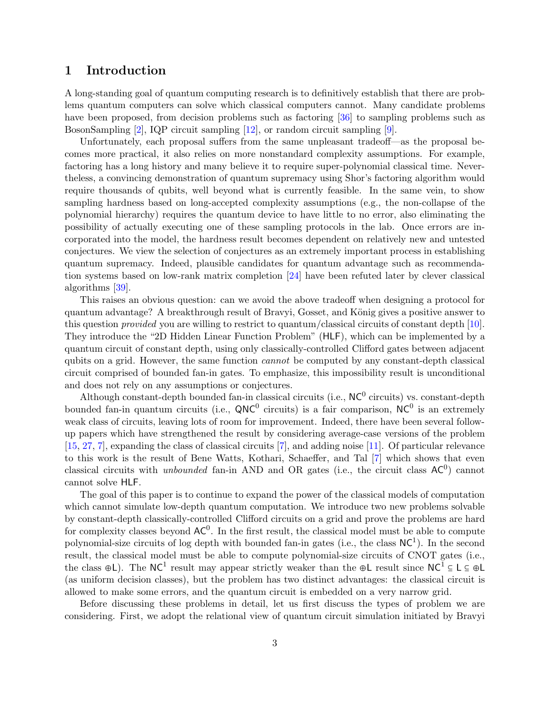# <span id="page-2-0"></span>1 Introduction

A long-standing goal of quantum computing research is to definitively establish that there are problems quantum computers can solve which classical computers cannot. Many candidate problems have been proposed, from decision problems such as factoring [\[36\]](#page-37-2) to sampling problems such as BosonSampling [\[2\]](#page-34-2), IQP circuit sampling [\[12\]](#page-35-0), or random circuit sampling [\[9\]](#page-35-1).

Unfortunately, each proposal suffers from the same unpleasant tradeoff—as the proposal becomes more practical, it also relies on more nonstandard complexity assumptions. For example, factoring has a long history and many believe it to require super-polynomial classical time. Nevertheless, a convincing demonstration of quantum supremacy using Shor's factoring algorithm would require thousands of qubits, well beyond what is currently feasible. In the same vein, to show sampling hardness based on long-accepted complexity assumptions (e.g., the non-collapse of the polynomial hierarchy) requires the quantum device to have little to no error, also eliminating the possibility of actually executing one of these sampling protocols in the lab. Once errors are incorporated into the model, the hardness result becomes dependent on relatively new and untested conjectures. We view the selection of conjectures as an extremely important process in establishing quantum supremacy. Indeed, plausible candidates for quantum advantage such as recommendation systems based on low-rank matrix completion [\[24\]](#page-36-0) have been refuted later by clever classical algorithms [\[39\]](#page-37-3).

This raises an obvious question: can we avoid the above tradeoff when designing a protocol for quantum advantage? A breakthrough result of Bravyi, Gosset, and König gives a positive answer to this question provided you are willing to restrict to quantum/classical circuits of constant depth [\[10\]](#page-35-2). They introduce the "2D Hidden Linear Function Problem" (HLF), which can be implemented by a quantum circuit of constant depth, using only classically-controlled Clifford gates between adjacent qubits on a grid. However, the same function cannot be computed by any constant-depth classical circuit comprised of bounded fan-in gates. To emphasize, this impossibility result is unconditional and does not rely on any assumptions or conjectures.

Although constant-depth bounded fan-in classical circuits (i.e.,  $NC^0$  circuits) vs. constant-depth bounded fan-in quantum circuits (i.e.,  $QNC^0$  circuits) is a fair comparison,  $NC^0$  is an extremely weak class of circuits, leaving lots of room for improvement. Indeed, there have been several followup papers which have strengthened the result by considering average-case versions of the problem [\[15,](#page-35-3) [27,](#page-36-1) [7\]](#page-35-4), expanding the class of classical circuits [\[7\]](#page-35-4), and adding noise [\[11\]](#page-35-5). Of particular relevance to this work is the result of Bene Watts, Kothari, Schaeffer, and Tal [\[7\]](#page-35-4) which shows that even classical circuits with *unbounded* fan-in AND and OR gates (i.e., the circuit class  $AC^0$ ) cannot cannot solve HLF.

The goal of this paper is to continue to expand the power of the classical models of computation which cannot simulate low-depth quantum computation. We introduce two new problems solvable by constant-depth classically-controlled Clifford circuits on a grid and prove the problems are hard for complexity classes beyond  $AC^0$ . In the first result, the classical model must be able to compute polynomial-size circuits of log depth with bounded fan-in gates (i.e., the class  $NC<sup>1</sup>$ ). In the second result, the classical model must be able to compute polynomial-size circuits of CNOT gates (i.e., the class  $\oplus L$ ). The NC<sup>1</sup> result may appear strictly weaker than the  $\oplus L$  result since NC<sup>1</sup>  $\subseteq L \subseteq \oplus L$ (as uniform decision classes), but the problem has two distinct advantages: the classical circuit is allowed to make some errors, and the quantum circuit is embedded on a very narrow grid.

Before discussing these problems in detail, let us first discuss the types of problem we are considering. First, we adopt the relational view of quantum circuit simulation initiated by Bravyi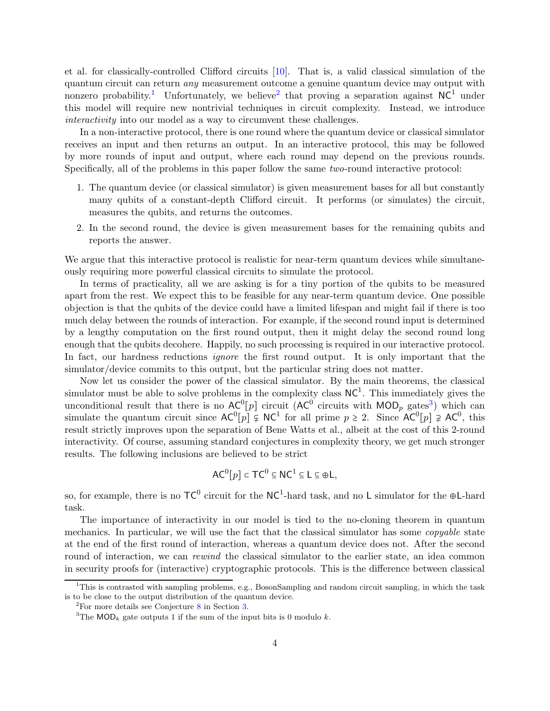et al. for classically-controlled Clifford circuits [\[10\]](#page-35-2). That is, a valid classical simulation of the quantum circuit can return any measurement outcome a genuine quantum device may output with nonzero probability.<sup>[1](#page-3-0)</sup> Unfortunately, we believe<sup>[2](#page-3-1)</sup> that proving a separation against  $NC<sup>1</sup>$  under this model will require new nontrivial techniques in circuit complexity. Instead, we introduce interactivity into our model as a way to circumvent these challenges.

In a non-interactive protocol, there is one round where the quantum device or classical simulator receives an input and then returns an output. In an interactive protocol, this may be followed by more rounds of input and output, where each round may depend on the previous rounds. Specifically, all of the problems in this paper follow the same two-round interactive protocol:

- 1. The quantum device (or classical simulator) is given measurement bases for all but constantly many qubits of a constant-depth Clifford circuit. It performs (or simulates) the circuit, measures the qubits, and returns the outcomes.
- 2. In the second round, the device is given measurement bases for the remaining qubits and reports the answer.

We argue that this interactive protocol is realistic for near-term quantum devices while simultaneously requiring more powerful classical circuits to simulate the protocol.

In terms of practicality, all we are asking is for a tiny portion of the qubits to be measured apart from the rest. We expect this to be feasible for any near-term quantum device. One possible objection is that the qubits of the device could have a limited lifespan and might fail if there is too much delay between the rounds of interaction. For example, if the second round input is determined by a lengthy computation on the first round output, then it might delay the second round long enough that the qubits decohere. Happily, no such processing is required in our interactive protocol. In fact, our hardness reductions *ignore* the first round output. It is only important that the simulator/device commits to this output, but the particular string does not matter.

Now let us consider the power of the classical simulator. By the main theorems, the classical simulator must be able to solve problems in the complexity class  $NC<sup>1</sup>$ . This immediately gives the unconditional result that there is no  $AC^0[p]$  circuit  $(AC^0$  circuits with  $MOD_p$  gates<sup>[3](#page-3-2)</sup>) which can simulate the quantum circuit since  $AC^0[p] \subsetneq NC^1$  for all prime  $p \ge 2$ . Since  $AC^0[p] \supsetneq AC^0$ , this result strictly improves upon the separation of Bene Watts et al., albeit at the cost of this 2-round interactivity. Of course, assuming standard conjectures in complexity theory, we get much stronger results. The following inclusions are believed to be strict

$$
AC^0[p] \subset TC^0 \subseteq NC^1 \subseteq L \subseteq \oplus L,
$$

so, for example, there is no  $TC^0$  circuit for the  $NC^1$ -hard task, and no L simulator for the  $\oplus L$ -hard task.

The importance of interactivity in our model is tied to the no-cloning theorem in quantum mechanics. In particular, we will use the fact that the classical simulator has some *copyable* state at the end of the first round of interaction, whereas a quantum device does not. After the second round of interaction, we can *rewind* the classical simulator to the earlier state, an idea common in security proofs for (interactive) cryptographic protocols. This is the difference between classical

 $1$ This is contrasted with sampling problems, e.g., BosonSampling and random circuit sampling, in which the task is to be close to the output distribution of the quantum device.

<span id="page-3-0"></span> $2^2$ For more details see Conjecture [8](#page-11-2) in Section [3.](#page-11-0)

<span id="page-3-2"></span><span id="page-3-1"></span><sup>&</sup>lt;sup>3</sup>The MOD<sub>k</sub> gate outputs 1 if the sum of the input bits is 0 modulo k.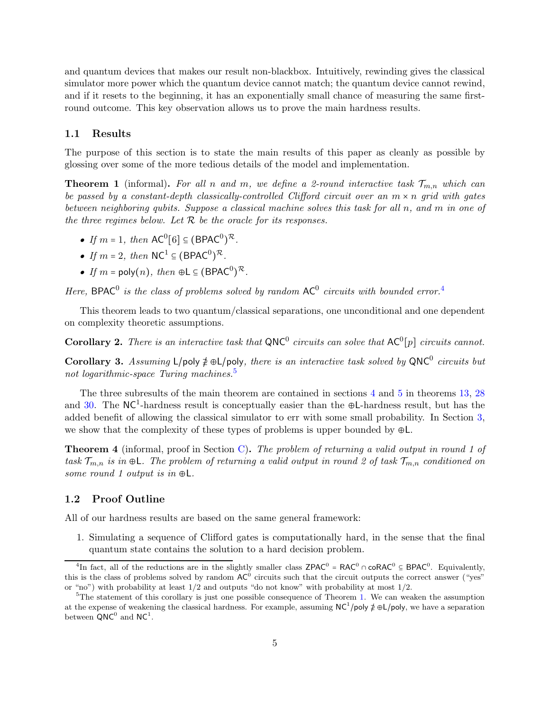and quantum devices that makes our result non-blackbox. Intuitively, rewinding gives the classical simulator more power which the quantum device cannot match; the quantum device cannot rewind, and if it resets to the beginning, it has an exponentially small chance of measuring the same firstround outcome. This key observation allows us to prove the main hardness results.

#### <span id="page-4-0"></span>1.1 Results

<span id="page-4-4"></span>The purpose of this section is to state the main results of this paper as cleanly as possible by glossing over some of the more tedious details of the model and implementation.

**Theorem 1** (informal). For all n and m, we define a 2-round interactive task  $\mathcal{T}_{m,n}$  which can be passed by a constant-depth classically-controlled Clifford circuit over an  $m \times n$  grid with gates between neighboring qubits. Suppose a classical machine solves this task for all n, and m in one of the three regimes below. Let  $R$  be the oracle for its responses.

- If  $m = 1$ , then  $AC^0[6] \subseteq (BPAC^0)^{\mathcal{R}}$ .
- If  $m = 2$ , then  $NC^1 \subseteq (BPAC^0)^{\mathcal{R}}$ .
- If  $m = \text{poly}(n)$ , then  $\oplus L \subseteq (\text{BPAC}^0)^{\mathcal{R}}$ .

Here, BPAC<sup>0</sup> is the class of problems solved by random  $AC^0$  circuits with bounded error.<sup>[4](#page-4-2)</sup>

This theorem leads to two quantum/classical separations, one unconditional and one dependent on complexity theoretic assumptions.

**Corollary 2.** There is an interactive task that  $QNC^0$  circuits can solve that  $AC^0[p]$  circuits cannot.

Corollary 3. Assuming L/poly  $\neq \bigoplus$   $|p_{\text{oly}}|$ , there is an interactive task solved by QNC<sup>0</sup> circuits but not logarithmic-space Turing machines.<sup>[5](#page-4-3)</sup>

The three subresults of the main theorem are contained in sections [4](#page-14-0) and [5](#page-26-0) in theorems [13,](#page-14-1) [28](#page-24-1) and [30.](#page-26-1) The  $NC<sup>1</sup>$ -hardness result is conceptually easier than the ⊕L-hardness result, but has the added benefit of allowing the classical simulator to err with some small probability. In Section [3,](#page-11-0) we show that the complexity of these types of problems is upper bounded by  $\oplus L$ .

**Theorem 4** (informal, proof in Section [C\)](#page-42-0). The problem of returning a valid output in round 1 of task  $\mathcal{T}_{m,n}$  is in  $\oplus L$ . The problem of returning a valid output in round 2 of task  $\mathcal{T}_{m,n}$  conditioned on some round 1 output is in  $\oplus L$ .

#### <span id="page-4-1"></span>1.2 Proof Outline

All of our hardness results are based on the same general framework:

1. Simulating a sequence of Clifford gates is computationally hard, in the sense that the final quantum state contains the solution to a hard decision problem.

<span id="page-4-2"></span><sup>&</sup>lt;sup>4</sup>In fact, all of the reductions are in the slightly smaller class  $\text{ZPAC}^0 = \text{RAC}^0 \cap \text{coRAC}^0 \subseteq \text{BPAC}^0$ . Equivalently, this is the class of problems solved by random  $AC^0$  circuits such that the circuit outputs the correct answer ("yes") or "no") with probability at least 1/2 and outputs "do not know" with probability at most 1/2.

<span id="page-4-3"></span> $5$ The statement of this corollary is just one possible consequence of Theorem [1.](#page-4-4) We can weaken the assumption at the expense of weakening the classical hardness. For example, assuming  $NC^1/p$ oly  $\not\equiv \bigoplus_{\alpha=1}^{\infty}$   $\Box$ between  $QNC^0$  and  $NC^1$ .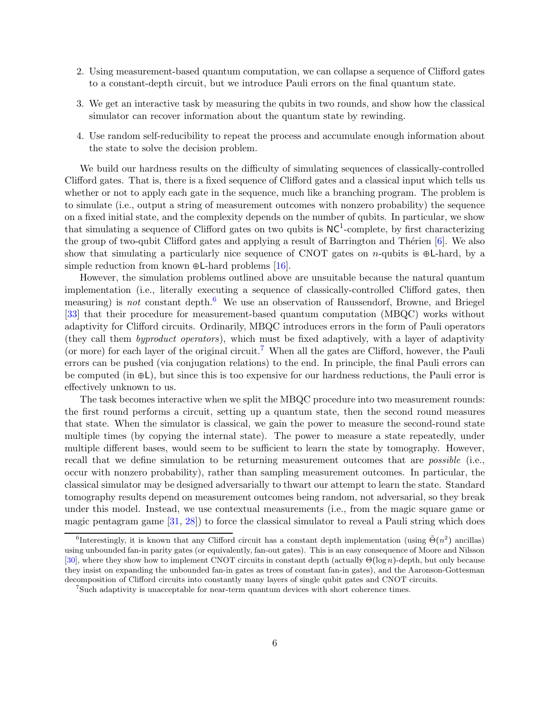- 2. Using measurement-based quantum computation, we can collapse a sequence of Clifford gates to a constant-depth circuit, but we introduce Pauli errors on the final quantum state.
- 3. We get an interactive task by measuring the qubits in two rounds, and show how the classical simulator can recover information about the quantum state by rewinding.
- 4. Use random self-reducibility to repeat the process and accumulate enough information about the state to solve the decision problem.

We build our hardness results on the difficulty of simulating sequences of classically-controlled Clifford gates. That is, there is a fixed sequence of Clifford gates and a classical input which tells us whether or not to apply each gate in the sequence, much like a branching program. The problem is to simulate (i.e., output a string of measurement outcomes with nonzero probability) the sequence on a fixed initial state, and the complexity depends on the number of qubits. In particular, we show that simulating a sequence of Clifford gates on two qubits is  $NC<sup>1</sup>$ -complete, by first characterizing the group of two-qubit Clifford gates and applying a result of Barrington and Thérien  $[6]$ . We also show that simulating a particularly nice sequence of CNOT gates on n-qubits is  $\oplus L$ -hard, by a simple reduction from known ⊕L-hard problems  $[16]$ .

However, the simulation problems outlined above are unsuitable because the natural quantum implementation (i.e., literally executing a sequence of classically-controlled Clifford gates, then measuring) is not constant depth.<sup>[6](#page-5-0)</sup> We use an observation of Raussendorf, Browne, and Briegel [\[33\]](#page-36-2) that their procedure for measurement-based quantum computation (MBQC) works without adaptivity for Clifford circuits. Ordinarily, MBQC introduces errors in the form of Pauli operators (they call them byproduct operators), which must be fixed adaptively, with a layer of adaptivity (or more) for each layer of the original circuit.<sup>[7](#page-5-1)</sup> When all the gates are Clifford, however, the Pauli errors can be pushed (via conjugation relations) to the end. In principle, the final Pauli errors can be computed (in ⊕L), but since this is too expensive for our hardness reductions, the Pauli error is effectively unknown to us.

The task becomes interactive when we split the MBQC procedure into two measurement rounds: the first round performs a circuit, setting up a quantum state, then the second round measures that state. When the simulator is classical, we gain the power to measure the second-round state multiple times (by copying the internal state). The power to measure a state repeatedly, under multiple different bases, would seem to be sufficient to learn the state by tomography. However, recall that we define simulation to be returning measurement outcomes that are *possible* (i.e., occur with nonzero probability), rather than sampling measurement outcomes. In particular, the classical simulator may be designed adversarially to thwart our attempt to learn the state. Standard tomography results depend on measurement outcomes being random, not adversarial, so they break under this model. Instead, we use contextual measurements (i.e., from the magic square game or magic pentagram game [\[31,](#page-36-3) [28\]](#page-36-4)) to force the classical simulator to reveal a Pauli string which does

<span id="page-5-0"></span><sup>&</sup>lt;sup>6</sup>Interestingly, it is known that any Clifford circuit has a constant depth implementation (using  $\tilde{\Theta}(n^2)$  ancillas) using unbounded fan-in parity gates (or equivalently, fan-out gates). This is an easy consequence of Moore and Nilsson [\[30\]](#page-36-5), where they show how to implement CNOT circuits in constant depth (actually  $\Theta(\log n)$ -depth, but only because they insist on expanding the unbounded fan-in gates as trees of constant fan-in gates), and the Aaronson-Gottesman decomposition of Clifford circuits into constantly many layers of single qubit gates and CNOT circuits.

<span id="page-5-1"></span><sup>7</sup> Such adaptivity is unacceptable for near-term quantum devices with short coherence times.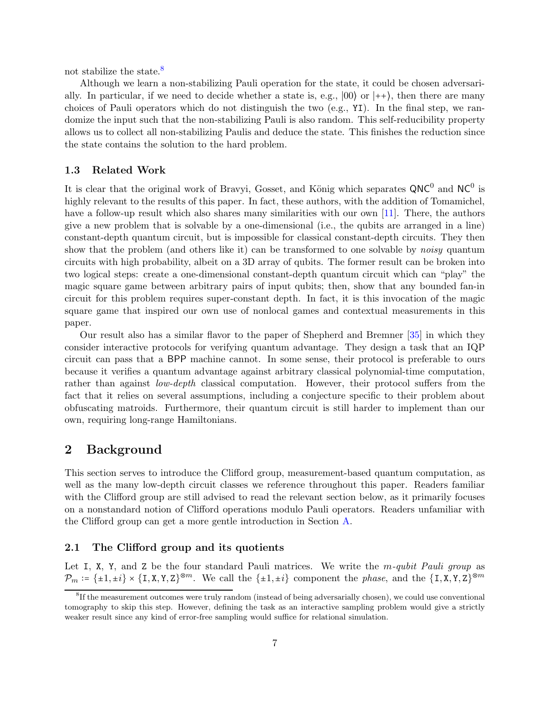not stabilize the state.<sup>[8](#page-6-3)</sup>

Although we learn a non-stabilizing Pauli operation for the state, it could be chosen adversarially. In particular, if we need to decide whether a state is, e.g.,  $|00\rangle$  or  $|++\rangle$ , then there are many choices of Pauli operators which do not distinguish the two (e.g., YI). In the final step, we randomize the input such that the non-stabilizing Pauli is also random. This self-reducibility property allows us to collect all non-stabilizing Paulis and deduce the state. This finishes the reduction since the state contains the solution to the hard problem.

#### <span id="page-6-0"></span>1.3 Related Work

It is clear that the original work of Bravyi, Gosset, and König which separates  $QNC^0$  and  $NC^0$  is highly relevant to the results of this paper. In fact, these authors, with the addition of Tomamichel, have a follow-up result which also shares many similarities with our own [\[11\]](#page-35-5). There, the authors give a new problem that is solvable by a one-dimensional (i.e., the qubits are arranged in a line) constant-depth quantum circuit, but is impossible for classical constant-depth circuits. They then show that the problem (and others like it) can be transformed to one solvable by *noisy* quantum circuits with high probability, albeit on a 3D array of qubits. The former result can be broken into two logical steps: create a one-dimensional constant-depth quantum circuit which can "play" the magic square game between arbitrary pairs of input qubits; then, show that any bounded fan-in circuit for this problem requires super-constant depth. In fact, it is this invocation of the magic square game that inspired our own use of nonlocal games and contextual measurements in this paper.

Our result also has a similar flavor to the paper of Shepherd and Bremner [\[35\]](#page-36-6) in which they consider interactive protocols for verifying quantum advantage. They design a task that an IQP circuit can pass that a BPP machine cannot. In some sense, their protocol is preferable to ours because it verifies a quantum advantage against arbitrary classical polynomial-time computation, rather than against *low-depth* classical computation. However, their protocol suffers from the fact that it relies on several assumptions, including a conjecture specific to their problem about obfuscating matroids. Furthermore, their quantum circuit is still harder to implement than our own, requiring long-range Hamiltonians.

## <span id="page-6-1"></span>2 Background

This section serves to introduce the Clifford group, measurement-based quantum computation, as well as the many low-depth circuit classes we reference throughout this paper. Readers familiar with the Clifford group are still advised to read the relevant section below, as it primarily focuses on a nonstandard notion of Clifford operations modulo Pauli operators. Readers unfamiliar with the Clifford group can get a more gentle introduction in Section [A.](#page-37-1)

#### <span id="page-6-2"></span>2.1 The Clifford group and its quotients

Let I, X, Y, and Z be the four standard Pauli matrices. We write the  $m\text{-}qubit$  Pauli group as  $\mathcal{P}_m \coloneqq {\pm 1, \pm i} \times {\{\text{I}, \text{X}, \text{Y}, \text{Z}\}}^{\otimes m}$ . We call the  ${\{\pm 1, \pm i\}}$  component the *phase*, and the  ${\{\text{I}, \text{X}, \text{Y}, \text{Z}\}}^{\otimes m}$ 

<span id="page-6-3"></span><sup>&</sup>lt;sup>8</sup>If the measurement outcomes were truly random (instead of being adversarially chosen), we could use conventional tomography to skip this step. However, defining the task as an interactive sampling problem would give a strictly weaker result since any kind of error-free sampling would suffice for relational simulation.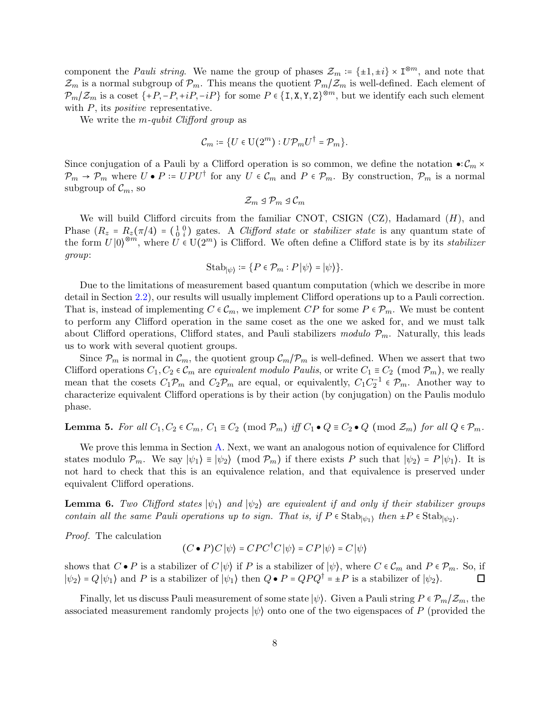component the *Pauli string*. We name the group of phases  $\mathcal{Z}_m := {\pm 1, \pm i} \times \mathbb{I}^{\otimes m}$ , and note that  $\mathcal{Z}_m$  is a normal subgroup of  $\mathcal{P}_m$ . This means the quotient  $\mathcal{P}_m/\mathcal{Z}_m$  is well-defined. Each element of  $\mathcal{P}_m/\mathcal{Z}_m$  is a coset  $\{+P, -P, +iP, -iP\}$  for some  $P \in \{I, X, Y, Z\}^{\otimes m}$ , but we identify each such element with  $P$ , its *positive* representative.

We write the *m*-qubit Clifford group as

$$
\mathcal{C}_m \coloneqq \{U \in \mathrm{U}(2^m): U \mathcal{P}_m U^\dagger = \mathcal{P}_m\}.
$$

Since conjugation of a Pauli by a Clifford operation is so common, we define the notation  $\bullet:\mathcal{C}_m\times$  $\mathcal{P}_m \to \mathcal{P}_m$  where  $U \bullet P = UPU^{\dagger}$  for any  $U \in \mathcal{C}_m$  and  $P \in \mathcal{P}_m$ . By construction,  $\mathcal{P}_m$  is a normal subgroup of  $\mathcal{C}_m$ , so

$$
\mathcal{Z}_m \trianglelefteq \mathcal{P}_m \trianglelefteq \mathcal{C}_m
$$

We will build Clifford circuits from the familiar CNOT, CSIGN  $(CZ)$ , Hadamard  $(H)$ , and Phase  $(R_z = R_z(\pi/4) = \begin{pmatrix} 1 & 0 \\ 0 & i \end{pmatrix}$  gates. A *Clifford state* or *stabilizer state* is any quantum state of the form  $U|0\rangle^{\otimes m}$ , where  $U \in U(2^m)$  is Clifford. We often define a Clifford state is by its *stabilizer* group:

$$
\mathrm{Stab}_{|\psi\rangle} \coloneqq \{ P \in \mathcal{P}_m : P \, |\psi\rangle = |\psi\rangle \}.
$$

Due to the limitations of measurement based quantum computation (which we describe in more detail in Section [2.2\)](#page-8-0), our results will usually implement Clifford operations up to a Pauli correction. That is, instead of implementing  $C \in \mathcal{C}_m$ , we implement  $CP$  for some  $P \in \mathcal{P}_m$ . We must be content to perform any Clifford operation in the same coset as the one we asked for, and we must talk about Clifford operations, Clifford states, and Pauli stabilizers modulo  $\mathcal{P}_m$ . Naturally, this leads us to work with several quotient groups.

Since  $P_m$  is normal in  $\mathcal{C}_m$ , the quotient group  $\mathcal{C}_m/P_m$  is well-defined. When we assert that two Clifford operations  $C_1, C_2 \in \mathcal{C}_m$  are equivalent modulo Paulis, or write  $C_1 \equiv C_2 \pmod{\mathcal{P}_m}$ , we really mean that the cosets  $C_1 \mathcal{P}_m$  and  $C_2 \mathcal{P}_m$  are equal, or equivalently,  $C_1 C_2^{-1} \in \mathcal{P}_m$ . Another way to characterize equivalent Clifford operations is by their action (by conjugation) on the Paulis modulo phase.

## <span id="page-7-0"></span>**Lemma 5.** For all  $C_1, C_2 \in C_m$ ,  $C_1 \equiv C_2 \pmod{\mathcal{P}_m}$  iff  $C_1 \bullet Q \equiv C_2 \bullet Q \pmod{\mathcal{Z}_m}$  for all  $Q \in \mathcal{P}_m$ .

We prove this lemma in Section [A.](#page-37-1) Next, we want an analogous notion of equivalence for Clifford states modulo  $\mathcal{P}_m$ . We say  $|\psi_1\rangle \equiv |\psi_2\rangle \pmod{\mathcal{P}_m}$  if there exists P such that  $|\psi_2\rangle = P |\psi_1\rangle$ . It is not hard to check that this is an equivalence relation, and that equivalence is preserved under equivalent Clifford operations.

**Lemma 6.** Two Clifford states  $|\psi_1\rangle$  and  $|\psi_2\rangle$  are equivalent if and only if their stabilizer groups contain all the same Pauli operations up to sign. That is, if  $P \in \text{Stab}_{|\psi_1\rangle}$  then  $\pm P \in \text{Stab}_{|\psi_2\rangle}$ .

Proof. The calculation

$$
(C \bullet P)C |\psi\rangle = C P C^{\dagger} C |\psi\rangle = C P |\psi\rangle = C |\psi\rangle
$$

shows that  $C \bullet P$  is a stabilizer of  $C |\psi\rangle$  if P is a stabilizer of  $|\psi\rangle$ , where  $C \in \mathcal{C}_m$  and  $P \in \mathcal{P}_m$ . So, if  $|\psi_2\rangle = Q|\psi_1\rangle$  and P is a stabilizer of  $|\psi_1\rangle$  then  $Q \bullet P = QPQ^{\dagger} = \pm P$  is a stabilizer of  $|\psi_2\rangle$ . П

Finally, let us discuss Pauli measurement of some state  $|\psi\rangle$ . Given a Pauli string  $P \in \mathcal{P}_m/\mathcal{Z}_m$ , the associated measurement randomly projects  $|\psi\rangle$  onto one of the two eigenspaces of P (provided the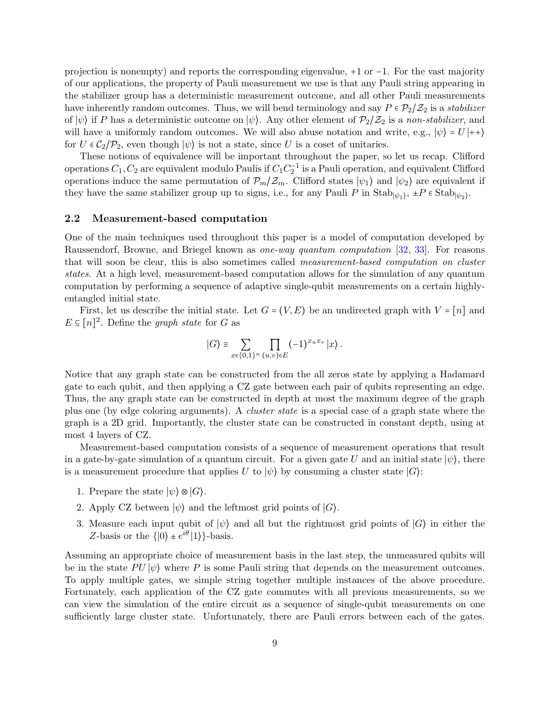projection is nonempty) and reports the corresponding eigenvalue, +1 or −1. For the vast majority of our applications, the property of Pauli measurement we use is that any Pauli string appearing in the stabilizer group has a deterministic measurement outcome, and all other Pauli measurements have inherently random outcomes. Thus, we will bend terminology and say  $P \in \mathcal{P}_2/\mathcal{Z}_2$  is a stabilizer of  $|\psi\rangle$  if P has a deterministic outcome on  $|\psi\rangle$ . Any other element of  $\mathcal{P}_2/\mathcal{Z}_2$  is a non-stabilizer, and will have a uniformly random outcomes. We will also abuse notation and write, e.g.,  $|\psi\rangle = U |++\rangle$ for  $U \in C_2/\mathcal{P}_2$ , even though  $|\psi\rangle$  is not a state, since U is a coset of unitaries.

These notions of equivalence will be important throughout the paper, so let us recap. Clifford operations  $C_1, C_2$  are equivalent modulo Paulis if  $C_1C_2^{-1}$  is a Pauli operation, and equivalent Clifford operations induce the same permutation of  $\mathcal{P}_m/\mathcal{Z}_m$ . Clifford states  $|\psi_1\rangle$  and  $|\psi_2\rangle$  are equivalent if they have the same stabilizer group up to signs, i.e., for any Pauli P in  $\text{Stab}_{|\psi_1\rangle}$ ,  $\pm P \in \text{Stab}_{|\psi_2\rangle}$ .

#### <span id="page-8-0"></span>2.2 Measurement-based computation

One of the main techniques used throughout this paper is a model of computation developed by Raussendorf, Browne, and Briegel known as one-way quantum computation [\[32,](#page-36-7) [33\]](#page-36-2). For reasons that will soon be clear, this is also sometimes called measurement-based computation on cluster states. At a high level, measurement-based computation allows for the simulation of any quantum computation by performing a sequence of adaptive single-qubit measurements on a certain highlyentangled initial state.

First, let us describe the initial state. Let  $G = (V, E)$  be an undirected graph with  $V = [n]$  and  $E \subseteq [n]^2$ . Define the graph state for G as

$$
|G\rangle \equiv \sum_{x \in \{0,1\}^n} \prod_{(u,v) \in E} (-1)^{x_u x_v} |x\rangle.
$$

Notice that any graph state can be constructed from the all zeros state by applying a Hadamard gate to each qubit, and then applying a CZ gate between each pair of qubits representing an edge. Thus, the any graph state can be constructed in depth at most the maximum degree of the graph plus one (by edge coloring arguments). A cluster state is a special case of a graph state where the graph is a 2D grid. Importantly, the cluster state can be constructed in constant depth, using at most 4 layers of CZ.

Measurement-based computation consists of a sequence of measurement operations that result in a gate-by-gate simulation of a quantum circuit. For a given gate U and an initial state  $|\psi\rangle$ , there is a measurement procedure that applies U to  $|\psi\rangle$  by consuming a cluster state  $|G\rangle$ :

- 1. Prepare the state  $|\psi\rangle \otimes |G\rangle$ .
- 2. Apply CZ between  $|\psi\rangle$  and the leftmost grid points of  $|G\rangle$ .
- 3. Measure each input qubit of  $|\psi\rangle$  and all but the rightmost grid points of  $|G\rangle$  in either the Z-basis or the  $\{|0\rangle \pm e^{i\theta}|1\rangle\}$ -basis.

Assuming an appropriate choice of measurement basis in the last step, the unmeasured qubits will be in the state  $PU|\psi\rangle$  where P is some Pauli string that depends on the measurement outcomes. To apply multiple gates, we simple string together multiple instances of the above procedure. Fortunately, each application of the CZ gate commutes with all previous measurements, so we can view the simulation of the entire circuit as a sequence of single-qubit measurements on one sufficiently large cluster state. Unfortunately, there are Pauli errors between each of the gates.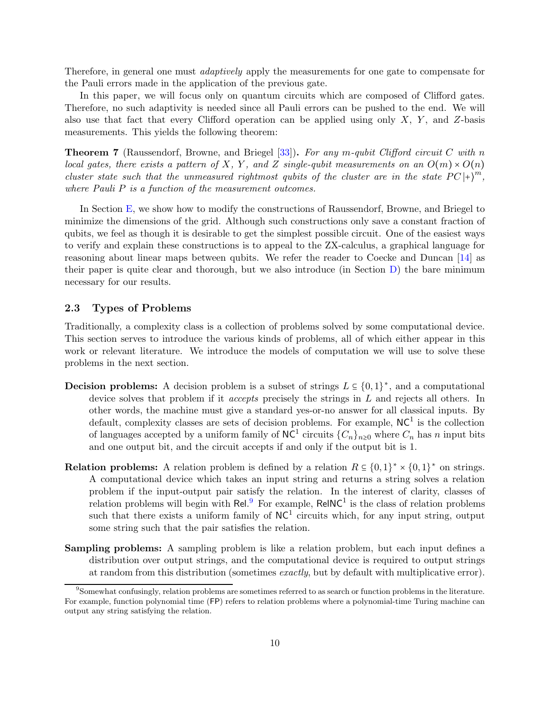Therefore, in general one must *adaptively* apply the measurements for one gate to compensate for the Pauli errors made in the application of the previous gate.

In this paper, we will focus only on quantum circuits which are composed of Clifford gates. Therefore, no such adaptivity is needed since all Pauli errors can be pushed to the end. We will also use that fact that every Clifford operation can be applied using only X, Y, and Z-basis measurements. This yields the following theorem:

<span id="page-9-2"></span>**Theorem 7** (Raussendorf, Browne, and Briegel [\[33\]](#page-36-2)). For any m-qubit Clifford circuit C with n local gates, there exists a pattern of X, Y, and Z single-qubit measurements on an  $O(m) \times O(n)$ cluster state such that the unmeasured rightmost qubits of the cluster are in the state  $PC |+\rangle^m$ , where Pauli P is a function of the measurement outcomes.

In Section [E,](#page-47-0) we show how to modify the constructions of Raussendorf, Browne, and Briegel to minimize the dimensions of the grid. Although such constructions only save a constant fraction of qubits, we feel as though it is desirable to get the simplest possible circuit. One of the easiest ways to verify and explain these constructions is to appeal to the ZX-calculus, a graphical language for reasoning about linear maps between qubits. We refer the reader to Coecke and Duncan [\[14\]](#page-35-8) as their paper is quite clear and thorough, but we also introduce (in Section [D\)](#page-45-0) the bare minimum necessary for our results.

#### <span id="page-9-0"></span>2.3 Types of Problems

Traditionally, a complexity class is a collection of problems solved by some computational device. This section serves to introduce the various kinds of problems, all of which either appear in this work or relevant literature. We introduce the models of computation we will use to solve these problems in the next section.

- **Decision problems:** A decision problem is a subset of strings  $L \subseteq \{0,1\}^*$ , and a computational device solves that problem if it *accepts* precisely the strings in L and rejects all others. In other words, the machine must give a standard yes-or-no answer for all classical inputs. By default, complexity classes are sets of decision problems. For example,  $NC<sup>1</sup>$  is the collection of languages accepted by a uniform family of  $N\widehat{C}^1$  circuits  $\{C_n\}_{n\geq 0}$  where  $C_n$  has n input bits and one output bit, and the circuit accepts if and only if the output bit is 1.
- **Relation problems:** A relation problem is defined by a relation  $R \subseteq \{0,1\}^* \times \{0,1\}^*$  on strings. A computational device which takes an input string and returns a string solves a relation problem if the input-output pair satisfy the relation. In the interest of clarity, classes of relation problems will begin with Rel.<sup>[9](#page-9-1)</sup> For example, ReINC<sup>1</sup> is the class of relation problems such that there exists a uniform family of  $NC<sup>1</sup>$  circuits which, for any input string, output some string such that the pair satisfies the relation.
- Sampling problems: A sampling problem is like a relation problem, but each input defines a distribution over output strings, and the computational device is required to output strings at random from this distribution (sometimes exactly, but by default with multiplicative error).

<span id="page-9-1"></span><sup>&</sup>lt;sup>9</sup>Somewhat confusingly, relation problems are sometimes referred to as search or function problems in the literature. For example, function polynomial time (FP) refers to relation problems where a polynomial-time Turing machine can output any string satisfying the relation.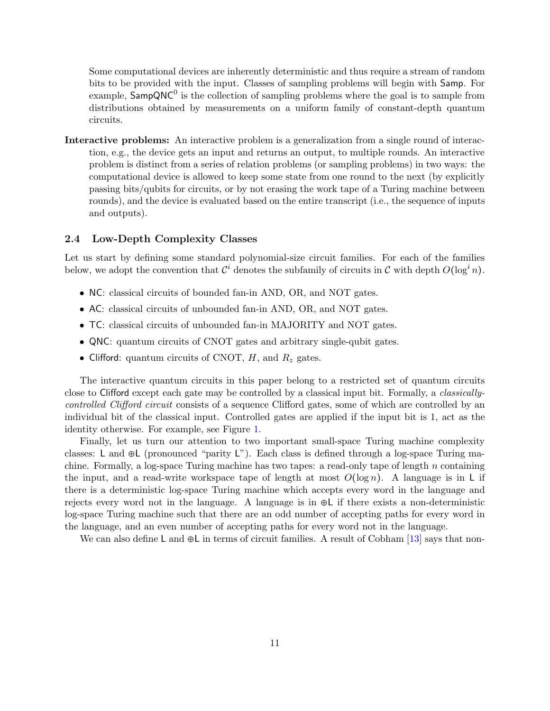Some computational devices are inherently deterministic and thus require a stream of random bits to be provided with the input. Classes of sampling problems will begin with Samp. For example,  $\overrightarrow{S}$  ampQNC<sup>0</sup> is the collection of sampling problems where the goal is to sample from distributions obtained by measurements on a uniform family of constant-depth quantum circuits.

Interactive problems: An interactive problem is a generalization from a single round of interaction, e.g., the device gets an input and returns an output, to multiple rounds. An interactive problem is distinct from a series of relation problems (or sampling problems) in two ways: the computational device is allowed to keep some state from one round to the next (by explicitly passing bits/qubits for circuits, or by not erasing the work tape of a Turing machine between rounds), and the device is evaluated based on the entire transcript (i.e., the sequence of inputs and outputs).

#### <span id="page-10-0"></span>2.4 Low-Depth Complexity Classes

Let us start by defining some standard polynomial-size circuit families. For each of the families below, we adopt the convention that  $\mathcal{C}^i$  denotes the subfamily of circuits in  $\mathcal C$  with depth  $O(\log^i n)$ .

- NC: classical circuits of bounded fan-in AND, OR, and NOT gates.
- AC: classical circuits of unbounded fan-in AND, OR, and NOT gates.
- TC: classical circuits of unbounded fan-in MAJORITY and NOT gates.
- QNC: quantum circuits of CNOT gates and arbitrary single-qubit gates.
- Clifford: quantum circuits of CNOT,  $H$ , and  $R_z$  gates.

The interactive quantum circuits in this paper belong to a restricted set of quantum circuits close to Clifford except each gate may be controlled by a classical input bit. Formally, a classicallycontrolled Clifford circuit consists of a sequence Clifford gates, some of which are controlled by an individual bit of the classical input. Controlled gates are applied if the input bit is 1, act as the identity otherwise. For example, see Figure [1.](#page-13-0)

Finally, let us turn our attention to two important small-space Turing machine complexity classes: L and ⊕L (pronounced "parity L"). Each class is defined through a log-space Turing machine. Formally, a log-space Turing machine has two tapes: a read-only tape of length  $n$  containing the input, and a read-write workspace tape of length at most  $O(\log n)$ . A language is in L if there is a deterministic log-space Turing machine which accepts every word in the language and rejects every word not in the language. A language is in ⊕L if there exists a non-deterministic log-space Turing machine such that there are an odd number of accepting paths for every word in the language, and an even number of accepting paths for every word not in the language.

We can also define L and  $\oplus$ L in terms of circuit families. A result of Cobham [\[13\]](#page-35-9) says that non-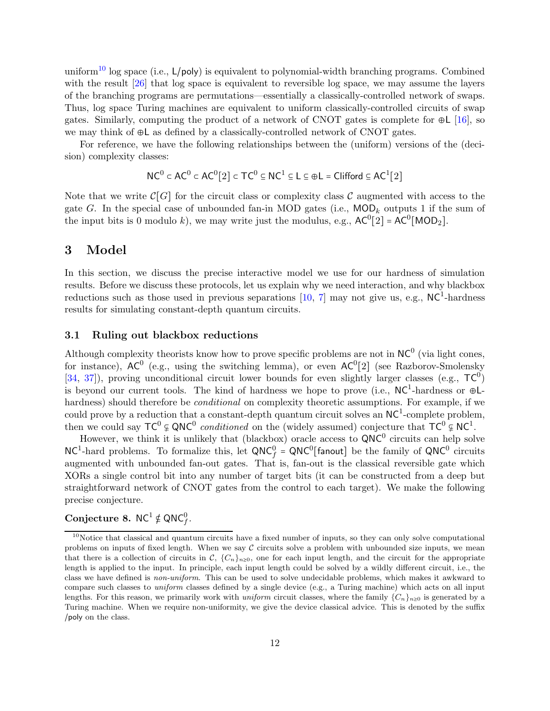uniform<sup>[10](#page-11-3)</sup> log space (i.e.,  $L/poly$ ) is equivalent to polynomial-width branching programs. Combined with the result  $[26]$  that log space is equivalent to reversible log space, we may assume the layers of the branching programs are permutations—essentially a classically-controlled network of swaps. Thus, log space Turing machines are equivalent to uniform classically-controlled circuits of swap gates. Similarly, computing the product of a network of CNOT gates is complete for  $\oplus L$  [\[16\]](#page-35-7), so we may think of ⊕L as defined by a classically-controlled network of CNOT gates.

For reference, we have the following relationships between the (uniform) versions of the (decision) complexity classes:

$$
\mathsf{NC}^0 \subset \mathsf{AC}^0 \subset \mathsf{AC}^0[2] \subset \mathsf{TC}^0 \subseteq \mathsf{NC}^1 \subseteq \mathsf{L} \subseteq \oplus \mathsf{L} = \mathsf{Clifford} \subseteq \mathsf{AC}^1[2]
$$

Note that we write  $\mathcal{C}[G]$  for the circuit class or complexity class C augmented with access to the gate G. In the special case of unbounded fan-in MOD gates (i.e.,  $\text{MOD}_k$  outputs 1 if the sum of the input bits is 0 modulo k), we may write just the modulus, e.g.,  $AC^0[2] = AC^0[MOD_2]$ .

## <span id="page-11-0"></span>3 Model

In this section, we discuss the precise interactive model we use for our hardness of simulation results. Before we discuss these protocols, let us explain why we need interaction, and why blackbox reductions such as those used in previous separations  $[10, 7]$  $[10, 7]$  may not give us, e.g., NC<sup>1</sup>-hardness results for simulating constant-depth quantum circuits.

#### <span id="page-11-1"></span>3.1 Ruling out blackbox reductions

Although complexity theorists know how to prove specific problems are not in  $NC^0$  (via light cones, for instance),  $AC^0$  (e.g., using the switching lemma), or even  $AC^0[2]$  (see Razborov-Smolensky [\[34,](#page-36-9) [37\]](#page-37-4)), proving unconditional circuit lower bounds for even slightly larger classes (e.g.,  $TC^0$ ) is beyond our current tools. The kind of hardness we hope to prove (i.e.,  $NC^1$ -hardness or  $\oplus L$ hardness) should therefore be *conditional* on complexity theoretic assumptions. For example, if we could prove by a reduction that a constant-depth quantum circuit solves an  $NC^1$ -complete problem, then we could say  $TC^0 \notin QNC^0$  conditioned on the (widely assumed) conjecture that  $TC^0 \notin NC^1$ .

However, we think it is unlikely that (blackbox) oracle access to  $QNC^0$  circuits can help solve  $NC<sup>1</sup>$ -hard problems. To formalize this, let  $QNC<sup>0</sup>$  = QNC<sup>0</sup> [fanout] be the family of QNC<sup>0</sup> circuits augmented with unbounded fan-out gates. That is, fan-out is the classical reversible gate which XORs a single control bit into any number of target bits (it can be constructed from a deep but straightforward network of CNOT gates from the control to each target). We make the following precise conjecture.

# <span id="page-11-2"></span>Conjecture 8.  $NC^1 \notin QNC_f^0$ .

<span id="page-11-3"></span> $10$ Notice that classical and quantum circuits have a fixed number of inputs, so they can only solve computational problems on inputs of fixed length. When we say  $\mathcal C$  circuits solve a problem with unbounded size inputs, we mean that there is a collection of circuits in C,  ${C_n}_{n\geq 0}$ , one for each input length, and the circuit for the appropriate length is applied to the input. In principle, each input length could be solved by a wildly different circuit, i.e., the class we have defined is non-uniform. This can be used to solve undecidable problems, which makes it awkward to compare such classes to uniform classes defined by a single device (e.g., a Turing machine) which acts on all input lengths. For this reason, we primarily work with *uniform* circuit classes, where the family  ${C_n}_{n\geq0}$  is generated by a Turing machine. When we require non-uniformity, we give the device classical advice. This is denoted by the suffix /poly on the class.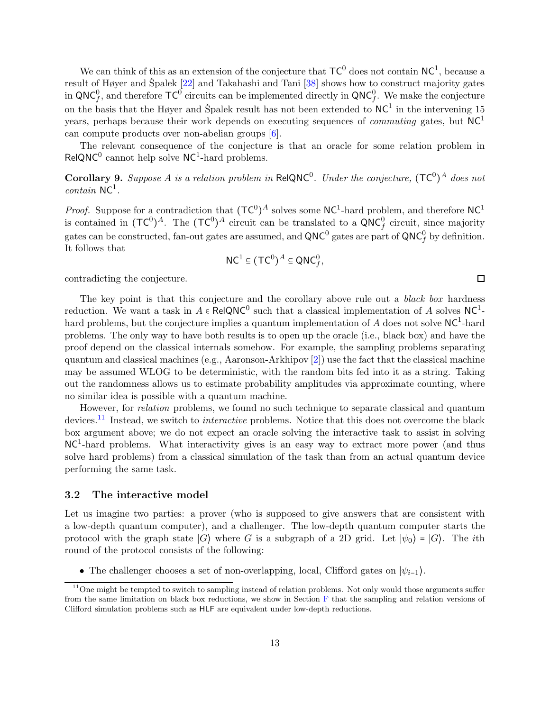We can think of this as an extension of the conjecture that  $TC^0$  does not contain  $NC^1$ , because a result of Høyer and Špalek  $[22]$  $[22]$  and Takahashi and Tani  $[38]$  shows how to construct majority gates in QNC<sup>0</sup>, and therefore  $TC^0$  circuits can be implemented directly in QNC<sup>0</sup>,. We make the conjecture on the basis that the Høyer and Špalek result has not been extended to  $NC^1$  in the intervening 15 years, perhaps because their work depends on executing sequences of *commuting* gates, but  $NC<sup>1</sup>$ can compute products over non-abelian groups [\[6\]](#page-35-6).

The relevant consequence of the conjecture is that an oracle for some relation problem in  $RelQNC<sup>0</sup>$  cannot help solve NC<sup>1</sup>-hard problems.

**Corollary 9.** Suppose A is a relation problem in ReIQNC<sup>0</sup>. Under the conjecture,  $(\mathsf{TC}^0)^A$  does not  $contain$  NC<sup>1</sup>.

*Proof.* Suppose for a contradiction that  $(\mathsf{TC}^0)^A$  solves some  $\mathsf{NC}^1$ -hard problem, and therefore  $\mathsf{NC}^1$ is contained in  $({\sf TC}^0)^A$ . The  $({\sf TC}^0)^A$  circuit can be translated to a  $\widehat{\sf QNC}_f^0$  circuit, since majority gates can be constructed, fan-out gates are assumed, and  $QNC^0$  gates are part of  $QNC_f^0$  by definition. It follows that

$$
\mathsf{NC}^1 \subseteq (\mathsf{TC}^0)^A \subseteq \mathsf{QNC}_f^0,
$$

contradicting the conjecture.

The key point is that this conjecture and the corollary above rule out a black box hardness reduction. We want a task in  $A \in \text{RelQNC}^0$  such that a classical implementation of A solves NC<sup>1</sup>hard problems, but the conjecture implies a quantum implementation of  $\tilde{A}$  does not solve NC<sup>1</sup>-hard problems. The only way to have both results is to open up the oracle (i.e., black box) and have the proof depend on the classical internals somehow. For example, the sampling problems separating quantum and classical machines (e.g., Aaronson-Arkhipov [\[2\]](#page-34-2)) use the fact that the classical machine may be assumed WLOG to be deterministic, with the random bits fed into it as a string. Taking out the randomness allows us to estimate probability amplitudes via approximate counting, where no similar idea is possible with a quantum machine.

However, for relation problems, we found no such technique to separate classical and quantum devices.<sup>[11](#page-12-1)</sup> Instead, we switch to *interactive* problems. Notice that this does not overcome the black box argument above; we do not expect an oracle solving the interactive task to assist in solving NC<sup>1</sup>-hard problems. What interactivity gives is an easy way to extract more power (and thus solve hard problems) from a classical simulation of the task than from an actual quantum device performing the same task.

#### <span id="page-12-0"></span>3.2 The interactive model

Let us imagine two parties: a prover (who is supposed to give answers that are consistent with a low-depth quantum computer), and a challenger. The low-depth quantum computer starts the protocol with the graph state  $|G\rangle$  where G is a subgraph of a 2D grid. Let  $|\psi_0\rangle = |G\rangle$ . The *i*th round of the protocol consists of the following:

• The challenger chooses a set of non-overlapping, local, Clifford gates on  $|\psi_{i-1}\rangle$ .

 $\Box$ 

<span id="page-12-1"></span> $11$ One might be tempted to switch to sampling instead of relation problems. Not only would those arguments suffer from the same limitation on black box reductions, we show in Section  $\overline{F}$  $\overline{F}$  $\overline{F}$  that the sampling and relation versions of Clifford simulation problems such as HLF are equivalent under low-depth reductions.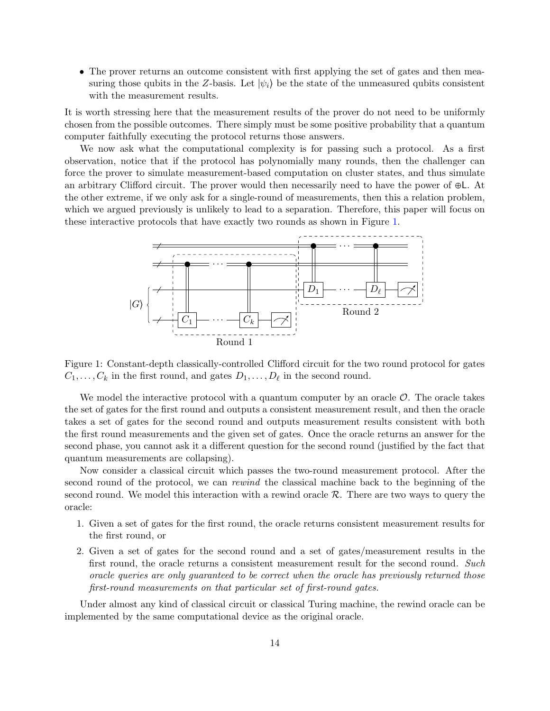• The prover returns an outcome consistent with first applying the set of gates and then measuring those qubits in the Z-basis. Let  $|\psi_i\rangle$  be the state of the unmeasured qubits consistent with the measurement results.

It is worth stressing here that the measurement results of the prover do not need to be uniformly chosen from the possible outcomes. There simply must be some positive probability that a quantum computer faithfully executing the protocol returns those answers.

We now ask what the computational complexity is for passing such a protocol. As a first observation, notice that if the protocol has polynomially many rounds, then the challenger can force the prover to simulate measurement-based computation on cluster states, and thus simulate an arbitrary Clifford circuit. The prover would then necessarily need to have the power of ⊕L. At the other extreme, if we only ask for a single-round of measurements, then this a relation problem, which we argued previously is unlikely to lead to a separation. Therefore, this paper will focus on these interactive protocols that have exactly two rounds as shown in Figure [1.](#page-13-0)



<span id="page-13-0"></span>Figure 1: Constant-depth classically-controlled Clifford circuit for the two round protocol for gates  $C_1, \ldots, C_k$  in the first round, and gates  $D_1, \ldots, D_\ell$  in the second round.

We model the interactive protocol with a quantum computer by an oracle  $\mathcal{O}$ . The oracle takes the set of gates for the first round and outputs a consistent measurement result, and then the oracle takes a set of gates for the second round and outputs measurement results consistent with both the first round measurements and the given set of gates. Once the oracle returns an answer for the second phase, you cannot ask it a different question for the second round (justified by the fact that quantum measurements are collapsing).

Now consider a classical circuit which passes the two-round measurement protocol. After the second round of the protocol, we can rewind the classical machine back to the beginning of the second round. We model this interaction with a rewind oracle  $\mathcal{R}$ . There are two ways to query the oracle:

- 1. Given a set of gates for the first round, the oracle returns consistent measurement results for the first round, or
- 2. Given a set of gates for the second round and a set of gates/measurement results in the first round, the oracle returns a consistent measurement result for the second round. Such oracle queries are only guaranteed to be correct when the oracle has previously returned those first-round measurements on that particular set of first-round gates.

<span id="page-13-1"></span>Under almost any kind of classical circuit or classical Turing machine, the rewind oracle can be implemented by the same computational device as the original oracle.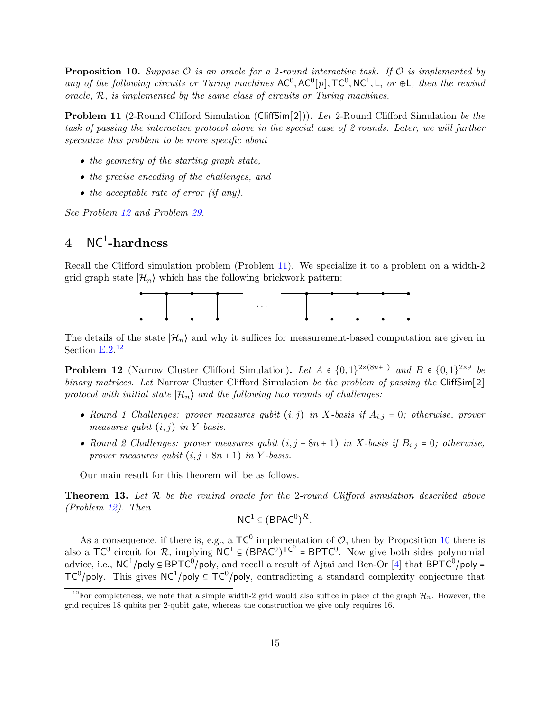**Proposition 10.** Suppose  $\mathcal{O}$  is an oracle for a 2-round interactive task. If  $\mathcal{O}$  is implemented by any of the following circuits or Turing machines  $AC^0$ ,  $AC^0[p]$ ,  $TC^0$ ,  $NC^1$ , L, or  $\oplus L$ , then the rewind oracle,  $R$ , is implemented by the same class of circuits or Turing machines.

<span id="page-14-3"></span>**Problem 11** (2-Round Clifford Simulation (CliffSim[2])). Let 2-Round Clifford Simulation be the task of passing the interactive protocol above in the special case of 2 rounds. Later, we will further specialize this problem to be more specific about

- the geometry of the starting graph state,
- the precise encoding of the challenges, and
- the acceptable rate of error (if any).

<span id="page-14-0"></span>See Problem [12](#page-14-2) and Problem [29.](#page-26-2)

# $4~\rm{NC}^1\text{-}hardness$

Recall the Clifford simulation problem (Problem [11\)](#page-14-3). We specialize it to a problem on a width-2 grid graph state  $|\mathcal{H}_n\rangle$  which has the following brickwork pattern:



<span id="page-14-2"></span>The details of the state  $|\mathcal{H}_n\rangle$  and why it suffices for measurement-based computation are given in Section  $E.2$ .<sup>[12](#page-14-4)</sup>

**Problem 12** (Narrow Cluster Clifford Simulation). Let  $A \in \{0,1\}^{2\times(8n+1)}$  and  $B \in \{0,1\}^{2\times9}$  be binary matrices. Let Narrow Cluster Clifford Simulation be the problem of passing the CliffSim[2] protocol with initial state  $|\mathcal{H}_n\rangle$  and the following two rounds of challenges:

- Round 1 Challenges: prover measures qubit  $(i, j)$  in X-basis if  $A_{i,j} = 0$ ; otherwise, prover measures qubit  $(i, j)$  in Y-basis.
- Round 2 Challenges: prover measures qubit  $(i, j + 8n + 1)$  in X-basis if  $B_{i,j} = 0$ ; otherwise, prover measures qubit  $(i, j + 8n + 1)$  in Y-basis.

<span id="page-14-1"></span>Our main result for this theorem will be as follows.

**Theorem 13.** Let  $\mathcal{R}$  be the rewind oracle for the 2-round Clifford simulation described above (Problem [12\)](#page-14-2). Then

$$
NC^1\subseteq (BPAC^0)^{\mathcal{R}}.
$$

As a consequence, if there is, e.g., a  $TC^0$  implementation of  $O$ , then by Proposition [10](#page-13-1) there is also a  $TC^0$  circuit for R, implying  $NC^1 \subseteq (BPAC^0)^{TC^0} = BPTC^0$ . Now give both sides polynomial advice, i.e.,  $NC^1/poly \subseteq BPTC^0/poly$ , and recall a result of Ajtai and Ben-Or [\[4\]](#page-34-3) that  $BPTC^0/poly =$  $TC^0$ /poly. This gives  $NC^1$ /poly  $\subseteq TC^0$ /poly, contradicting a standard complexity conjecture that

<span id="page-14-4"></span><sup>&</sup>lt;sup>12</sup>For completeness, we note that a simple width-2 grid would also suffice in place of the graph  $\mathcal{H}_n$ . However, the grid requires 18 qubits per 2-qubit gate, whereas the construction we give only requires 16.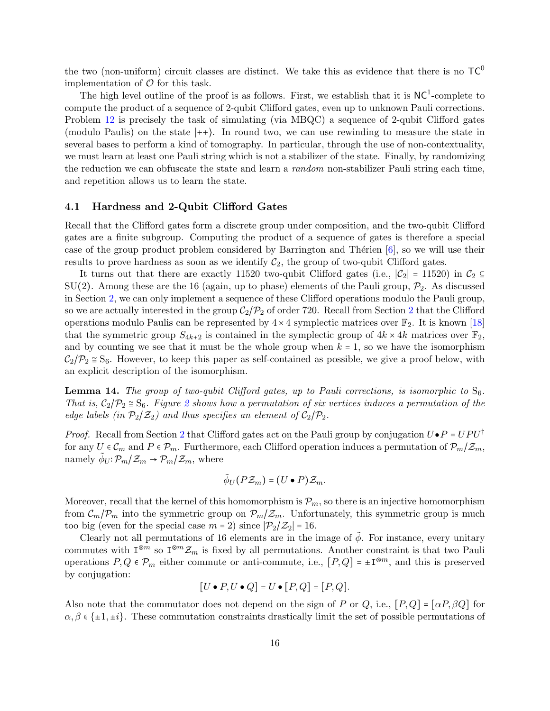the two (non-uniform) circuit classes are distinct. We take this as evidence that there is no  $TC^0$ implementation of  $\mathcal O$  for this task.

The high level outline of the proof is as follows. First, we establish that it is  $NC<sup>1</sup>$ -complete to compute the product of a sequence of 2-qubit Clifford gates, even up to unknown Pauli corrections. Problem [12](#page-14-2) is precisely the task of simulating (via MBQC) a sequence of 2-qubit Clifford gates (modulo Paulis) on the state ∣++⟩. In round two, we can use rewinding to measure the state in several bases to perform a kind of tomography. In particular, through the use of non-contextuality, we must learn at least one Pauli string which is not a stabilizer of the state. Finally, by randomizing the reduction we can obfuscate the state and learn a random non-stabilizer Pauli string each time, and repetition allows us to learn the state.

#### <span id="page-15-0"></span>4.1 Hardness and 2-Qubit Clifford Gates

Recall that the Clifford gates form a discrete group under composition, and the two-qubit Clifford gates are a finite subgroup. Computing the product of a sequence of gates is therefore a special case of the group product problem considered by Barrington and Thérien  $[6]$ , so we will use their results to prove hardness as soon as we identify  $C_2$ , the group of two-qubit Clifford gates.

It turns out that there are exactly 11520 two-qubit Clifford gates (i.e.,  $|\mathcal{C}_2| = 11520$ ) in  $\mathcal{C}_2 \subseteq$  $SU(2)$ . Among these are the 16 (again, up to phase) elements of the Pauli group,  $P_2$ . As discussed in Section [2,](#page-6-1) we can only implement a sequence of these Clifford operations modulo the Pauli group, so we are actually interested in the group  $C_2/\mathcal{P}_2$  $C_2/\mathcal{P}_2$  $C_2/\mathcal{P}_2$  of order 720. Recall from Section 2 that the Clifford operations modulo Paulis can be represented by  $4 \times 4$  symplectic matrices over  $\mathbb{F}_2$ . It is known [\[18\]](#page-35-10) that the symmetric group  $S_{4k+2}$  is contained in the symplectic group of  $4k \times 4k$  matrices over  $\mathbb{F}_2$ , and by counting we see that it must be the whole group when  $k = 1$ , so we have the isomorphism  $C_2/\mathcal{P}_2 \cong S_6$ . However, to keep this paper as self-contained as possible, we give a proof below, with an explicit description of the isomorphism.

**Lemma 14.** The group of two-qubit Clifford gates, up to Pauli corrections, is isomorphic to  $S_6$ . That is,  $C_2/\mathcal{P}_2 \cong S_6$  $C_2/\mathcal{P}_2 \cong S_6$  $C_2/\mathcal{P}_2 \cong S_6$ . Figure 2 shows how a permutation of six vertices induces a permutation of the edge labels (in  $\mathcal{P}_2/\mathcal{Z}_2$ ) and thus specifies an element of  $\mathcal{C}_2/\mathcal{P}_2$ .

*Proof.* Recall from Section [2](#page-6-1) that Clifford gates act on the Pauli group by conjugation  $U \bullet P = UPU^{\dagger}$ for any  $U \in \mathcal{C}_m$  and  $P \in \mathcal{P}_m$ . Furthermore, each Clifford operation induces a permutation of  $\mathcal{P}_m/\mathcal{Z}_m$ , namely  $\tilde{\phi}_U \colon \mathcal{P}_m/\mathcal{Z}_m \to \mathcal{P}_m/\mathcal{Z}_m$ , where

$$
\tilde{\phi}_U(P\mathcal{Z}_m)=(U\bullet P)\mathcal{Z}_m.
$$

Moreover, recall that the kernel of this homomorphism is  $\mathcal{P}_m$ , so there is an injective homomorphism from  $\mathcal{C}_m/\mathcal{P}_m$  into the symmetric group on  $\mathcal{P}_m/\mathcal{Z}_m$ . Unfortunately, this symmetric group is much too big (even for the special case  $m = 2$ ) since  $|\mathcal{P}_2/\mathcal{Z}_2| = 16$ .

Clearly not all permutations of 16 elements are in the image of  $\phi$ . For instance, every unitary commutes with  $I^{\otimes m}$  so  $I^{\otimes m} \mathcal{Z}_m$  is fixed by all permutations. Another constraint is that two Pauli operations  $P, Q \in \mathcal{P}_m$  either commute or anti-commute, i.e.,  $[P,Q] = \pm \mathbb{I}^{\otimes m}$ , and this is preserved by conjugation:

$$
[U \bullet P, U \bullet Q] = U \bullet [P, Q] = [P, Q].
$$

Also note that the commutator does not depend on the sign of P or Q, i.e.,  $[P,Q] = [\alpha P, \beta Q]$  for  $\alpha, \beta \in \{\pm 1, \pm i\}.$  These commutation constraints drastically limit the set of possible permutations of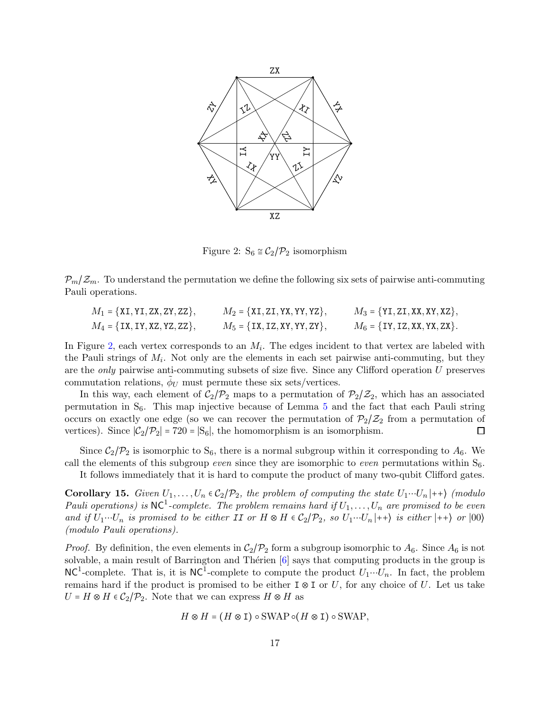

<span id="page-16-0"></span>Figure 2:  $S_6 \cong C_2/\mathcal{P}_2$  isomorphism

 $\mathcal{P}_{m}/\mathcal{Z}_{m}$ . To understand the permutation we define the following six sets of pairwise anti-commuting Pauli operations.

| $M_1 = {XI, YI, ZX, ZY, ZZ},$    | $M_2 = {XI, ZI, YX, YY, YZ},$    | $M_3 = {YI, ZI, XX, XY, XZ},$        |
|----------------------------------|----------------------------------|--------------------------------------|
| $M_4 = \{IX, IY, XZ, YZ, ZZ\},\$ | $M_5 = \{IX, IZ, XY, YY, ZY\},\$ | $M_6 = \{$ IY, IZ, XX, YX, ZX $\}$ . |

In Figure [2,](#page-16-0) each vertex corresponds to an  $M_i$ . The edges incident to that vertex are labeled with the Pauli strings of  $M_i$ . Not only are the elements in each set pairwise anti-commuting, but they are the only pairwise anti-commuting subsets of size five. Since any Clifford operation U preserves commutation relations,  $\tilde{\phi}_U$  must permute these six sets/vertices.

In this way, each element of  $C_2/\mathcal{P}_2$  maps to a permutation of  $\mathcal{P}_2/\mathcal{Z}_2$ , which has an associated permutation in  $S_6$ . This map injective because of Lemma [5](#page-7-0) and the fact that each Pauli string occurs on exactly one edge (so we can recover the permutation of  $P_2/Z_2$  from a permutation of vertices). Since  $|\mathcal{C}_2/\mathcal{P}_2|$  = 720 =  $|S_6|$ , the homomorphism is an isomorphism. □

Since  $C_2/\mathcal{P}_2$  is isomorphic to  $S_6$ , there is a normal subgroup within it corresponding to  $A_6$ . We call the elements of this subgroup *even* since they are isomorphic to *even* permutations within  $S_6$ .

<span id="page-16-1"></span>It follows immediately that it is hard to compute the product of many two-qubit Clifford gates.

**Corollary 15.** Given  $U_1, \ldots, U_n \in C_2/\mathcal{P}_2$ , the problem of computing the state  $U_1 \cdots U_n |++\rangle$  (modulo Pauli operations) is  $NC^1$ -complete. The problem remains hard if  $U_1, \ldots, U_n$  are promised to be even and if  $U_1 \cdots U_n$  is promised to be either II or  $H \otimes H \in C_2/\mathcal{P}_2$ , so  $U_1 \cdots U_n |++\rangle$  is either  $|++\rangle$  or  $|00\rangle$ (modulo Pauli operations).

*Proof.* By definition, the even elements in  $C_2/P_2$  form a subgroup isomorphic to  $A_6$ . Since  $A_6$  is not solvable, a main result of Barrington and Thérien  $[6]$  says that computing products in the group is  $NC<sup>1</sup>$ -complete. That is, it is  $NC<sup>1</sup>$ -complete to compute the product  $U_1 \cdots U_n$ . In fact, the problem remains hard if the product is promised to be either  $\mathbb{I} \otimes \mathbb{I}$  or U, for any choice of U. Let us take  $U = H \otimes H \in C_2/\mathcal{P}_2$ . Note that we can express  $H \otimes H$  as

$$
H\otimes H=(H\otimes \mathbbm{I})\circ \mathrm{SWAP}\circ (H\otimes \mathbbm{I})\circ \mathrm{SWAP},
$$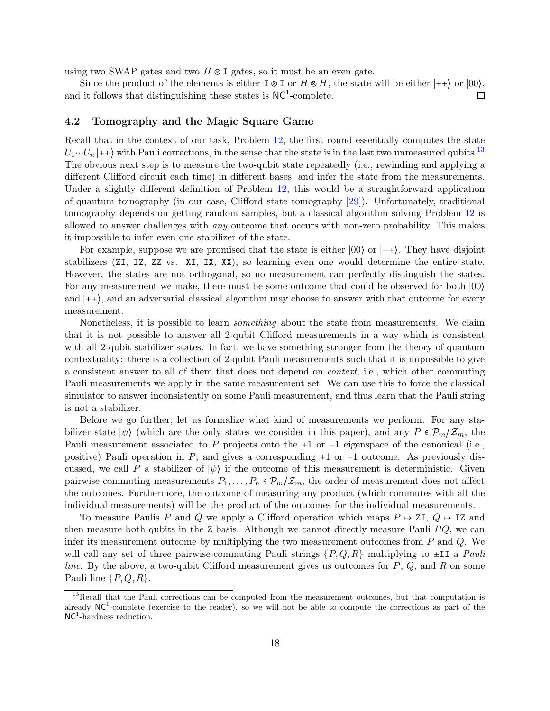using two SWAP gates and two  $H \otimes I$  gates, so it must be an even gate.

Since the product of the elements is either  $\text{I} \otimes \text{I}$  or  $H \otimes H$ , the state will be either  $|++\rangle$  or  $|00\rangle$ , and it follows that distinguishing these states is  $NC<sup>1</sup>$ -complete.  $\Box$ 

#### <span id="page-17-0"></span>4.2 Tomography and the Magic Square Game

Recall that in the context of our task, Problem [12,](#page-14-2) the first round essentially computes the state  $U_1 \cdots U_n |++\rangle$  with Pauli corrections, in the sense that the state is in the last two unmeasured qubits.<sup>[13](#page-17-1)</sup> The obvious next step is to measure the two-qubit state repeatedly (i.e., rewinding and applying a different Clifford circuit each time) in different bases, and infer the state from the measurements. Under a slightly different definition of Problem [12,](#page-14-2) this would be a straightforward application of quantum tomography (in our case, Clifford state tomography [\[29\]](#page-36-11)). Unfortunately, traditional tomography depends on getting random samples, but a classical algorithm solving Problem [12](#page-14-2) is allowed to answer challenges with any outcome that occurs with non-zero probability. This makes it impossible to infer even one stabilizer of the state.

For example, suppose we are promised that the state is either ∣00⟩ or ∣++⟩. They have disjoint stabilizers (ZI, IZ, ZZ vs. XI, IX, XX), so learning even one would determine the entire state. However, the states are not orthogonal, so no measurement can perfectly distinguish the states. For any measurement we make, there must be some outcome that could be observed for both ∣00⟩ and ∣++⟩, and an adversarial classical algorithm may choose to answer with that outcome for every measurement.

Nonetheless, it is possible to learn something about the state from measurements. We claim that it is not possible to answer all 2-qubit Clifford measurements in a way which is consistent with all 2-qubit stabilizer states. In fact, we have something stronger from the theory of quantum contextuality: there is a collection of 2-qubit Pauli measurements such that it is impossible to give a consistent answer to all of them that does not depend on context, i.e., which other commuting Pauli measurements we apply in the same measurement set. We can use this to force the classical simulator to answer inconsistently on some Pauli measurement, and thus learn that the Pauli string is not a stabilizer.

Before we go further, let us formalize what kind of measurements we perform. For any stabilizer state  $|\psi\rangle$  (which are the only states we consider in this paper), and any  $P \in \mathcal{P}_m/\mathcal{Z}_m$ , the Pauli measurement associated to P projects onto the +1 or  $-1$  eigenspace of the canonical (i.e., positive) Pauli operation in P, and gives a corresponding +1 or −1 outcome. As previously discussed, we call P a stabilizer of  $|\psi\rangle$  if the outcome of this measurement is deterministic. Given pairwise commuting measurements  $P_1, \ldots, P_n \in \mathcal{P}_m/\mathcal{Z}_m$ , the order of measurement does not affect the outcomes. Furthermore, the outcome of measuring any product (which commutes with all the individual measurements) will be the product of the outcomes for the individual measurements.

To measure Paulis P and Q we apply a Clifford operation which maps  $P \rightarrow ZI$ ,  $Q \rightarrow IZ$  and then measure both qubits in the  $Z$  basis. Although we cannot directly measure Pauli  $PQ$ , we can infer its measurement outcome by multiplying the two measurement outcomes from  $P$  and  $Q$ . We will call any set of three pairwise-commuting Pauli strings  $\{P, Q, R\}$  multiplying to  $\pm \text{II}$  a Pauli line. By the above, a two-qubit Clifford measurement gives us outcomes for  $P, Q$ , and  $R$  on some Pauli line  $\{P,Q,R\}$ .

<span id="page-17-1"></span><sup>&</sup>lt;sup>13</sup>Recall that the Pauli corrections can be computed from the measurement outcomes, but that computation is already  $NC<sup>1</sup>$ -complete (exercise to the reader), so we will not be able to compute the corrections as part of the NC<sup>1</sup>-hardness reduction.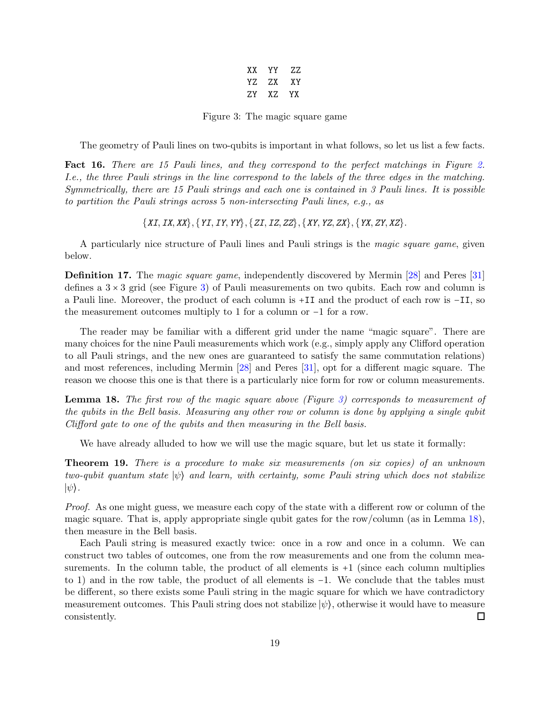| XX. | ΥY   | 77.       |
|-----|------|-----------|
| YZ. | ZX.  | <b>XY</b> |
| 'ZY | X 7. | YX        |

<span id="page-18-0"></span>Figure 3: The magic square game

The geometry of Pauli lines on two-qubits is important in what follows, so let us list a few facts.

Fact 16. There are 15 Pauli lines, and they correspond to the perfect matchings in Figure [2.](#page-16-0) I.e., the three Pauli strings in the line correspond to the labels of the three edges in the matching. Symmetrically, there are 15 Pauli strings and each one is contained in 3 Pauli lines. It is possible to partition the Pauli strings across 5 non-intersecting Pauli lines, e.g., as

 $\{XI, IX, XX\}, \{YI, IY, YY\}, \{ZI, IZ, ZZ\}, \{XY, YZ, ZX\}, \{YX, ZY, XZ\}.$ 

A particularly nice structure of Pauli lines and Pauli strings is the magic square game, given below.

Definition 17. The magic square game, independently discovered by Mermin [\[28\]](#page-36-4) and Peres [\[31\]](#page-36-3) defines a  $3 \times 3$  grid (see Figure [3\)](#page-18-0) of Pauli measurements on two qubits. Each row and column is a Pauli line. Moreover, the product of each column is +II and the product of each row is −II, so the measurement outcomes multiply to 1 for a column or −1 for a row.

The reader may be familiar with a different grid under the name "magic square". There are many choices for the nine Pauli measurements which work (e.g., simply apply any Clifford operation to all Pauli strings, and the new ones are guaranteed to satisfy the same commutation relations) and most references, including Mermin [\[28\]](#page-36-4) and Peres [\[31\]](#page-36-3), opt for a different magic square. The reason we choose this one is that there is a particularly nice form for row or column measurements.

<span id="page-18-1"></span>Lemma 18. The first row of the magic square above (Figure [3\)](#page-18-0) corresponds to measurement of the qubits in the Bell basis. Measuring any other row or column is done by applying a single qubit Clifford gate to one of the qubits and then measuring in the Bell basis.

<span id="page-18-2"></span>We have already alluded to how we will use the magic square, but let us state it formally:

Theorem 19. There is a procedure to make six measurements (on six copies) of an unknown two-qubit quantum state  $|\psi\rangle$  and learn, with certainty, some Pauli string which does not stabilize  $|\psi\rangle$ .

Proof. As one might guess, we measure each copy of the state with a different row or column of the magic square. That is, apply appropriate single qubit gates for the row/column (as in Lemma [18\)](#page-18-1), then measure in the Bell basis.

Each Pauli string is measured exactly twice: once in a row and once in a column. We can construct two tables of outcomes, one from the row measurements and one from the column measurements. In the column table, the product of all elements is +1 (since each column multiplies to 1) and in the row table, the product of all elements is −1. We conclude that the tables must be different, so there exists some Pauli string in the magic square for which we have contradictory measurement outcomes. This Pauli string does not stabilize  $|\psi\rangle$ , otherwise it would have to measure consistently.  $\Box$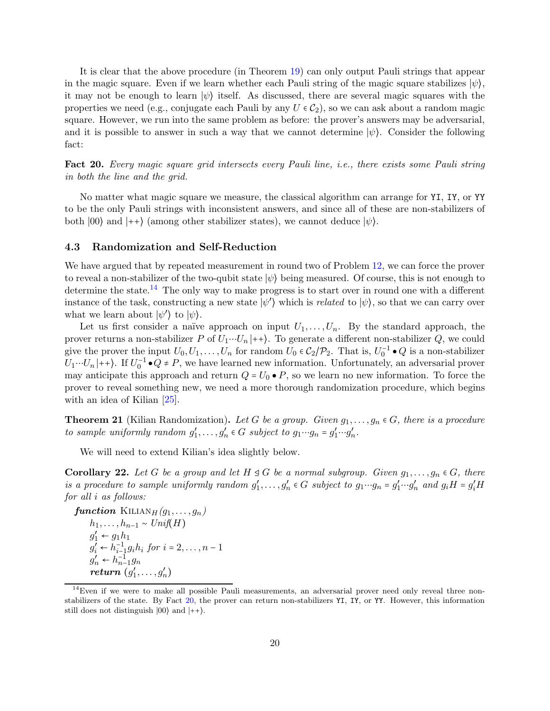It is clear that the above procedure (in Theorem [19\)](#page-18-2) can only output Pauli strings that appear in the magic square. Even if we learn whether each Pauli string of the magic square stabilizes  $|\psi\rangle$ , it may not be enough to learn  $|\psi\rangle$  itself. As discussed, there are several magic squares with the properties we need (e.g., conjugate each Pauli by any  $U \in C_2$ ), so we can ask about a random magic square. However, we run into the same problem as before: the prover's answers may be adversarial, and it is possible to answer in such a way that we cannot determine  $|\psi\rangle$ . Consider the following fact:

<span id="page-19-2"></span>Fact 20. Every magic square grid intersects every Pauli line, *i.e.*, there exists some Pauli string in both the line and the grid.

No matter what magic square we measure, the classical algorithm can arrange for YI, IY, or YY to be the only Pauli strings with inconsistent answers, and since all of these are non-stabilizers of both  $|00\rangle$  and  $|++\rangle$  (among other stabilizer states), we cannot deduce  $|\psi\rangle$ .

#### <span id="page-19-0"></span>4.3 Randomization and Self-Reduction

We have argued that by repeated measurement in round two of Problem [12,](#page-14-2) we can force the prover to reveal a non-stabilizer of the two-qubit state  $|\psi\rangle$  being measured. Of course, this is not enough to determine the state.<sup>[14](#page-19-1)</sup> The only way to make progress is to start over in round one with a different instance of the task, constructing a new state  $|\psi'\rangle$  which is *related* to  $|\psi\rangle$ , so that we can carry over what we learn about  $|\psi'\rangle$  to  $|\psi\rangle$ .

Let us first consider a naïve approach on input  $U_1, \ldots, U_n$ . By the standard approach, the prover returns a non-stabilizer P of  $U_1 \cdots U_n |++\rangle$ . To generate a different non-stabilizer Q, we could give the prover the input  $U_0, U_1, \ldots, U_n$  for random  $U_0 \in C_2/\mathcal{P}_2$ . That is,  $U_0^{-1} \bullet Q$  is a non-stabilizer  $U_1 \cdots U_n$  ++). If  $U_0^{-1} \bullet Q \neq P$ , we have learned new information. Unfortunately, an adversarial prover may anticipate this approach and return  $Q = U_0 \bullet P$ , so we learn no new information. To force the prover to reveal something new, we need a more thorough randomization procedure, which begins with an idea of Kilian [\[25\]](#page-36-12).

**Theorem 21** (Kilian Randomization). Let G be a group. Given  $g_1, \ldots, g_n \in G$ , there is a procedure to sample uniformly random  $g'_1, \ldots, g'_n \in G$  subject to  $g_1 \cdots g_n = g'_1 \cdots g'_n$ .

<span id="page-19-3"></span>We will need to extend Kilian's idea slightly below.

**Corollary 22.** Let G be a group and let  $H \trianglelefteq G$  be a normal subgroup. Given  $g_1, \ldots, g_n \in G$ , there is a procedure to sample uniformly random  $g'_1, \ldots, g'_n \in G$  subject to  $g_1 \cdots g_n = g'_1 \cdots g'_n$  and  $g_i H = g'_i H$ for all i as follows:

function 
$$
\text{KILLAN}_{H}(g_1, \ldots, g_n)
$$

$$
h_1, \ldots, h_{n-1} \sim \text{Unif}(H)
$$

$$
g'_1 \leftarrow g_1 h_1
$$

$$
g'_i \leftarrow h_{i-1}^{-1} g_i h_i \text{ for } i = 2, \ldots, n-1
$$

$$
g'_n \leftarrow h_{n-1}^{-1} g_n
$$

$$
return (g'_1, \ldots, g'_n)
$$

<span id="page-19-1"></span><sup>&</sup>lt;sup>14</sup>Even if we were to make all possible Pauli measurements, an adversarial prover need only reveal three nonstabilizers of the state. By Fact [20,](#page-19-2) the prover can return non-stabilizers YI, IY, or YY. However, this information still does not distinguish  $|00\rangle$  and  $|++\rangle$ .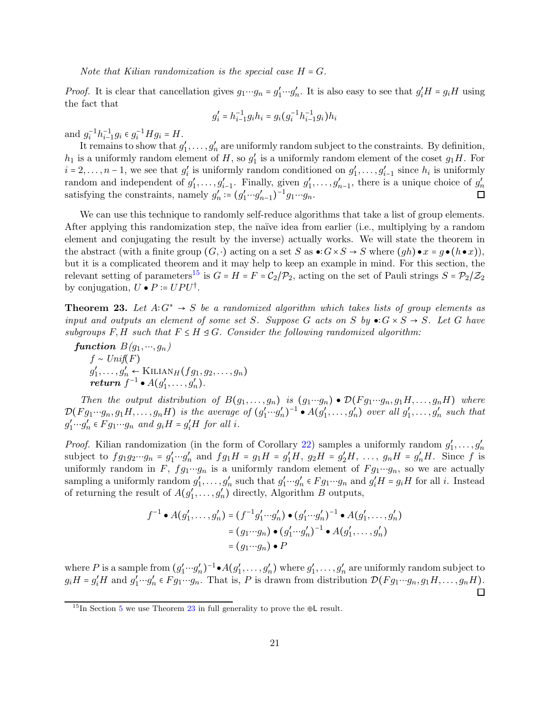Note that Kilian randomization is the special case  $H = G$ .

*Proof.* It is clear that cancellation gives  $g_1 \cdots g_n = g'_1 \cdots g'_n$ . It is also easy to see that  $g'_i H = g_i H$  using the fact that

$$
g_i' = h_{i-1}^{-1} g_i h_i = g_i (g_i^{-1} h_{i-1}^{-1} g_i) h_i
$$

and  $g_i^{-1}h_{i-1}^{-1}g_i \in g_i^{-1}Hg_i = H$ .

It remains to show that  $g'_1, \ldots, g'_n$  are uniformly random subject to the constraints. By definition,  $h_1$  is a uniformly random element of H, so  $g'_1$  is a uniformly random element of the coset  $g_1H$ . For  $i = 2, \ldots, n-1$ , we see that  $g'_i$  is uniformly random conditioned on  $g'_1, \ldots, g'_{i-1}$  since  $h_i$  is uniformly random and independent of  $g'_1, \ldots, g'_{i-1}$ . Finally, given  $g'_1, \ldots, g'_{n-1}$ , there is a unique choice of  $g'_n$ satisfying the constraints, namely  $g'_n := (g'_1 \cdots g'_{n-1})^{-1} g_1 \cdots g_n$ .  $\Box$ 

We can use this technique to randomly self-reduce algorithms that take a list of group elements. After applying this randomization step, the naïve idea from earlier (i.e., multiplying by a random element and conjugating the result by the inverse) actually works. We will state the theorem in the abstract (with a finite group  $(G, \cdot)$  acting on a set S as  $\bullet : G \times S \to S$  where  $(gh) \bullet x = g \bullet (h \bullet x)$ ), but it is a complicated theorem and it may help to keep an example in mind. For this section, the relevant setting of parameters<sup>[15](#page-20-0)</sup> is  $G = H = F = C_2/\mathcal{P}_2$ , acting on the set of Pauli strings  $S = \mathcal{P}_2/\mathcal{Z}_2$ by conjugation,  $U \bullet P \coloneqq UPU^{\dagger}$ .

<span id="page-20-1"></span>**Theorem 23.** Let  $A:G^* \to S$  be a randomized algorithm which takes lists of group elements as input and outputs an element of some set S. Suppose G acts on S by  $\bullet: G \times S \to S$ . Let G have subgroups F, H such that  $F \leq H \leq G$ . Consider the following randomized algorithm:

function  $B(q_1, ..., q_n)$  $f \sim Unif(F)$  $g'_1, \ldots, g'_n \leftarrow \text{Killian}_H(fg_1, g_2, \ldots, g_n)$  $return f^{-1} \bullet A(g'_1, \ldots, g'_n).$ 

Then the output distribution of  $B(g_1, \ldots, g_n)$  is  $(g_1 \cdots g_n) \bullet \mathcal{D}(Fg_1 \cdots g_n, g_1 H, \ldots, g_n H)$  where  $\mathcal{D}(Fg_1\cdots g_n,g_1H,\ldots,g_nH)$  is the average of  $(g'_1\cdots g'_n)^{-1}\bullet A(g'_1,\ldots,g'_n)$  over all  $g'_1,\ldots,g'_n$  such that  $g'_1 \cdots g'_n \in Fg_1 \cdots g_n$  and  $g_i H = g'_i H$  for all i.

*Proof.* Kilian randomization (in the form of Corollary [22\)](#page-19-3) samples a uniformly random  $g'_1, \ldots, g'_n$ subject to  $fg_1g_2\cdots g_n = g'_1\cdots g'_n$  and  $fg_1H = g_1H = g'_1H$ ,  $g_2H = g'_2H$ , ...,  $g_nH = g'_nH$ . Since f is uniformly random in F,  $fg_1 \cdots g_n$  is a uniformly random element of  $Fg_1 \cdots g_n$ , so we are actually sampling a uniformly random  $g'_1, \ldots, g'_n$  such that  $g'_1 \cdots g'_n \in F g_1 \cdots g_n$  and  $g'_i H = g_i H$  for all i. Instead of returning the result of  $A(g'_1, \ldots, g'_n)$  directly, Algorithm B outputs,

$$
f^{-1} \bullet A(g'_1, \dots, g'_n) = (f^{-1}g'_1 \cdots g'_n) \bullet (g'_1 \cdots g'_n)^{-1} \bullet A(g'_1, \dots, g'_n)
$$
  
=  $(g_1 \cdots g_n) \bullet (g'_1 \cdots g'_n)^{-1} \bullet A(g'_1, \dots, g'_n)$   
=  $(g_1 \cdots g_n) \bullet P$ 

where P is a sample from  $(g'_1 \cdots g'_n)^{-1} \bullet A(g'_1, \ldots, g'_n)$  where  $g'_1, \ldots, g'_n$  are uniformly random subject to  $g_iH = g'_iH$  and  $g'_1 \cdots g'_n \in Fg_1 \cdots g_n$ . That is, P is drawn from distribution  $\mathcal{D}(Fg_1 \cdots g_n, g_1H, \ldots, g_nH)$ .

 $\Box$ 

<span id="page-20-0"></span><sup>&</sup>lt;sup>1[5](#page-26-0)</sup>In Section 5 we use Theorem [23](#page-20-1) in full generality to prove the ⊕L result.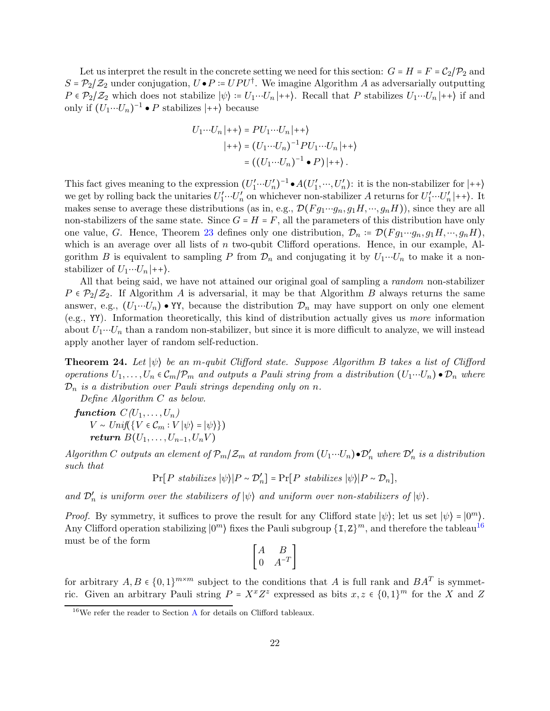Let us interpret the result in the concrete setting we need for this section:  $G = H = F = C_2/P_2$  and  $S = \mathcal{P}_2/\mathcal{Z}_2$  under conjugation,  $U \bullet P = UPU^{\dagger}$ . We imagine Algorithm A as adversarially outputting  $P \in \mathcal{P}_2/\mathcal{Z}_2$  which does not stabilize  $|\psi\rangle := U_1 \cdots U_n |++\rangle$ . Recall that P stabilizes  $U_1 \cdots U_n |++\rangle$  if and only if  $(U_1 \cdots U_n)^{-1}$  • P stabilizes  $|++\rangle$  because

$$
U_1 \cdots U_n \mid ++ \rangle = PU_1 \cdots U_n \mid ++ \rangle
$$
  

$$
\mid ++ \rangle = (U_1 \cdots U_n)^{-1} PU_1 \cdots U_n \mid ++ \rangle
$$
  

$$
= ((U_1 \cdots U_n)^{-1} \bullet P) \mid ++ \rangle.
$$

This fact gives meaning to the expression  $(U'_1 \cdots U'_n)^{-1} \bullet A(U'_1, \cdots, U'_n)$ : it is the non-stabilizer for  $|++\rangle$ we get by rolling back the unitaries  $U'_1 \cdots U'_n$  on whichever non-stabilizer A returns for  $U'_1 \cdots U'_n |++$ ). It makes sense to average these distributions (as in, e.g.,  $\mathcal{D}(Fg_1\cdots g_n, g_1H, \cdots, g_nH)$ ), since they are all non-stabilizers of the same state. Since  $G = H = F$ , all the parameters of this distribution have only one value, G. Hence, Theorem [23](#page-20-1) defines only one distribution,  $\mathcal{D}_n := \mathcal{D}(F g_1 \cdots g_n, g_1 H, \cdots, g_n H)$ , which is an average over all lists of  $n$  two-qubit Clifford operations. Hence, in our example, Algorithm B is equivalent to sampling P from  $\mathcal{D}_n$  and conjugating it by  $U_1 \cdots U_n$  to make it a nonstabilizer of  $U_1 \cdots U_n |++\rangle$ .

All that being said, we have not attained our original goal of sampling a random non-stabilizer  $P \in \mathcal{P}_2/\mathcal{Z}_2$ . If Algorithm A is adversarial, it may be that Algorithm B always returns the same answer, e.g.,  $(U_1 \cdots U_n) \bullet Y$ , because the distribution  $\mathcal{D}_n$  may have support on only one element (e.g., YY). Information theoretically, this kind of distribution actually gives us more information about  $U_1 \cdots U_n$  than a random non-stabilizer, but since it is more difficult to analyze, we will instead apply another layer of random self-reduction.

<span id="page-21-1"></span>**Theorem 24.** Let  $|\psi\rangle$  be an m-qubit Clifford state. Suppose Algorithm B takes a list of Clifford operations  $U_1, \ldots, U_n \in C_m/\mathcal{P}_m$  and outputs a Pauli string from a distribution  $(U_1 \cdots U_n) \bullet \mathcal{D}_n$  where  $\mathcal{D}_n$  is a distribution over Pauli strings depending only on n.

Define Algorithm C as below.

function  $C(U_1, \ldots, U_n)$  $V \sim Unif({V \in C_m : V |\psi\rangle = |\psi\rangle})$ return  $B(U_1, \ldots, U_{n-1}, U_n V)$ 

Algorithm C outputs an element of  $\mathcal{P}_m/\mathcal{Z}_m$  at random from  $(U_1\cdots U_n)\bullet \mathcal{D}'_n$  where  $\mathcal{D}'_n$  is a distribution such that

$$
Pr[P \; stabilizes \; |\psi\rangle | P \sim \mathcal{D}'_n] = Pr[P \; stabilizes \; |\psi\rangle | P \sim \mathcal{D}_n],
$$

and  $\mathcal{D}'_n$  is uniform over the stabilizers of  $|\psi\rangle$  and uniform over non-stabilizers of  $|\psi\rangle$ .

*Proof.* By symmetry, it suffices to prove the result for any Clifford state  $|\psi\rangle$ ; let us set  $|\psi\rangle = |0^m\rangle$ . Any Clifford operation stabilizing  $|0^m\rangle$  fixes the Pauli subgroup  $\{I, Z\}^m$ , and therefore the tableau<sup>[16](#page-21-0)</sup> must be of the form

$$
\begin{bmatrix} A & B \\ 0 & A^{-T} \end{bmatrix}
$$

for arbitrary  $A, B \in \{0,1\}^{m \times m}$  subject to the conditions that A is full rank and  $BA^T$  is symmetric. Given an arbitrary Pauli string  $P = X^x Z^z$  expressed as bits  $x, z \in \{0,1\}^m$  for the X and Z

<span id="page-21-0"></span> $16$ We refer the reader to Section [A](#page-37-1) for details on Clifford tableaux.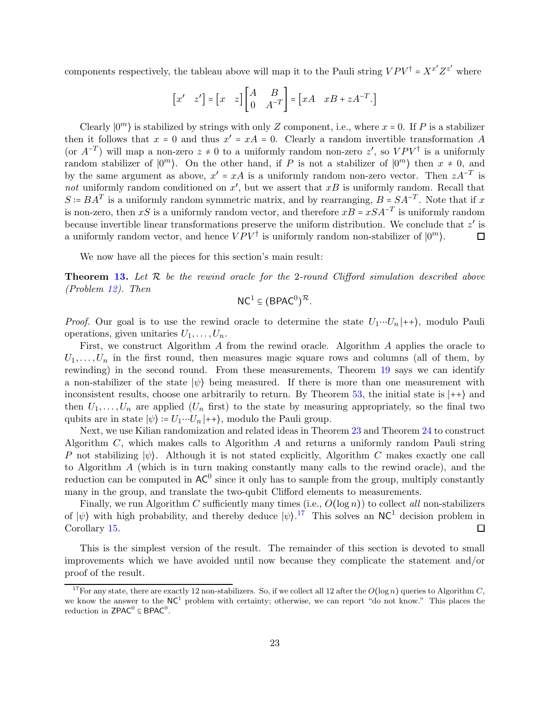components respectively, the tableau above will map it to the Pauli string  $VPV^{\dagger} = X^{x'}Z^{z'}$  where

$$
\begin{bmatrix} x' & z' \end{bmatrix} = \begin{bmatrix} x & z \end{bmatrix} \begin{bmatrix} A & B \\ 0 & A^{-T} \end{bmatrix} = \begin{bmatrix} xA & xB + zA^{-T} \end{bmatrix}
$$

Clearly  $|0^m\rangle$  is stabilized by strings with only Z component, i.e., where  $x = 0$ . If P is a stabilizer then it follows that  $x = 0$  and thus  $x' = xA = 0$ . Clearly a random invertible transformation A (or  $A^{-T}$ ) will map a non-zero  $z \neq 0$  to a uniformly random non-zero  $z'$ , so  $VPV^{\dagger}$  is a uniformly random stabilizer of  $|0^m\rangle$ . On the other hand, if P is not a stabilizer of  $|0^m\rangle$  then  $x \neq 0$ , and by the same argument as above,  $x' = xA$  is a uniformly random non-zero vector. Then  $zA^{-T}$  is not uniformly random conditioned on  $x'$ , but we assert that  $xB$  is uniformly random. Recall that  $S = BA^T$  is a uniformly random symmetric matrix, and by rearranging,  $B = SA^{-T}$ . Note that if x is non-zero, then xS is a uniformly random vector, and therefore  $xB = xSA^{-T}$  is uniformly random because invertible linear transformations preserve the uniform distribution. We conclude that  $z'$  is a uniformly random vector, and hence  $VPV^{\dagger}$  is uniformly random non-stabilizer of  $|0^m\rangle$ . □

We now have all the pieces for this section's main result:

**Theorem [13.](#page-14-1)** Let  $\mathcal{R}$  be the rewind oracle for the 2-round Clifford simulation described above (Problem [12\)](#page-14-2). Then

$$
\mathsf{NC}^1\subseteq (\mathsf{BPAC}^0)^\mathcal{R}.
$$

*Proof.* Our goal is to use the rewind oracle to determine the state  $U_1 \cdots U_n |++\rangle$ , modulo Pauli operations, given unitaries  $U_1, \ldots, U_n$ .

First, we construct Algorithm A from the rewind oracle. Algorithm A applies the oracle to  $U_1, \ldots, U_n$  in the first round, then measures magic square rows and columns (all of them, by rewinding) in the second round. From these measurements, Theorem [19](#page-18-2) says we can identify a non-stabilizer of the state  $|\psi\rangle$  being measured. If there is more than one measurement with inconsistent results, choose one arbitrarily to return. By Theorem [53,](#page-49-1) the initial state is  $|++\rangle$  and then  $U_1, \ldots, U_n$  are applied  $(U_n$  first) to the state by measuring appropriately, so the final two qubits are in state  $|\psi\rangle = U_1 \cdots U_n |++\rangle$ , modulo the Pauli group.

Next, we use Kilian randomization and related ideas in Theorem [23](#page-20-1) and Theorem [24](#page-21-1) to construct Algorithm C, which makes calls to Algorithm A and returns a uniformly random Pauli string P not stabilizing  $|\psi\rangle$ . Although it is not stated explicitly, Algorithm C makes exactly one call to Algorithm A (which is in turn making constantly many calls to the rewind oracle), and the reduction can be computed in  $AC^0$  since it only has to sample from the group, multiply constantly many in the group, and translate the two-qubit Clifford elements to measurements.

Finally, we run Algorithm C sufficiently many times (i.e.,  $O(\log n)$ ) to collect all non-stabilizers of  $|\psi\rangle$  with high probability, and thereby deduce  $|\psi\rangle^{17}$  $|\psi\rangle^{17}$  $|\psi\rangle^{17}$  This solves an NC<sup>1</sup> decision problem in Corollary [15.](#page-16-1)  $\Box$ 

This is the simplest version of the result. The remainder of this section is devoted to small improvements which we have avoided until now because they complicate the statement and/or proof of the result.

<span id="page-22-0"></span><sup>&</sup>lt;sup>17</sup>For any state, there are exactly 12 non-stabilizers. So, if we collect all 12 after the  $O(\log n)$  queries to Algorithm C, we know the answer to the NC<sup>1</sup> problem with certainty; otherwise, we can report "do not know." This places the reduction in  $\mathsf{ZPAC}^0 \subseteq \mathsf{BPAC}^0$ .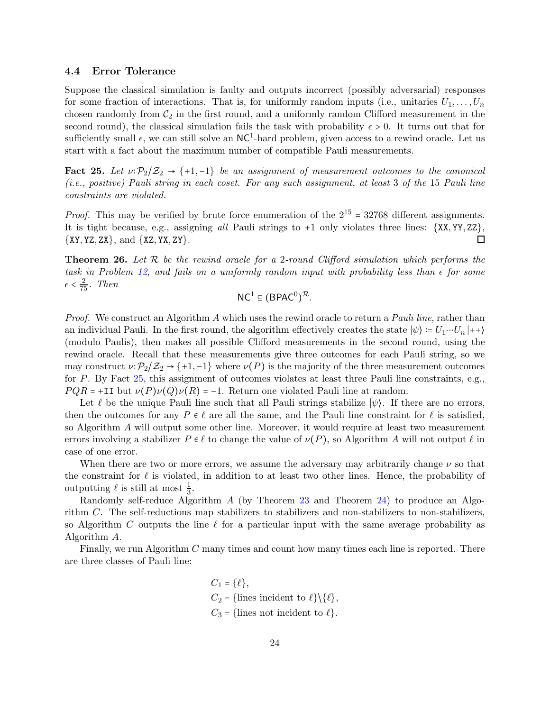#### <span id="page-23-0"></span>4.4 Error Tolerance

Suppose the classical simulation is faulty and outputs incorrect (possibly adversarial) responses for some fraction of interactions. That is, for uniformly random inputs (i.e., unitaries  $U_1, \ldots, U_n$ chosen randomly from  $C_2$  in the first round, and a uniformly random Clifford measurement in the second round), the classical simulation fails the task with probability  $\epsilon > 0$ . It turns out that for sufficiently small  $\epsilon$ , we can still solve an NC<sup>1</sup>-hard problem, given access to a rewind oracle. Let us start with a fact about the maximum number of compatible Pauli measurements.

<span id="page-23-1"></span>Fact 25. Let  $\nu:\mathcal{P}_2/\mathcal{Z}_2 \to \{+1,-1\}$  be an assignment of measurement outcomes to the canonical (i.e., positive) Pauli string in each coset. For any such assignment, at least 3 of the 15 Pauli line constraints are violated.

*Proof.* This may be verified by brute force enumeration of the  $2^{15} = 32768$  different assignments. It is tight because, e.g., assigning all Pauli strings to +1 only violates three lines: {XX, YY, ZZ},  $\{XY, YZ, ZX\}$ , and  $\{XZ, YX, ZY\}$ . □

<span id="page-23-2"></span>**Theorem 26.** Let  $\mathcal{R}$  be the rewind oracle for a 2-round Clifford simulation which performs the task in Problem [12,](#page-14-2) and fails on a uniformly random input with probability less than  $\epsilon$  for some  $\epsilon < \frac{2}{75}$ . Then

 $NC^{1} \subseteq (BPAC^{0})^{\mathcal{R}}$ .

Proof. We construct an Algorithm A which uses the rewind oracle to return a Pauli line, rather than an individual Pauli. In the first round, the algorithm effectively creates the state  $|\psi\rangle = U_1 \cdots U_n |++\rangle$ (modulo Paulis), then makes all possible Clifford measurements in the second round, using the rewind oracle. Recall that these measurements give three outcomes for each Pauli string, so we may construct  $\nu: \mathcal{P}_2/\mathcal{Z}_2 \to \{+1,-1\}$  where  $\nu(P)$  is the majority of the three measurement outcomes for P. By Fact [25,](#page-23-1) this assignment of outcomes violates at least three Pauli line constraints, e.g.,  $PQR = +II$  but  $\nu(P)\nu(Q)\nu(R) = -1$ . Return one violated Pauli line at random.

Let  $\ell$  be the unique Pauli line such that all Pauli strings stabilize  $|\psi\rangle$ . If there are no errors, then the outcomes for any  $P \in \ell$  are all the same, and the Pauli line constraint for  $\ell$  is satisfied, so Algorithm A will output some other line. Moreover, it would require at least two measurement errors involving a stabilizer  $P \in \ell$  to change the value of  $\nu(P)$ , so Algorithm A will not output  $\ell$  in case of one error.

When there are two or more errors, we assume the adversary may arbitrarily change  $\nu$  so that the constraint for  $\ell$  is violated, in addition to at least two other lines. Hence, the probability of outputting  $\ell$  is still at most  $\frac{1}{3}$ .

Randomly self-reduce Algorithm A (by Theorem [23](#page-20-1) and Theorem [24\)](#page-21-1) to produce an Algorithm C. The self-reductions map stabilizers to stabilizers and non-stabilizers to non-stabilizers, so Algorithm C outputs the line  $\ell$  for a particular input with the same average probability as Algorithm A.

Finally, we run Algorithm C many times and count how many times each line is reported. There are three classes of Pauli line:

$$
C_1 = \{\ell\},
$$
  
\n
$$
C_2 = \{\text{lines incident to } \ell\} \setminus \{\ell\},
$$
  
\n
$$
C_3 = \{\text{lines not incident to } \ell\}.
$$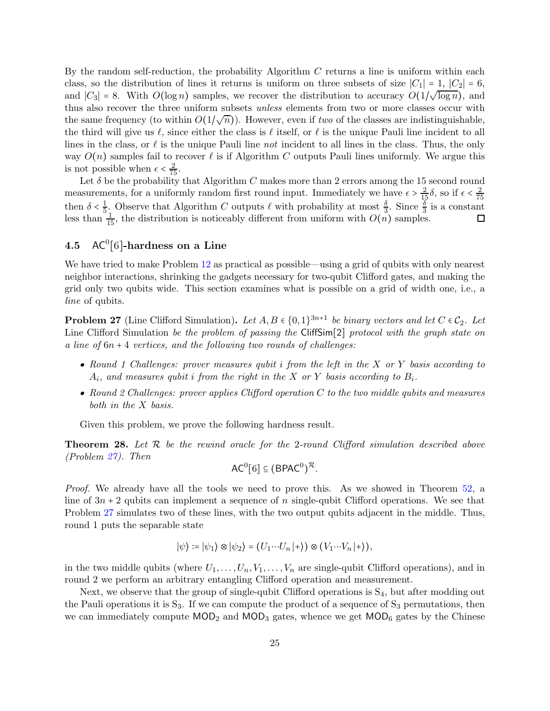By the random self-reduction, the probability Algorithm  $C$  returns a line is uniform within each class, so the distribution of lines it returns is uniform on three subsets of size  $|C_1| = 1$ ,  $|C_2| = 6$ , and  $|C_3| = 8$ . With  $O(\log n)$  samples, we recover the distribution to accuracy  $O(1/\sqrt{\log n})$ , and thus also recover the three uniform subsets *unless* elements from two or more classes occur with the same frequency (to within  $O(1/\sqrt{n})$ ). However, even if two of the classes are indistinguishable, the third will give us  $\ell$ , since either the class is  $\ell$  itself, or  $\ell$  is the unique Pauli line incident to all lines in the class, or  $\ell$  is the unique Pauli line not incident to all lines in the class. Thus, the only way  $O(n)$  samples fail to recover  $\ell$  is if Algorithm C outputs Pauli lines uniformly. We argue this is not possible when  $\epsilon < \frac{2}{75}$ .

Let  $\delta$  be the probability that Algorithm C makes more than 2 errors among the 15 second round measurements, for a uniformly random first round input. Immediately we have  $\epsilon > \frac{2}{15}\delta$ , so if  $\epsilon < \frac{2}{75}$ 75 then  $\delta < \frac{1}{5}$  $\frac{1}{5}$ . Observe that Algorithm C outputs  $\ell$  with probability at most  $\frac{\delta}{3}$ . Since  $\frac{\delta}{3}$  is a constant less than  $\frac{1}{15}$ , the distribution is noticeably different from uniform with  $O(n)$  samples.

# <span id="page-24-0"></span> $4.5$  AC<sup>0</sup>[6]-hardness on a Line

We have tried to make Problem [12](#page-14-2) as practical as possible—using a grid of qubits with only nearest neighbor interactions, shrinking the gadgets necessary for two-qubit Clifford gates, and making the grid only two qubits wide. This section examines what is possible on a grid of width one, i.e., a line of qubits.

<span id="page-24-2"></span>**Problem 27** (Line Clifford Simulation). Let  $A, B \in \{0, 1\}^{3n+1}$  be binary vectors and let  $C \in C_2$ . Let Line Clifford Simulation be the problem of passing the CliffSim[2] protocol with the graph state on a line of  $6n + 4$  vertices, and the following two rounds of challenges:

- Round 1 Challenges: prover measures qubit i from the left in the X or Y basis according to  $A_i$ , and measures qubit i from the right in the X or Y basis according to  $B_i$ .
- Round 2 Challenges: prover applies Clifford operation  $C$  to the two middle qubits and measures both in the X basis.

<span id="page-24-1"></span>Given this problem, we prove the following hardness result.

**Theorem 28.** Let  $R$  be the rewind oracle for the 2-round Clifford simulation described above (Problem [27\)](#page-24-2). Then

$$
AC^0[6] \subseteq (BPAC^0)^{\mathcal{R}}.
$$

Proof. We already have all the tools we need to prove this. As we showed in Theorem [52,](#page-48-0) a line of  $3n + 2$  qubits can implement a sequence of n single-qubit Clifford operations. We see that Problem [27](#page-24-2) simulates two of these lines, with the two output qubits adjacent in the middle. Thus, round 1 puts the separable state

$$
|\psi\rangle\coloneqq|\psi_1\rangle\otimes|\psi_2\rangle=(U_1\cdots U_n|+\rangle)\otimes (V_1\cdots V_n|+\rangle),
$$

in the two middle qubits (where  $U_1, \ldots, U_n, V_1, \ldots, V_n$  are single-qubit Clifford operations), and in round 2 we perform an arbitrary entangling Clifford operation and measurement.

Next, we observe that the group of single-qubit Clifford operations is  $S_4$ , but after modding out the Pauli operations it is  $S_3$ . If we can compute the product of a sequence of  $S_3$  permutations, then we can immediately compute  $MOD_2$  and  $MOD_3$  gates, whence we get  $MOD_6$  gates by the Chinese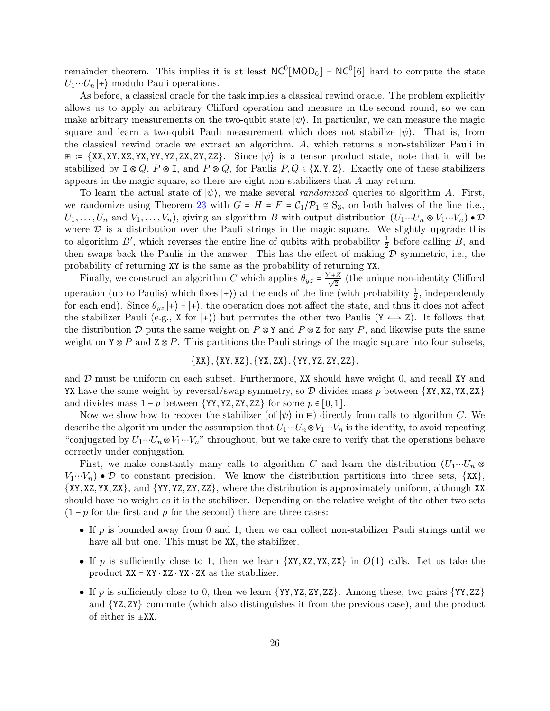remainder theorem. This implies it is at least  $NC^0[MOD_6] = NC^0[6]$  hard to compute the state  $U_1 \cdots U_n$  + modulo Pauli operations.

As before, a classical oracle for the task implies a classical rewind oracle. The problem explicitly allows us to apply an arbitrary Clifford operation and measure in the second round, so we can make arbitrary measurements on the two-qubit state  $|\psi\rangle$ . In particular, we can measure the magic square and learn a two-qubit Pauli measurement which does not stabilize  $|\psi\rangle$ . That is, from the classical rewind oracle we extract an algorithm, A, which returns a non-stabilizer Pauli in  $\Xi$  := {XX, XY, XZ, YX, YY, YZ, ZX, ZY, ZZ}. Since  $|\psi\rangle$  is a tensor product state, note that it will be stabilized by  $I \otimes Q$ ,  $P \otimes I$ , and  $P \otimes Q$ , for Paulis  $P, Q \in \{X, Y, Z\}$ . Exactly one of these stabilizers appears in the magic square, so there are eight non-stabilizers that A may return.

To learn the actual state of  $|\psi\rangle$ , we make several *randomized* queries to algorithm A. First, we randomize using Theorem [23](#page-20-1) with  $G = H = F = C_1/P_1 \approx S_3$ , on both halves of the line (i.e.,  $U_1, \ldots, U_n$  and  $V_1, \ldots, V_n$ , giving an algorithm B with output distribution  $(U_1 \cdots U_n \otimes V_1 \cdots V_n) \bullet \mathcal{D}$ where  $D$  is a distribution over the Pauli strings in the magic square. We slightly upgrade this to algorithm B', which reverses the entire line of qubits with probability  $\frac{1}{2}$  before calling B, and then swaps back the Paulis in the answer. This has the effect of making  $D$  symmetric, i.e., the probability of returning XY is the same as the probability of returning YX.

Finally, we construct an algorithm C which applies  $\theta_{yz} = \frac{Y+Z}{\sqrt{2}}$  (the unique non-identity Clifford operation (up to Paulis) which fixes  $|+\rangle$ ) at the ends of the line (with probability  $\frac{1}{2}$ , independently for each end). Since  $\theta_{yz}$  |+ $\rangle$  = |+ $\rangle$ , the operation does not affect the state, and thus it does not affect the stabilizer Pauli (e.g., X for  $|+\rangle$ ) but permutes the other two Paulis (Y  $\leftrightarrow$  Z). It follows that the distribution D puts the same weight on  $P \otimes Y$  and  $P \otimes Z$  for any P, and likewise puts the same weight on  $Y \otimes P$  and  $Z \otimes P$ . This partitions the Pauli strings of the magic square into four subsets,

#### $\{XX\}, \{XY, XZ\}, \{YX, ZX\}, \{YY, YZ, ZY, ZZ\},$

and  $D$  must be uniform on each subset. Furthermore, XX should have weight 0, and recall XY and YX have the same weight by reversal/swap symmetry, so  $\mathcal D$  divides mass p between  $\{XY, XZ, YX, ZX\}$ and divides mass  $1 - p$  between  $\{YY, YZ, ZY, ZZ\}$  for some  $p \in [0, 1]$ .

Now we show how to recover the stabilizer (of  $|\psi\rangle$  in  $\mathbb{E}$ ) directly from calls to algorithm C. We describe the algorithm under the assumption that  $U_1 \cdots U_n \otimes V_1 \cdots V_n$  is the identity, to avoid repeating "conjugated by  $U_1 \cdots U_n \otimes V_1 \cdots V_n$ " throughout, but we take care to verify that the operations behave correctly under conjugation.

First, we make constantly many calls to algorithm C and learn the distribution  $(U_1 \cdots U_n \otimes$  $V_1 \cdots V_n$   $\bullet$   $\mathcal D$  to constant precision. We know the distribution partitions into three sets, {XX}, {XY, XZ, YX, ZX}, and {YY, YZ, ZY, ZZ}, where the distribution is approximately uniform, although XX should have no weight as it is the stabilizer. Depending on the relative weight of the other two sets  $(1-p)$  for the first and p for the second) there are three cases:

- If p is bounded away from 0 and 1, then we can collect non-stabilizer Pauli strings until we have all but one. This must be XX, the stabilizer.
- If p is sufficiently close to 1, then we learn  $\{XY, XZ, YX, ZX\}$  in  $O(1)$  calls. Let us take the product  $XX = XY \cdot XZ \cdot YX \cdot ZX$  as the stabilizer.
- If p is sufficiently close to 0, then we learn  $\{YY, YZ, ZY, ZZ\}$ . Among these, two pairs  $\{YY, ZZ\}$ and {YZ, ZY} commute (which also distinguishes it from the previous case), and the product of either is  $\pm$ XX.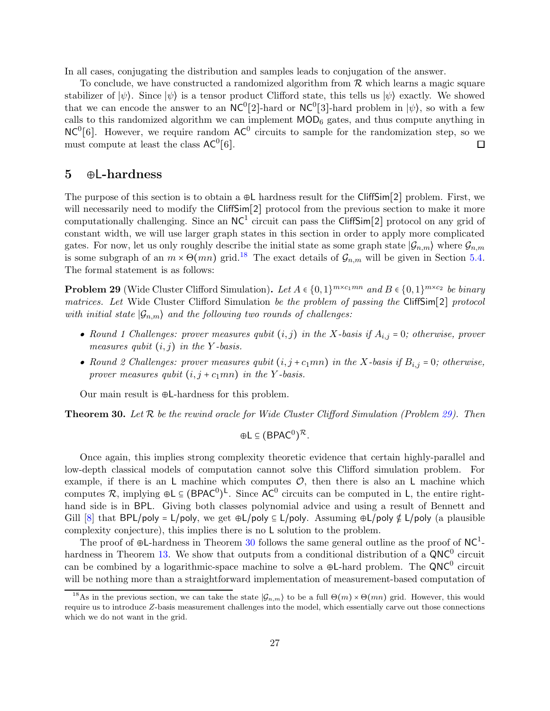In all cases, conjugating the distribution and samples leads to conjugation of the answer.

To conclude, we have constructed a randomized algorithm from  $R$  which learns a magic square stabilizer of  $|\psi\rangle$ . Since  $|\psi\rangle$  is a tensor product Clifford state, this tells us  $|\psi\rangle$  exactly. We showed that we can encode the answer to an  $NC^0[2]$ -hard or  $NC^0[3]$ -hard problem in  $|\psi\rangle$ , so with a few calls to this randomized algorithm we can implement  $\text{MOD}_6$  gates, and thus compute anything in  $NC<sup>0</sup>[6]$ . However, we require random  $AC<sup>0</sup>$  circuits to sample for the randomization step, so we must compute at least the class  $AC^0[6]$ . □

## <span id="page-26-0"></span>5 ⊕L-hardness

The purpose of this section is to obtain a ⊕L hardness result for the CliffSim[2] problem. First, we will necessarily need to modify the CliffSim<sup>[2]</sup> protocol from the previous section to make it more computationally challenging. Since an  $NC<sup>1</sup>$  circuit can pass the CliffSim[2] protocol on any grid of constant width, we will use larger graph states in this section in order to apply more complicated gates. For now, let us only roughly describe the initial state as some graph state  $|\mathcal{G}_{n,m}\rangle$  where  $\mathcal{G}_{n,m}$ is some subgraph of an  $m \times \Theta(mn)$  grid.<sup>[18](#page-26-3)</sup> The exact details of  $\mathcal{G}_{n,m}$  will be given in Section [5.4.](#page-32-0) The formal statement is as follows:

<span id="page-26-2"></span>**Problem 29** (Wide Cluster Clifford Simulation). Let  $A \in \{0,1\}^{m \times c_1 mn}$  and  $B \in \{0,1\}^{m \times c_2}$  be binary matrices. Let Wide Cluster Clifford Simulation be the problem of passing the CliffSim[2] protocol with initial state  $|\mathcal{G}_{n,m}\rangle$  and the following two rounds of challenges:

- Round 1 Challenges: prover measures qubit  $(i, j)$  in the X-basis if  $A_{i,j} = 0$ ; otherwise, prover measures qubit  $(i, j)$  in the Y-basis.
- Round 2 Challenges: prover measures qubit  $(i, j + c_1mn)$  in the X-basis if  $B_{i,j} = 0$ ; otherwise, prover measures qubit  $(i, j + c_1mn)$  in the Y-basis.

<span id="page-26-1"></span>Our main result is ⊕L-hardness for this problem.

**Theorem 30.** Let  $R$  be the rewind oracle for Wide Cluster Clifford Simulation (Problem [29\)](#page-26-2). Then

$$
\oplus \mathsf{L} \subseteq (\mathsf{B} \mathsf{P} \mathsf{A} \mathsf{C}^0)^{\mathcal{R}}.
$$

Once again, this implies strong complexity theoretic evidence that certain highly-parallel and low-depth classical models of computation cannot solve this Clifford simulation problem. For example, if there is an L machine which computes  $\mathcal{O}$ , then there is also an L machine which computes  $\mathcal{R}$ , implying  $\oplus L \subseteq (B P AC^0)^L$ . Since AC<sup>0</sup> circuits can be computed in L, the entire righthand side is in BPL. Giving both classes polynomial advice and using a result of Bennett and Gill [\[8\]](#page-35-11) that BPL/poly = L/poly, we get ⊕L/poly ⊆ L/poly. Assuming ⊕L/poly  $\notin L$ /poly (a plausible complexity conjecture), this implies there is no L solution to the problem.

The proof of  $\oplus$ L-hardness in Theorem [30](#page-26-1) follows the same general outline as the proof of NC<sup>1</sup>-hardness in Theorem [13.](#page-14-1) We show that outputs from a conditional distribution of a  $QNC^0$  circuit can be combined by a logarithmic-space machine to solve a  $\oplus L$ -hard problem. The QNC<sup>0</sup> circuit will be nothing more than a straightforward implementation of measurement-based computation of

<span id="page-26-3"></span><sup>&</sup>lt;sup>18</sup>As in the previous section, we can take the state  $|\mathcal{G}_{n,m}\rangle$  to be a full  $\Theta(m)\times\Theta(mn)$  grid. However, this would require us to introduce Z-basis measurement challenges into the model, which essentially carve out those connections which we do not want in the grid.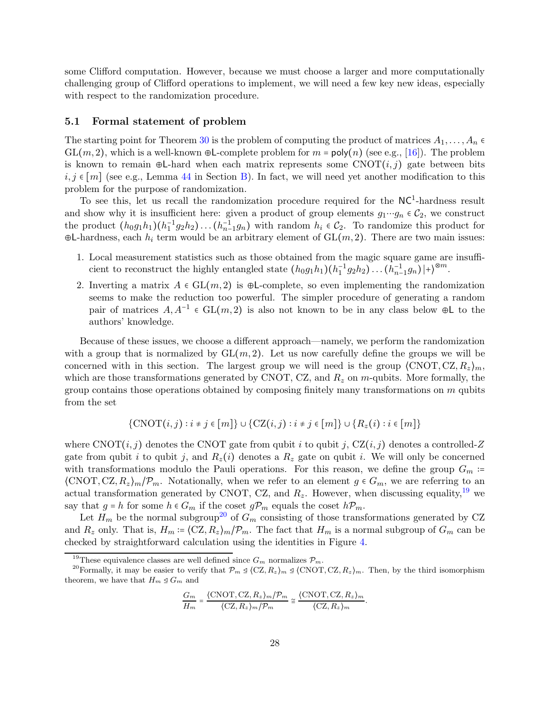some Clifford computation. However, because we must choose a larger and more computationally challenging group of Clifford operations to implement, we will need a few key new ideas, especially with respect to the randomization procedure.

#### <span id="page-27-0"></span>5.1 Formal statement of problem

The starting point for Theorem [30](#page-26-1) is the problem of computing the product of matrices  $A_1, \ldots, A_n \in$  $GL(m, 2)$ , which is a well-known ⊕L-complete problem for  $m = poly(n)$  (see e.g., [\[16\]](#page-35-7)). The problem is known to remain ⊕L-hard when each matrix represents some  $CNOT(i, j)$  gate between bits  $i, j \in [m]$  (see e.g., Lemma [44](#page-41-0) in Section [B\)](#page-40-0). In fact, we will need yet another modification to this problem for the purpose of randomization.

To see this, let us recall the randomization procedure required for the  $NC<sup>1</sup>$ -hardness result and show why it is insufficient here: given a product of group elements  $g_1 \cdots g_n \in C_2$ , we construct the product  $(h_0g_1h_1)(h_1^{-1}g_2h_2)...(h_{n-1}^{-1}g_n)$  with random  $h_i \in C_2$ . To randomize this product for  $\oplus$ L-hardness, each  $h_i$  term would be an arbitrary element of  $GL(m, 2)$ . There are two main issues:

- 1. Local measurement statistics such as those obtained from the magic square game are insufficient to reconstruct the highly entangled state  $(h_0g_1h_1)(h_1^{-1}g_2h_2)...(h_{n-1}^{-1}g_n)|+\rangle^{\otimes m}$ .
- 2. Inverting a matrix  $A \in GL(m, 2)$  is  $\bigoplus$ -complete, so even implementing the randomization seems to make the reduction too powerful. The simpler procedure of generating a random pair of matrices  $A, A^{-1} \in GL(m, 2)$  is also not known to be in any class below  $\oplus L$  to the authors' knowledge.

Because of these issues, we choose a different approach—namely, we perform the randomization with a group that is normalized by  $GL(m, 2)$ . Let us now carefully define the groups we will be concerned with in this section. The largest group we will need is the group  $\langle \text{CNOT}, \text{CZ}, R_z \rangle_m$ , which are those transformations generated by CNOT, CZ, and  $R_z$  on m-qubits. More formally, the group contains those operations obtained by composing finitely many transformations on  $m$  qubits from the set

$$
\{\mathrm{CNOT}(i,j): i\neq j\in [m]\}\cup \{\mathrm{CZ}(i,j): i\neq j\in [m]\}\cup \{R_z(i): i\in [m]\}
$$

where  $CNOT(i, j)$  denotes the CNOT gate from qubit i to qubit j, CZ $(i, j)$  denotes a controlled-Z gate from qubit i to qubit j, and  $R_z(i)$  denotes a  $R_z$  gate on qubit i. We will only be concerned with transformations modulo the Pauli operations. For this reason, we define the group  $G_m$  :=  $\langle \text{CNOT}, \text{CZ}, R_z \rangle_m / \mathcal{P}_m$ . Notationally, when we refer to an element  $g \in G_m$ , we are referring to an actual transformation generated by CNOT, CZ, and  $R_z$ . However, when discussing equality,<sup>[19](#page-27-1)</sup> we say that  $g = h$  for some  $h \in G_m$  if the coset  $g\mathcal{P}_m$  equals the coset  $h\mathcal{P}_m$ .

Let  $H_m$  be the normal subgroup<sup>[20](#page-27-2)</sup> of  $G_m$  consisting of those transformations generated by CZ and  $R_z$  only. That is,  $H_m = (CZ, R_z)_m / \mathcal{P}_m$ . The fact that  $H_m$  is a normal subgroup of  $G_m$  can be checked by straightforward calculation using the identities in Figure [4.](#page-28-1)

$$
\frac{G_m}{H_m} = \frac{\langle \text{CNOT}, \text{CZ}, R_z \rangle_m / \mathcal{P}_m}{\langle \text{CZ}, R_z \rangle_m / \mathcal{P}_m} \cong \frac{\langle \text{CNOT}, \text{CZ}, R_z \rangle_m}{\langle \text{CZ}, R_z \rangle_m}.
$$

<span id="page-27-1"></span><sup>&</sup>lt;sup>19</sup>These equivalence classes are well defined since  $G_m$  normalizes  $\mathcal{P}_m$ .

<span id="page-27-2"></span><sup>&</sup>lt;sup>20</sup>Formally, it may be easier to verify that  $\mathcal{P}_m \trianglelefteq \langle CZ, R_z\rangle_m \trianglelefteq \langle CNOT, CZ, R_z\rangle_m$ . Then, by the third isomorphism theorem, we have that  $H_m \trianglelefteq G_m$  and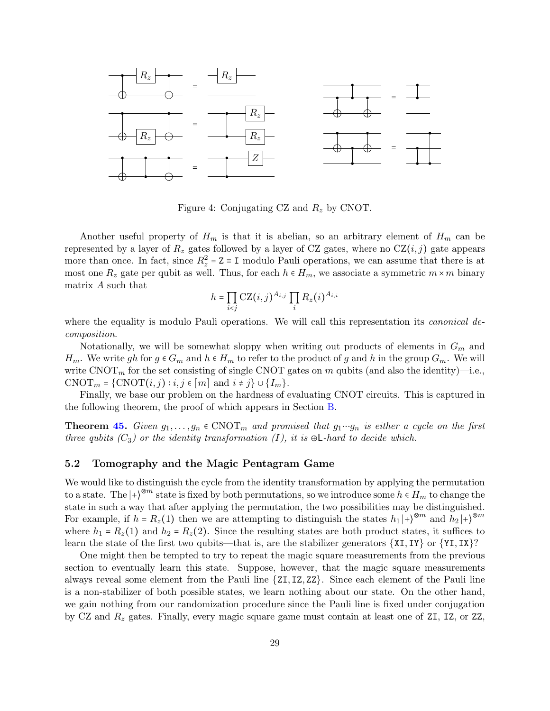

<span id="page-28-1"></span>Figure 4: Conjugating CZ and  $R_z$  by CNOT.

Another useful property of  $H_m$  is that it is abelian, so an arbitrary element of  $H_m$  can be represented by a layer of  $R_z$  gates followed by a layer of CZ gates, where no  $CZ(i, j)$  gate appears more than once. In fact, since  $R_z^2 = Z \equiv I$  modulo Pauli operations, we can assume that there is at most one  $R_z$  gate per qubit as well. Thus, for each  $h \in H_m$ , we associate a symmetric  $m \times m$  binary matrix A such that

$$
h = \prod_{i < j} \text{CZ}(i, j)^{A_{i, j}} \prod_i R_z(i)^{A_{i, i}}
$$

where the equality is modulo Pauli operations. We will call this representation its *canonical de*composition.

Notationally, we will be somewhat sloppy when writing out products of elements in  $G_m$  and  $H_m$ . We write gh for  $g \in G_m$  and  $h \in H_m$  to refer to the product of g and h in the group  $G_m$ . We will write CNOT<sub>m</sub> for the set consisting of single CNOT gates on m qubits (and also the identity)—i.e., CNOT<sub>m</sub> = {CNOT $(i, j) : i, j \in [m]$  and  $i \neq j$ } ∪ { $I_m$ }.

Finally, we base our problem on the hardness of evaluating CNOT circuits. This is captured in the following theorem, the proof of which appears in Section [B.](#page-40-0)

**Theorem [45.](#page-41-1)** Given  $g_1, \ldots, g_n \in \text{CNOT}_m$  and promised that  $g_1 \cdots g_n$  is either a cycle on the first three qubits  $(C_3)$  or the identity transformation  $(I)$ , it is  $\oplus L$ -hard to decide which.

#### <span id="page-28-0"></span>5.2 Tomography and the Magic Pentagram Game

We would like to distinguish the cycle from the identity transformation by applying the permutation to a state. The  $\ket{+}^{\otimes m}$  state is fixed by both permutations, so we introduce some  $h \in H_m$  to change the state in such a way that after applying the permutation, the two possibilities may be distinguished. For example, if  $h = R_z(1)$  then we are attempting to distinguish the states  $h_1 |+\rangle^{\otimes m}$  and  $h_2 |+\rangle^{\otimes m}$ where  $h_1 = R_z(1)$  and  $h_2 = R_z(2)$ . Since the resulting states are both product states, it suffices to learn the state of the first two qubits—that is, are the stabilizer generators  $\{XI, IY\}$  or  $\{YI, IX\}$ ?

One might then be tempted to try to repeat the magic square measurements from the previous section to eventually learn this state. Suppose, however, that the magic square measurements always reveal some element from the Pauli line {ZI, IZ, ZZ}. Since each element of the Pauli line is a non-stabilizer of both possible states, we learn nothing about our state. On the other hand, we gain nothing from our randomization procedure since the Pauli line is fixed under conjugation by CZ and  $R_z$  gates. Finally, every magic square game must contain at least one of ZI, IZ, or ZZ,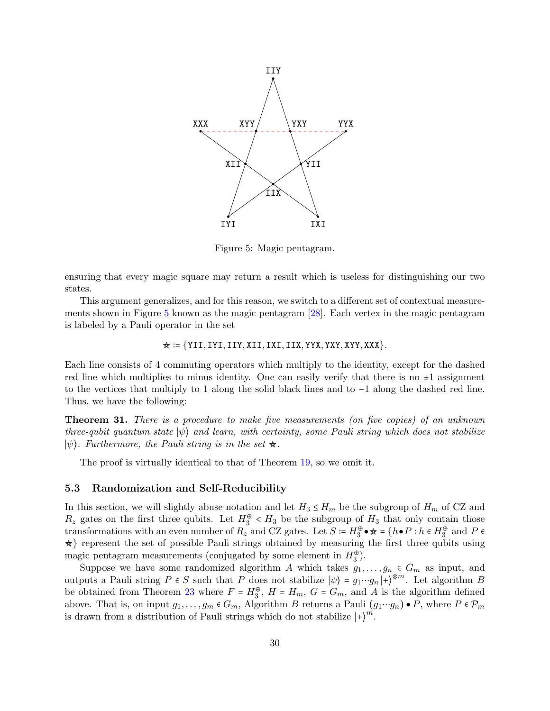

<span id="page-29-1"></span>Figure 5: Magic pentagram.

ensuring that every magic square may return a result which is useless for distinguishing our two states.

This argument generalizes, and for this reason, we switch to a different set of contextual measurements shown in Figure [5](#page-29-1) known as the magic pentagram [\[28\]](#page-36-4). Each vertex in the magic pentagram is labeled by a Pauli operator in the set

$$
\star \coloneqq \{\texttt{YII}, \texttt{IYI}, \texttt{IIV}, \texttt{XII}, \texttt{IXI}, \texttt{IIX}, \texttt{YYX}, \texttt{YXY}, \texttt{XYY}, \texttt{XXX}\}.
$$

Each line consists of 4 commuting operators which multiply to the identity, except for the dashed red line which multiplies to minus identity. One can easily verify that there is no  $\pm 1$  assignment to the vertices that multiply to 1 along the solid black lines and to −1 along the dashed red line. Thus, we have the following:

<span id="page-29-2"></span>Theorem 31. There is a procedure to make five measurements (on five copies) of an unknown three-qubit quantum state  $|\psi\rangle$  and learn, with certainty, some Pauli string which does not stabilize  $|\psi\rangle$ . Furthermore, the Pauli string is in the set  $\star$ .

The proof is virtually identical to that of Theorem [19,](#page-18-2) so we omit it.

#### <span id="page-29-0"></span>5.3 Randomization and Self-Reducibility

In this section, we will slightly abuse notation and let  $H_3 \le H_m$  be the subgroup of  $H_m$  of CZ and  $R_z$  gates on the first three qubits. Let  $H_3^{\oplus} < H_3$  be the subgroup of  $H_3$  that only contain those transformations with an even number of  $R_z$  and CZ gates. Let  $S \coloneqq H_3^{\oplus} \bullet \star = \{h \bullet P : h \in H_3^{\oplus} \text{ and } P \in \mathbb{R} \}$  $\star$ } represent the set of possible Pauli strings obtained by measuring the first three qubits using magic pentagram measurements (conjugated by some element in  $H_3^{\oplus}$ ).

Suppose we have some randomized algorithm A which takes  $g_1, \ldots, g_n \in G_m$  as input, and outputs a Pauli string  $P \in S$  such that P does not stabilize  $|\psi\rangle = g_1 \cdots g_n |+\rangle^{\otimes m}$ . Let algorithm B be obtained from Theorem [23](#page-20-1) where  $F = H_3^{\oplus}$ ,  $H = H_m$ ,  $G = G_m$ , and A is the algorithm defined above. That is, on input  $g_1, \ldots, g_m \in G_m$ , Algorithm B returns a Pauli  $(g_1 \cdots g_n) \bullet P$ , where  $P \in \mathcal{P}_m$ is drawn from a distribution of Pauli strings which do not stabilize  $|+\rangle^m$ .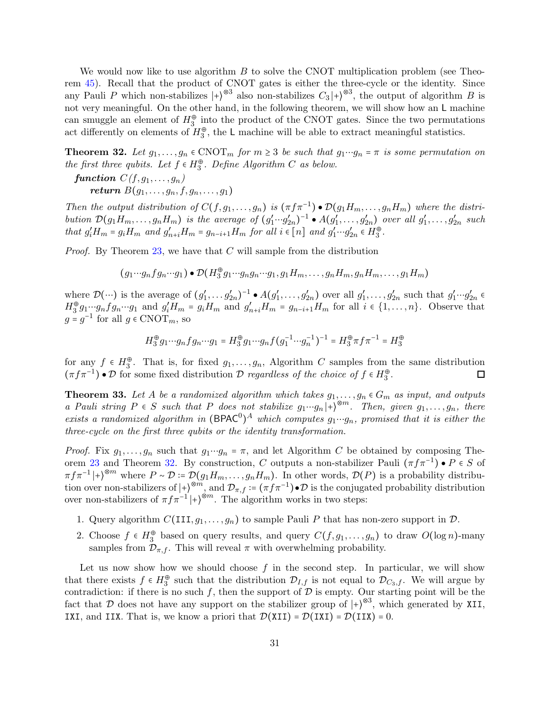We would now like to use algorithm B to solve the CNOT multiplication problem (see Theorem [45\)](#page-41-1). Recall that the product of CNOT gates is either the three-cycle or the identity. Since any Pauli P which non-stabilizes  $|+\rangle^{\otimes 3}$  also non-stabilizes  $C_3|+\rangle^{\otimes 3}$ , the output of algorithm B is not very meaningful. On the other hand, in the following theorem, we will show how an L machine can smuggle an element of  $H_3^{\oplus}$  into the product of the CNOT gates. Since the two permutations act differently on elements of  $H_3^{\oplus}$ , the L machine will be able to extract meaningful statistics.

<span id="page-30-0"></span>**Theorem 32.** Let  $g_1, \ldots, g_n \in \text{CNOT}_m$  for  $m \geq 3$  be such that  $g_1 \cdots g_n = \pi$  is some permutation on the first three qubits. Let  $f \in H_3^{\oplus}$ . Define Algorithm C as below.

function  $C(f, g_1, \ldots, g_n)$ return  $B(g_1, \ldots, g_n, f, g_n, \ldots, g_1)$ 

Then the output distribution of  $C(f, g_1, \ldots, g_n)$  is  $(\pi f \pi^{-1}) \bullet \mathcal{D}(g_1 H_m, \ldots, g_n H_m)$  where the distribution  $\mathcal{D}(g_1H_m,\ldots,g_nH_m)$  is the average of  $(g'_1\cdots g'_{2n})^{-1} \bullet A(g'_1,\ldots,g'_{2n})$  over all  $g'_1,\ldots,g'_{2n}$  such that  $g'_i H_m = g_i H_m$  and  $g'_{n+i} H_m = g_{n-i+1} H_m$  for all  $i \in [n]$  and  $g'_1 \cdots g'_{2n} \in H_3^{\oplus}$ .

*Proof.* By Theorem  $23$ , we have that C will sample from the distribution

 $(g_1 \cdots g_n f g_n \cdots g_1) \bullet \mathcal{D}(H_3^{\oplus} g_1 \cdots g_n g_n \cdots g_1, g_1 H_m, \ldots, g_n H_m, g_n H_m, \ldots, g_1 H_m)$ 

where  $\mathcal{D}(\cdots)$  is the average of  $(g'_1, \ldots, g'_{2n})^{-1} \bullet A(g'_1, \ldots, g'_{2n})$  over all  $g'_1, \ldots, g'_{2n}$  such that  $g'_1 \cdots g'_{2n} \in$  $H_3^{\oplus} g_1 \cdots g_n f g_n \cdots g_1$  and  $g'_i H_m = g_i H_m$  and  $g'_{n+i} H_m = g_{n-i+1} H_m$  for all  $i \in \{1, \ldots, n\}$ . Observe that  $g = g^{-1}$  for all  $g \in \text{CNOT}_m$ , so

$$
H_3^\oplus g_1 \cdots g_n f g_n \cdots g_1 = H_3^\oplus g_1 \cdots g_n f \big(g_1^{-1} \cdots g_n^{-1}\big)^{-1} = H_3^\oplus \pi f \pi^{-1} = H_3^\oplus
$$

for any  $f \in H_3^{\oplus}$ . That is, for fixed  $g_1, \ldots, g_n$ , Algorithm C samples from the same distribution  $(\pi f \pi^{-1}) \bullet \mathcal{D}$  for some fixed distribution  $\mathcal{D}$  regardless of the choice of  $f \in H_3^{\oplus}$ .  $\Box$ 

<span id="page-30-1"></span>**Theorem 33.** Let A be a randomized algorithm which takes  $g_1, \ldots, g_n \in G_m$  as input, and outputs a Pauli string  $P \in S$  such that P does not stabilize  $g_1 \cdots g_n | + \rangle^{\otimes m}$ . Then, given  $g_1, \ldots, g_n$ , there exists a randomized algorithm in  $(BPAC^0)^A$  which computes  $g_1 \cdots g_n$ , promised that it is either the three-cycle on the first three qubits or the identity transformation.

*Proof.* Fix  $g_1, \ldots, g_n$  such that  $g_1 \cdots g_n = \pi$ , and let Algorithm C be obtained by composing The-orem [23](#page-20-1) and Theorem [32.](#page-30-0) By construction, C outputs a non-stabilizer Pauli  $(\pi f \pi^{-1}) \bullet P \in S$  of  $\pi f \pi^{-1} |+\rangle^{\otimes m}$  where  $P \sim \mathcal{D} \coloneqq \mathcal{D}(g_1 H_m, \ldots, g_n H_m)$ . In other words,  $\mathcal{D}(P)$  is a probability distribution over non-stabilizers of  $\ket{+}^{\otimes m}$ , and  $\mathcal{D}_{\pi,f} := (\pi f \pi^{-1}) \cdot \mathcal{D}$  is the conjugated probability distribution over non-stabilizers of  $\pi f \pi^{-1}$ |+ $\rangle^{\otimes m}$ . The algorithm works in two steps:

- 1. Query algorithm  $C(\text{III}, g_1, \ldots, g_n)$  to sample Pauli P that has non-zero support in  $\mathcal{D}$ .
- 2. Choose  $f \in H_3^{\oplus}$  based on query results, and query  $C(f, g_1, \ldots, g_n)$  to draw  $O(\log n)$ -many samples from  $\mathcal{D}_{\pi,f}$ . This will reveal  $\pi$  with overwhelming probability.

Let us now show how we should choose  $f$  in the second step. In particular, we will show that there exists  $f \in H_3^{\oplus}$  such that the distribution  $\mathcal{D}_{I,f}$  is not equal to  $\mathcal{D}_{C_3,f}$ . We will argue by contradiction: if there is no such f, then the support of  $D$  is empty. Our starting point will be the fact that D does not have any support on the stabilizer group of  $|+\rangle^{\otimes 3}$ , which generated by XII, IXI, and IIX. That is, we know a priori that  $\mathcal{D}(XII) = \mathcal{D}(IXI) = \mathcal{D}(IIX) = 0$ .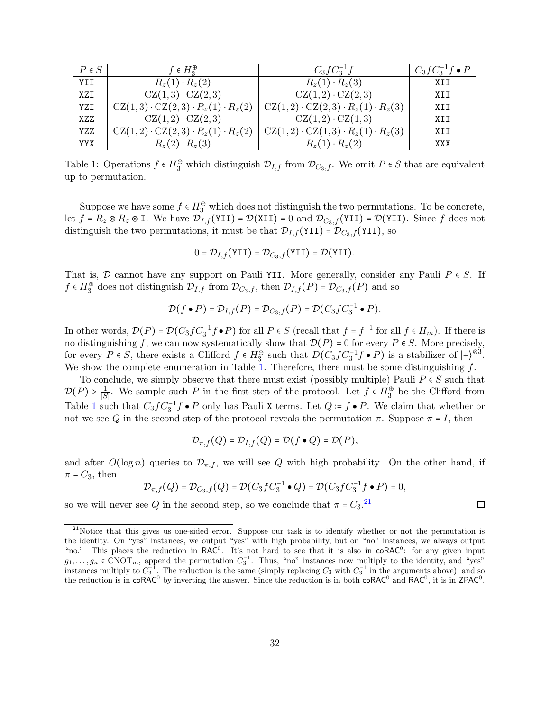| $P \in S$  | $f \in H_2^{\oplus}$                                                                                | $C_3 f C_3^{-1} f$                                | $C_3 f C_3^{-1} f \bullet P$ |
|------------|-----------------------------------------------------------------------------------------------------|---------------------------------------------------|------------------------------|
| <b>YTT</b> | $R_{z}(1) \cdot R_{z}(2)$                                                                           | $R_{z}(1) \cdot R_{z}(3)$                         | XII                          |
| XZI        | $CZ(1,3)\cdot CZ(2,3)$                                                                              | $CZ(1,2)\cdot CZ(2,3)$                            | XII                          |
| YZI        | $CZ(1,3) \cdot CZ(2,3) \cdot R_z(1) \cdot R_z(2)$                                                   | $CZ(1,2) \cdot CZ(2,3) \cdot R_z(1) \cdot R_z(3)$ | XII                          |
| XZZ        | $CZ(1,2)\cdot CZ(2,3)$                                                                              | $CZ(1,2) \cdot CZ(1,3)$                           | XII                          |
| YZZ        | $CZ(1,2) \cdot CZ(2,3) \cdot R_z(1) \cdot R_z(2)$ $CZ(1,2) \cdot CZ(1,3) \cdot R_z(1) \cdot R_z(3)$ |                                                   | XII                          |
| YYX        | $R_{z}(2) \cdot R_{z}(3)$                                                                           | $R_{z}(1) \cdot R_{z}(2)$                         | XXX                          |

<span id="page-31-0"></span>Table 1: Operations  $f \in H_3^{\oplus}$  which distinguish  $\mathcal{D}_{I,f}$  from  $\mathcal{D}_{C_3,f}$ . We omit  $P \in S$  that are equivalent up to permutation.

Suppose we have some  $f \in H_3^{\oplus}$  which does not distinguish the two permutations. To be concrete, let  $f = R_z \otimes R_z \otimes I$ . We have  $\mathcal{D}_{I,f}(YII) = \mathcal{D}(XII) = 0$  and  $\mathcal{D}_{C_3,f}(YII) = \mathcal{D}(YII)$ . Since f does not distinguish the two permutations, it must be that  $\mathcal{D}_{I,f}(\texttt{YII}) = \mathcal{D}_{C_3,f}(\texttt{YII})$ , so

$$
0 = \mathcal{D}_{I,f}(\texttt{YII}) = \mathcal{D}_{C_3,f}(\texttt{YII}) = \mathcal{D}(\texttt{YII}).
$$

That is, D cannot have any support on Pauli YII. More generally, consider any Pauli  $P \in S$ . If  $f \in H_3^{\oplus}$  does not distinguish  $\mathcal{D}_{I,f}$  from  $\mathcal{D}_{C_3,f}$ , then  $\mathcal{D}_{I,f}(P) = \mathcal{D}_{C_3,f}(P)$  and so

$$
\mathcal{D}(f \bullet P) = \mathcal{D}_{I,f}(P) = \mathcal{D}_{C_3,f}(P) = \mathcal{D}(C_3 f C_3^{-1} \bullet P).
$$

In other words,  $\mathcal{D}(P) = \mathcal{D}(C_3 f C_3^{-1} f \bullet P)$  for all  $P \in S$  (recall that  $f = f^{-1}$  for all  $f \in H_m$ ). If there is no distinguishing f, we can now systematically show that  $\mathcal{D}(P) = 0$  for every  $P \in S$ . More precisely, for every  $P \in S$ , there exists a Clifford  $f \in H_3^{\oplus}$  such that  $D(C_3 f C_3^{-1} f \bullet P)$  is a stabilizer of  $|+\rangle^{\otimes 3}$ . We show the complete enumeration in Table [1.](#page-31-0) Therefore, there must be some distinguishing  $f$ .

To conclude, we simply observe that there must exist (possibly multiple) Pauli  $P \in S$  such that  $\mathcal{D}(P) > \frac{1}{|S|}$  $\frac{1}{|S|}$ . We sample such P in the first step of the protocol. Let  $f \in H_3^{\oplus}$  be the Clifford from Table [1](#page-31-0) such that  $C_3 f C_3^{-1} f \bullet P$  only has Pauli X terms. Let  $Q = f \bullet P$ . We claim that whether or not we see Q in the second step of the protocol reveals the permutation  $\pi$ . Suppose  $\pi = I$ , then

$$
\mathcal{D}_{\pi,f}(Q)=\mathcal{D}_{I,f}(Q)=\mathcal{D}(f\bullet Q)=\mathcal{D}(P),
$$

and after  $O(\log n)$  queries to  $\mathcal{D}_{\pi,f}$ , we will see Q with high probability. On the other hand, if  $\pi = C_3$ , then

$$
\mathcal{D}_{\pi,f}(Q) = \mathcal{D}_{C_3,f}(Q) = \mathcal{D}(C_3fC_3^{-1} \bullet Q) = \mathcal{D}(C_3fC_3^{-1}f \bullet P) = 0,
$$

 $\Box$ 

so we will never see Q in the second step, so we conclude that  $\pi = C_3$ .<sup>[21](#page-31-1)</sup>

<span id="page-31-1"></span> $21$ Notice that this gives us one-sided error. Suppose our task is to identify whether or not the permutation is the identity. On "yes" instances, we output "yes" with high probability, but on "no" instances, we always output "no." This places the reduction in RAC<sup>0</sup>. It's not hard to see that it is also in coRAC<sup>0</sup>: for any given input  $g_1,\ldots,g_n \in \text{CNOT}_m$ , append the permutation  $C_3^{-1}$ . Thus, "no" instances now multiply to the identity, and "yes" instances multiply to  $C_3^{-1}$ . The reduction is the same (simply replacing  $C_3$  with  $C_3^{-1}$  in the arguments above), and so the reduction is in  $\text{coRAC}^0$  by inverting the answer. Since the reduction is in both  $\text{coRAC}^0$  and  $\text{RAC}^0$ , it is in ZPAC<sup>0</sup>.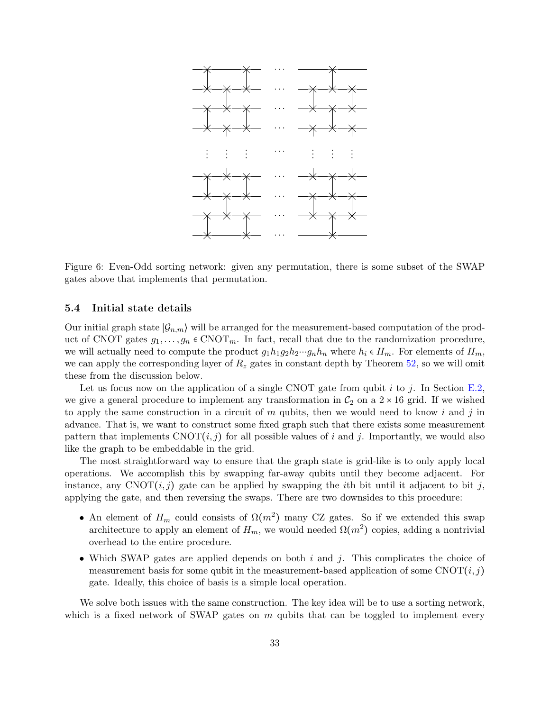

<span id="page-32-1"></span>Figure 6: Even-Odd sorting network: given any permutation, there is some subset of the SWAP gates above that implements that permutation.

#### <span id="page-32-0"></span>5.4 Initial state details

Our initial graph state  $|\mathcal{G}_{n,m}\rangle$  will be arranged for the measurement-based computation of the product of CNOT gates  $g_1, \ldots, g_n \in \text{CNOT}_m$ . In fact, recall that due to the randomization procedure, we will actually need to compute the product  $g_1h_1g_2h_2\cdots g_nh_n$  where  $h_i \in H_m$ . For elements of  $H_m$ , we can apply the corresponding layer of  $R<sub>z</sub>$  gates in constant depth by Theorem [52,](#page-48-0) so we will omit these from the discussion below.

Let us focus now on the application of a single CNOT gate from qubit i to j. In Section [E.2,](#page-49-0) we give a general procedure to implement any transformation in  $C_2$  on a  $2 \times 16$  grid. If we wished to apply the same construction in a circuit of  $m$  qubits, then we would need to know i and j in advance. That is, we want to construct some fixed graph such that there exists some measurement pattern that implements  $CNOT(i, j)$  for all possible values of i and j. Importantly, we would also like the graph to be embeddable in the grid.

The most straightforward way to ensure that the graph state is grid-like is to only apply local operations. We accomplish this by swapping far-away qubits until they become adjacent. For instance, any  $CNOT(i, j)$  gate can be applied by swapping the *i*th bit until it adjacent to bit j, applying the gate, and then reversing the swaps. There are two downsides to this procedure:

- An element of  $H_m$  could consists of  $\Omega(m^2)$  many CZ gates. So if we extended this swap architecture to apply an element of  $H_m$ , we would needed  $\Omega(m^2)$  copies, adding a nontrivial overhead to the entire procedure.
- Which SWAP gates are applied depends on both  $i$  and  $j$ . This complicates the choice of measurement basis for some qubit in the measurement-based application of some  $CNOT(i, j)$ gate. Ideally, this choice of basis is a simple local operation.

We solve both issues with the same construction. The key idea will be to use a sorting network, which is a fixed network of SWAP gates on  $m$  qubits that can be toggled to implement every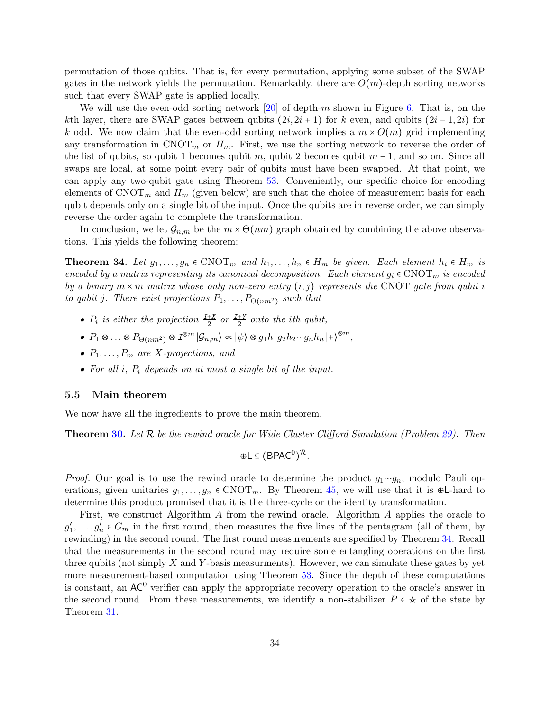permutation of those qubits. That is, for every permutation, applying some subset of the SWAP gates in the network yields the permutation. Remarkably, there are  $O(m)$ -depth sorting networks such that every SWAP gate is applied locally.

We will use the even-odd sorting network  $[20]$  of depth-m shown in Figure [6.](#page-32-1) That is, on the kth layer, there are SWAP gates between qubits  $(2i, 2i + 1)$  for k even, and qubits  $(2i - 1, 2i)$  for k odd. We now claim that the even-odd sorting network implies a  $m \times O(m)$  grid implementing any transformation in  $\text{CNOT}_m$  or  $H_m$ . First, we use the sorting network to reverse the order of the list of qubits, so qubit 1 becomes qubit m, qubit 2 becomes qubit  $m-1$ , and so on. Since all swaps are local, at some point every pair of qubits must have been swapped. At that point, we can apply any two-qubit gate using Theorem [53.](#page-49-1) Conveniently, our specific choice for encoding elements of  $\text{CNOT}_m$  and  $H_m$  (given below) are such that the choice of measurement basis for each qubit depends only on a single bit of the input. Once the qubits are in reverse order, we can simply reverse the order again to complete the transformation.

<span id="page-33-1"></span>In conclusion, we let  $\mathcal{G}_{n,m}$  be the  $m \times \Theta(nm)$  graph obtained by combining the above observations. This yields the following theorem:

**Theorem 34.** Let  $g_1, \ldots, g_n \in \text{CNOT}_m$  and  $h_1, \ldots, h_n \in H_m$  be given. Each element  $h_i \in H_m$  is encoded by a matrix representing its canonical decomposition. Each element  $g_i \in \text{CNOT}_m$  is encoded by a binary  $m \times m$  matrix whose only non-zero entry  $(i, j)$  represents the CNOT gate from qubit i to qubit j. There exist projections  $P_1, \ldots, P_{\Theta(nm^2)}$  such that

- $P_i$  is either the projection  $\frac{I+X}{2}$  or  $\frac{I+Y}{2}$  onto the ith qubit,
- $P_1 \otimes \ldots \otimes P_{\Theta(nm^2)} \otimes I^{\otimes m} |\mathcal{G}_{n,m}\rangle \propto |\psi\rangle \otimes g_1 h_1 g_2 h_2 \cdots g_n h_n |+\rangle^{\otimes m},$
- $P_1, \ldots, P_m$  are X-projections, and
- For all  $i$ ,  $P_i$  depends on at most a single bit of the input.

#### <span id="page-33-0"></span>5.5 Main theorem

We now have all the ingredients to prove the main theorem.

**Theorem [30.](#page-26-1)** Let  $\mathcal{R}$  be the rewind oracle for Wide Cluster Clifford Simulation (Problem [29\)](#page-26-2). Then

$$
\oplus L \subseteq (B P A C^0)^{\mathcal{R}}.
$$

*Proof.* Our goal is to use the rewind oracle to determine the product  $g_1 \cdots g_n$ , modulo Pauli operations, given unitaries  $g_1, \ldots, g_n \in \text{CNOT}_m$ . By Theorem [45,](#page-41-1) we will use that it is ⊕L-hard to determine this product promised that it is the three-cycle or the identity transformation.

First, we construct Algorithm A from the rewind oracle. Algorithm A applies the oracle to  $g'_1, \ldots, g'_n \in G_m$  in the first round, then measures the five lines of the pentagram (all of them, by rewinding) in the second round. The first round measurements are specified by Theorem [34.](#page-33-1) Recall that the measurements in the second round may require some entangling operations on the first three qubits (not simply  $X$  and  $Y$ -basis measurments). However, we can simulate these gates by yet more measurement-based computation using Theorem [53.](#page-49-1) Since the depth of these computations is constant, an  $AC^0$  verifier can apply the appropriate recovery operation to the oracle's answer in the second round. From these measurements, we identify a non-stabilizer  $P \in \mathcal{R}$  of the state by Theorem [31.](#page-29-2)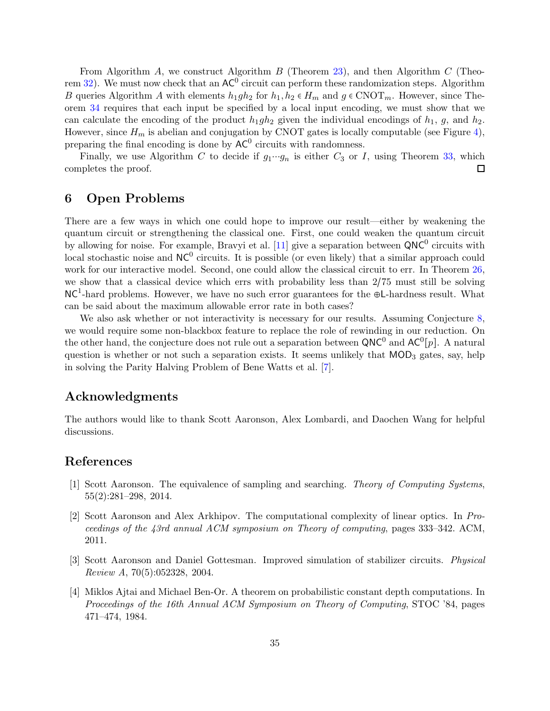From Algorithm A, we construct Algorithm B (Theorem [23\)](#page-20-1), and then Algorithm C (Theo-rem [32\)](#page-30-0). We must now check that an  $AC^0$  circuit can perform these randomization steps. Algorithm B queries Algorithm A with elements  $h_1gh_2$  for  $h_1, h_2 \in H_m$  and  $g \in \text{CNOT}_m$ . However, since Theorem [34](#page-33-1) requires that each input be specified by a local input encoding, we must show that we can calculate the encoding of the product  $h_1gh_2$  given the individual encodings of  $h_1$ , g, and  $h_2$ . However, since  $H_m$  is abelian and conjugation by CNOT gates is locally computable (see Figure [4\)](#page-28-1), preparing the final encoding is done by  $AC^0$  circuits with randomness.

Finally, we use Algorithm C to decide if  $g_1 \cdots g_n$  is either  $C_3$  or I, using Theorem [33,](#page-30-1) which completes the proof.  $\Box$ 

## <span id="page-34-0"></span>6 Open Problems

There are a few ways in which one could hope to improve our result—either by weakening the quantum circuit or strengthening the classical one. First, one could weaken the quantum circuit by allowing for noise. For example, Bravyi et al. [\[11\]](#page-35-5) give a separation between  $QNC^0$  circuits with  $\alpha$  local stochastic noise and NC<sup>0</sup> circuits. It is possible (or even likely) that a similar approach could work for our interactive model. Second, one could allow the classical circuit to err. In Theorem [26,](#page-23-2) we show that a classical device which errs with probability less than 2/75 must still be solving NC<sup>1</sup>-hard problems. However, we have no such error guarantees for the ⊕L-hardness result. What can be said about the maximum allowable error rate in both cases?

We also ask whether or not interactivity is necessary for our results. Assuming Conjecture [8,](#page-11-2) we would require some non-blackbox feature to replace the role of rewinding in our reduction. On the other hand, the conjecture does not rule out a separation between  $QNC^0$  and  $AC^0[p]$ . A natural question is whether or not such a separation exists. It seems unlikely that  $MOD_3$  gates, say, help in solving the Parity Halving Problem of Bene Watts et al. [\[7\]](#page-35-4).

## Acknowledgments

<span id="page-34-1"></span>The authors would like to thank Scott Aaronson, Alex Lombardi, and Daochen Wang for helpful discussions.

# <span id="page-34-5"></span>References

- [1] Scott Aaronson. The equivalence of sampling and searching. Theory of Computing Systems, 55(2):281–298, 2014.
- <span id="page-34-2"></span>[2] Scott Aaronson and Alex Arkhipov. The computational complexity of linear optics. In Proceedings of the 43rd annual ACM symposium on Theory of computing, pages 333–342. ACM, 2011.
- <span id="page-34-4"></span>[3] Scott Aaronson and Daniel Gottesman. Improved simulation of stabilizer circuits. Physical Review A, 70(5):052328, 2004.
- <span id="page-34-3"></span>[4] Miklos Ajtai and Michael Ben-Or. A theorem on probabilistic constant depth computations. In Proceedings of the 16th Annual ACM Symposium on Theory of Computing, STOC '84, pages 471–474, 1984.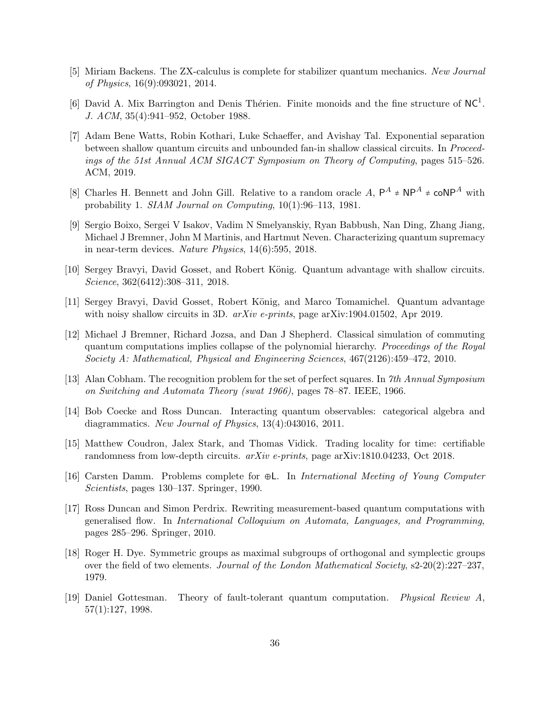- <span id="page-35-14"></span><span id="page-35-6"></span>[5] Miriam Backens. The ZX-calculus is complete for stabilizer quantum mechanics. New Journal of Physics, 16(9):093021, 2014.
- [6] David A. Mix Barrington and Denis Thérien. Finite monoids and the fine structure of  $NC<sup>1</sup>$ . J. ACM, 35(4):941–952, October 1988.
- <span id="page-35-4"></span>[7] Adam Bene Watts, Robin Kothari, Luke Schaeffer, and Avishay Tal. Exponential separation between shallow quantum circuits and unbounded fan-in shallow classical circuits. In Proceedings of the 51st Annual ACM SIGACT Symposium on Theory of Computing, pages 515–526. ACM, 2019.
- <span id="page-35-11"></span>[8] Charles H. Bennett and John Gill. Relative to a random oracle A,  $P^A \neq NP^A \neq \text{coNP}^A$  with probability 1. SIAM Journal on Computing, 10(1):96–113, 1981.
- <span id="page-35-1"></span>[9] Sergio Boixo, Sergei V Isakov, Vadim N Smelyanskiy, Ryan Babbush, Nan Ding, Zhang Jiang, Michael J Bremner, John M Martinis, and Hartmut Neven. Characterizing quantum supremacy in near-term devices. Nature Physics, 14(6):595, 2018.
- <span id="page-35-5"></span><span id="page-35-2"></span>[10] Sergey Bravyi, David Gosset, and Robert König. Quantum advantage with shallow circuits. Science, 362(6412):308–311, 2018.
- <span id="page-35-0"></span>[11] Sergey Bravyi, David Gosset, Robert König, and Marco Tomamichel. Quantum advantage with noisy shallow circuits in 3D.  $arXiv$  e-prints, page arXiv:1904.01502, Apr 2019.
- [12] Michael J Bremner, Richard Jozsa, and Dan J Shepherd. Classical simulation of commuting quantum computations implies collapse of the polynomial hierarchy. Proceedings of the Royal Society A: Mathematical, Physical and Engineering Sciences, 467(2126):459–472, 2010.
- <span id="page-35-9"></span><span id="page-35-8"></span>[13] Alan Cobham. The recognition problem for the set of perfect squares. In 7th Annual Symposium on Switching and Automata Theory (swat 1966), pages 78–87. IEEE, 1966.
- <span id="page-35-3"></span>[14] Bob Coecke and Ross Duncan. Interacting quantum observables: categorical algebra and diagrammatics. New Journal of Physics, 13(4):043016, 2011.
- <span id="page-35-7"></span>[15] Matthew Coudron, Jalex Stark, and Thomas Vidick. Trading locality for time: certifiable randomness from low-depth circuits. arXiv e-prints, page arXiv:1810.04233, Oct 2018.
- <span id="page-35-13"></span>[16] Carsten Damm. Problems complete for ⊕L. In International Meeting of Young Computer Scientists, pages 130–137. Springer, 1990.
- [17] Ross Duncan and Simon Perdrix. Rewriting measurement-based quantum computations with generalised flow. In International Colloquium on Automata, Languages, and Programming, pages 285–296. Springer, 2010.
- <span id="page-35-10"></span>[18] Roger H. Dye. Symmetric groups as maximal subgroups of orthogonal and symplectic groups over the field of two elements. Journal of the London Mathematical Society, s2-20(2):227–237, 1979.
- <span id="page-35-12"></span>[19] Daniel Gottesman. Theory of fault-tolerant quantum computation. Physical Review A, 57(1):127, 1998.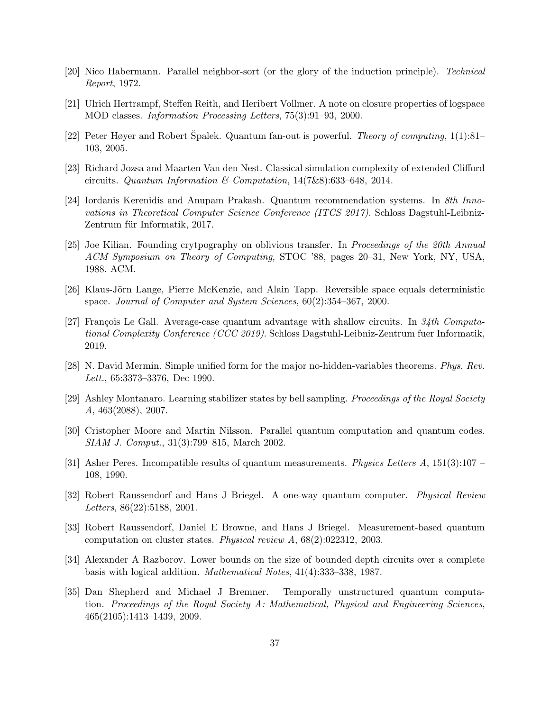- <span id="page-36-15"></span><span id="page-36-13"></span>[20] Nico Habermann. Parallel neighbor-sort (or the glory of the induction principle). Technical Report, 1972.
- <span id="page-36-10"></span>[21] Ulrich Hertrampf, Steffen Reith, and Heribert Vollmer. A note on closure properties of logspace MOD classes. Information Processing Letters, 75(3):91–93, 2000.
- <span id="page-36-14"></span>[22] Peter Høyer and Robert Spalek. Quantum fan-out is powerful. *Theory of computing*,  $1(1):81-$ 103, 2005.
- <span id="page-36-0"></span>[23] Richard Jozsa and Maarten Van den Nest. Classical simulation complexity of extended Clifford circuits. Quantum Information & Computation,  $14(7\&8)(633-648, 2014)$ .
- [24] Iordanis Kerenidis and Anupam Prakash. Quantum recommendation systems. In 8th Innovations in Theoretical Computer Science Conference (ITCS 2017). Schloss Dagstuhl-Leibniz-Zentrum für Informatik, 2017.
- <span id="page-36-12"></span>[25] Joe Kilian. Founding crytpography on oblivious transfer. In Proceedings of the 20th Annual ACM Symposium on Theory of Computing, STOC '88, pages 20–31, New York, NY, USA, 1988. ACM.
- <span id="page-36-8"></span><span id="page-36-1"></span>[26] Klaus-Jörn Lange, Pierre McKenzie, and Alain Tapp. Reversible space equals deterministic space. Journal of Computer and System Sciences, 60(2):354–367, 2000.
- [27] François Le Gall. Average-case quantum advantage with shallow circuits. In  $34th$  Computational Complexity Conference (CCC 2019). Schloss Dagstuhl-Leibniz-Zentrum fuer Informatik, 2019.
- <span id="page-36-11"></span><span id="page-36-4"></span>[28] N. David Mermin. Simple unified form for the major no-hidden-variables theorems. Phys. Rev. Lett., 65:3373–3376, Dec 1990.
- [29] Ashley Montanaro. Learning stabilizer states by bell sampling. Proceedings of the Royal Society A, 463(2088), 2007.
- <span id="page-36-5"></span>[30] Cristopher Moore and Martin Nilsson. Parallel quantum computation and quantum codes. SIAM J. Comput., 31(3):799–815, March 2002.
- <span id="page-36-7"></span><span id="page-36-3"></span>[31] Asher Peres. Incompatible results of quantum measurements. *Physics Letters A*,  $151(3):107$  – 108, 1990.
- [32] Robert Raussendorf and Hans J Briegel. A one-way quantum computer. Physical Review Letters, 86(22):5188, 2001.
- <span id="page-36-2"></span>[33] Robert Raussendorf, Daniel E Browne, and Hans J Briegel. Measurement-based quantum computation on cluster states. Physical review A, 68(2):022312, 2003.
- <span id="page-36-9"></span>[34] Alexander A Razborov. Lower bounds on the size of bounded depth circuits over a complete basis with logical addition. Mathematical Notes, 41(4):333–338, 1987.
- <span id="page-36-6"></span>[35] Dan Shepherd and Michael J Bremner. Temporally unstructured quantum computation. Proceedings of the Royal Society A: Mathematical, Physical and Engineering Sciences, 465(2105):1413–1439, 2009.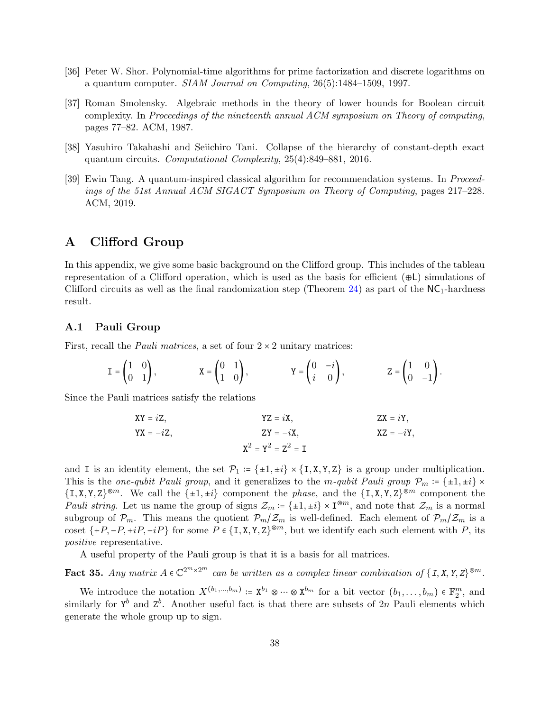- <span id="page-37-4"></span><span id="page-37-2"></span>[36] Peter W. Shor. Polynomial-time algorithms for prime factorization and discrete logarithms on a quantum computer. SIAM Journal on Computing, 26(5):1484–1509, 1997.
- [37] Roman Smolensky. Algebraic methods in the theory of lower bounds for Boolean circuit complexity. In Proceedings of the nineteenth annual ACM symposium on Theory of computing, pages 77–82. ACM, 1987.
- <span id="page-37-5"></span><span id="page-37-3"></span>[38] Yasuhiro Takahashi and Seiichiro Tani. Collapse of the hierarchy of constant-depth exact quantum circuits. Computational Complexity, 25(4):849–881, 2016.
- [39] Ewin Tang. A quantum-inspired classical algorithm for recommendation systems. In Proceedings of the 51st Annual ACM SIGACT Symposium on Theory of Computing, pages 217–228. ACM, 2019.

# <span id="page-37-1"></span><span id="page-37-0"></span>A Clifford Group

In this appendix, we give some basic background on the Clifford group. This includes of the tableau representation of a Clifford operation, which is used as the basis for efficient  $(\oplus L)$  simulations of Clifford circuits as well as the final randomization step (Theorem  $24$ ) as part of the NC<sub>1</sub>-hardness result.

#### A.1 Pauli Group

First, recall the *Pauli matrices*, a set of four  $2 \times 2$  unitary matrices:

$$
\mathbf{I} = \begin{pmatrix} 1 & 0 \\ 0 & 1 \end{pmatrix}, \qquad \qquad \mathbf{X} = \begin{pmatrix} 0 & 1 \\ 1 & 0 \end{pmatrix}, \qquad \qquad \mathbf{Y} = \begin{pmatrix} 0 & -i \\ i & 0 \end{pmatrix}, \qquad \qquad \mathbf{Z} = \begin{pmatrix} 1 & 0 \\ 0 & -1 \end{pmatrix}.
$$

Since the Pauli matrices satisfy the relations

$$
XY = iZ,
$$
  
\n
$$
YZ = iX,
$$
  
\n
$$
ZX = iY,
$$
  
\n
$$
ZX = iY,
$$
  
\n
$$
XZ = -iY,
$$
  
\n
$$
XZ = -iY,
$$
  
\n
$$
XZ = -iY,
$$
  
\n
$$
XZ = -iY,
$$

and I is an identity element, the set  $\mathcal{P}_1 := \{\pm 1, \pm i\} \times \{I, X, Y, Z\}$  is a group under multiplication. This is the one-qubit Pauli group, and it generalizes to the m-qubit Pauli group  $\mathcal{P}_m := \{\pm 1, \pm i\} \times$  $\{I, X, Y, Z\}^{\otimes m}$ . We call the  $\{\pm 1, \pm i\}$  component the phase, and the  $\{I, X, Y, Z\}^{\otimes m}$  component the Pauli string. Let us name the group of signs  $\mathcal{Z}_m := \{\pm 1, \pm i\} \times \mathbb{I}^{\otimes m}$ , and note that  $\mathcal{Z}_m$  is a normal subgroup of  $\mathcal{P}_m$ . This means the quotient  $\mathcal{P}_m/\mathcal{Z}_m$  is well-defined. Each element of  $\mathcal{P}_m/\mathcal{Z}_m$  is a coset  $\{+P, -P, +iP, -iP\}$  for some  $P \in \{I, X, Y, Z\}^{\otimes m}$ , but we identify each such element with P, its positive representative.

A useful property of the Pauli group is that it is a basis for all matrices.

**Fact 35.** Any matrix  $A \in \mathbb{C}^{2^m \times 2^m}$  can be written as a complex linear combination of  $\{I, X, Y, Z\}^{\otimes m}$ .

We introduce the notation  $X^{(b_1,...,b_m)} \coloneqq X^{b_1} \otimes \cdots \otimes X^{b_m}$  for a bit vector  $(b_1,...,b_m) \in \mathbb{F}_2^m$ , and similarly for  $Y^b$  and  $Z^b$ . Another useful fact is that there are subsets of 2n Pauli elements which generate the whole group up to sign.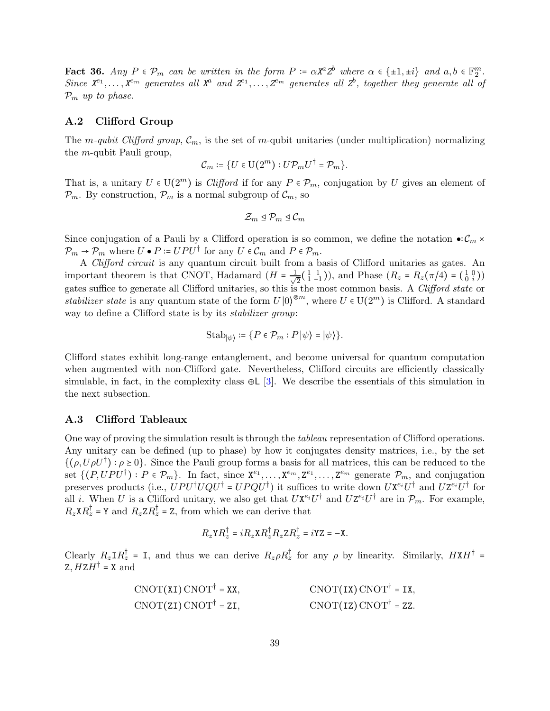**Fact 36.** Any  $P \in \mathcal{P}_m$  can be written in the form  $P := \alpha X^a Z^b$  where  $\alpha \in \{\pm 1, \pm i\}$  and  $a, b \in \mathbb{F}_2^m$ . Since  $X^{e_1}, \ldots, X^{e_m}$  generates all  $X^a$  and  $Z^{e_1}, \ldots, Z^{e_m}$  generates all  $Z^b$ , together they generate all of  $\mathcal{P}_m$  up to phase.

#### A.2 Clifford Group

The m-qubit Clifford group,  $\mathcal{C}_m$ , is the set of m-qubit unitaries (under multiplication) normalizing the m-qubit Pauli group,

$$
\mathcal{C}_m \coloneqq \{U \in \mathrm{U}(2^m) : U \mathcal{P}_m U^\dagger = \mathcal{P}_m \}.
$$

That is, a unitary  $U \in U(2^m)$  is *Clifford* if for any  $P \in \mathcal{P}_m$ , conjugation by U gives an element of  $\mathcal{P}_m$ . By construction,  $\mathcal{P}_m$  is a normal subgroup of  $\mathcal{C}_m$ , so

$$
\mathcal{Z}_m \trianglelefteq \mathcal{P}_m \trianglelefteq \mathcal{C}_m
$$

Since conjugation of a Pauli by a Clifford operation is so common, we define the notation  $\bullet$ :  $\mathcal{C}_m$  ×  $\mathcal{P}_m \to \mathcal{P}_m$  where  $U \bullet P \coloneqq UPU^{\dagger}$  for any  $U \in \mathcal{C}_m$  and  $P \in \mathcal{P}_m$ .

A Clifford circuit is any quantum circuit built from a basis of Clifford unitaries as gates. An important theorem is that CNOT, Hadamard  $(H = \frac{1}{\sqrt{2}})$  $\frac{1}{2}(\begin{matrix} 1 & 1 \\ 1 & -1 \end{matrix}))$ , and Phase  $(R_z = R_z(\pi/4) = (\begin{matrix} 1 & 0 \\ 0 & i \end{matrix}))$ gates suffice to generate all Clifford unitaries, so this is the most common basis. A Clifford state or stabilizer state is any quantum state of the form  $U(0)^{\otimes m}$ , where  $U \in U(2^m)$  is Clifford. A standard way to define a Clifford state is by its *stabilizer group*:

$$
\mathrm{Stab}_{|\psi\rangle} \coloneqq \big\{P \in \mathcal{P}_m : P\,|\psi\rangle = |\psi\rangle\big\}.
$$

Clifford states exhibit long-range entanglement, and become universal for quantum computation when augmented with non-Clifford gate. Nevertheless, Clifford circuits are efficiently classically simulable, in fact, in the complexity class ⊕L [\[3\]](#page-34-4). We describe the essentials of this simulation in the next subsection.

#### A.3 Clifford Tableaux

One way of proving the simulation result is through the tableau representation of Clifford operations. Any unitary can be defined (up to phase) by how it conjugates density matrices, i.e., by the set  $\{(\rho, U\rho U^{\dagger}) : \rho \ge 0\}$ . Since the Pauli group forms a basis for all matrices, this can be reduced to the set  $\{(P, UPU^{\dagger}) : P \in \mathcal{P}_m\}$ . In fact, since  $X^{e_1}, \ldots, X^{e_m}, Z^{e_1}, \ldots, Z^{e_m}$  generate  $\mathcal{P}_m$ , and conjugation preserves products (i.e.,  $UPU^{\dagger}UQU^{\dagger} = UPQU^{\dagger}$ ) it suffices to write down  $UX^{e_i}U^{\dagger}$  and  $UZ^{e_i}U^{\dagger}$  for all *i*. When U is a Clifford unitary, we also get that  $U\mathbf{X}^{e_i}U^{\dagger}$  and  $U\mathbf{Z}^{e_i}U^{\dagger}$  are in  $\mathcal{P}_m$ . For example,  $R_z \times R_z^{\dagger} = Y$  and  $R_z Z R_z^{\dagger} = Z$ , from which we can derive that

$$
R_z Y R_z^{\dagger} = i R_z X R_z^{\dagger} R_z Z R_z^{\dagger} = i Y Z = -X.
$$

Clearly  $R_z \text{I} R_z^{\dagger} = \text{I}$ , and thus we can derive  $R_z \rho R_z^{\dagger}$  for any  $\rho$  by linearity. Similarly,  $H \text{X} H^{\dagger} =$  $Z, HZH^{\dagger} = X$  and

$$
CNOT(XI) CNOT^{\dagger} = XX, \qquad CNOT(IX) CNOT^{\dagger} = IX,
$$
  
 
$$
CNOT(ZI) CNOT^{\dagger} = ZI, \qquad CNOT(IZ) CNOT^{\dagger} = ZZ.
$$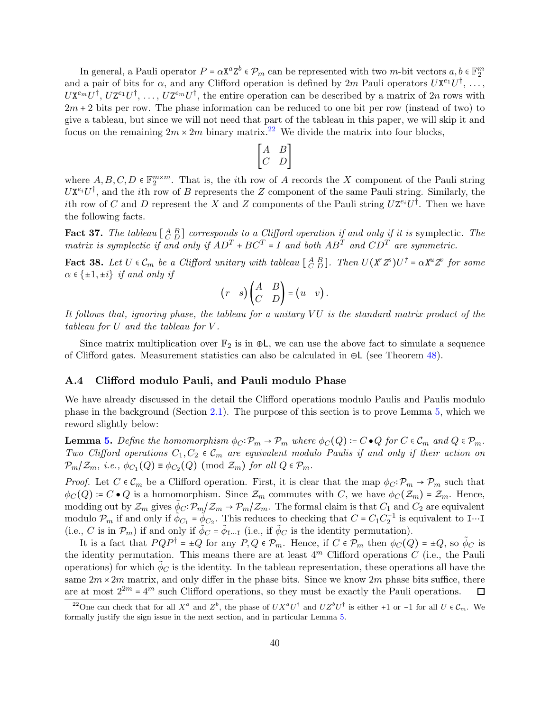In general, a Pauli operator  $P = \alpha \mathbf{X}^a \mathbf{Z}^b \in \mathcal{P}_m$  can be represented with two m-bit vectors  $a, b \in \mathbb{F}_2^m$ and a pair of bits for  $\alpha$ , and any Clifford operation is defined by  $2m$  Pauli operators  $U\mathbf{X}^{e_1}U^{\dagger}$ , ...,  $UX^{e_m}U^{\dagger}, UZ^{e_1}U^{\dagger}, \ldots, UZ^{e_m}U^{\dagger}$ , the entire operation can be described by a matrix of  $2n$  rows with  $2m + 2$  bits per row. The phase information can be reduced to one bit per row (instead of two) to give a tableau, but since we will not need that part of the tableau in this paper, we will skip it and focus on the remaining  $2m \times 2m$  binary matrix.<sup>[22](#page-39-0)</sup> We divide the matrix into four blocks,

$$
\begin{bmatrix} A & B \\ C & D \end{bmatrix}
$$

where  $A, B, C, D \in \mathbb{F}_2^{m \times m}$ . That is, the *i*th row of A records the X component of the Pauli string  $UX^{e_i}U^{\dagger}$ , and the *i*th row of B represents the Z component of the same Pauli string. Similarly, the ith row of C and D represent the X and Z components of the Pauli string  $UZ^{e_i}U^{\dagger}$ . Then we have the following facts.

**Fact 37.** The tableau  $\begin{bmatrix} A & B \\ C & D \end{bmatrix}$  corresponds to a Clifford operation if and only if it is symplectic. The matrix is symplectic if and only if  $AD^T + BC^T = I$  and both  $AB^T$  and  $CD^T$  are symmetric.

<span id="page-39-1"></span>**Fact 38.** Let  $U \in \mathcal{C}_m$  be a Clifford unitary with tableau  $\begin{bmatrix} A & B \\ C & D \end{bmatrix}$ . Then  $U(X^r Z^s)U^{\dagger} = \alpha X^u Z^v$  for some  $\alpha \in \{\pm 1, \pm i\}$  if and only if

$$
(r \quad s) \begin{pmatrix} A & B \\ C & D \end{pmatrix} = (u \quad v).
$$

It follows that, ignoring phase, the tableau for a unitary  $VU$  is the standard matrix product of the tableau for U and the tableau for V .

Since matrix multiplication over  $\mathbb{F}_2$  is in  $\oplus L$ , we can use the above fact to simulate a sequence of Clifford gates. Measurement statistics can also be calculated in ⊕L (see Theorem [48\)](#page-43-0).

#### A.4 Clifford modulo Pauli, and Pauli modulo Phase

We have already discussed in the detail the Clifford operations modulo Paulis and Paulis modulo phase in the background (Section [2.1\)](#page-6-2). The purpose of this section is to prove Lemma [5,](#page-7-0) which we reword slightly below:

**Lemma [5.](#page-7-0)** Define the homomorphism  $\phi_C: \mathcal{P}_m \to \mathcal{P}_m$  where  $\phi_C(Q) \coloneqq C \cdot Q$  for  $C \in \mathcal{C}_m$  and  $Q \in \mathcal{P}_m$ . Two Clifford operations  $C_1, C_2 \in \mathcal{C}_m$  are equivalent modulo Paulis if and only if their action on  $\mathcal{P}_m/\mathcal{Z}_m$ , *i.e.*,  $\phi_{C_1}(Q) \equiv \phi_{C_2}(Q) \pmod{\mathcal{Z}_m}$  for all  $Q \in \mathcal{P}_m$ .

*Proof.* Let  $C \in \mathcal{C}_m$  be a Clifford operation. First, it is clear that the map  $\phi_C \colon \mathcal{P}_m \to \mathcal{P}_m$  such that  $\phi_C(Q) = C \bullet Q$  is a homomorphism. Since  $\mathcal{Z}_m$  commutes with C, we have  $\phi_C(\mathcal{Z}_m) = \mathcal{Z}_m$ . Hence, modding out by  $\mathcal{Z}_m$  gives  $\tilde{\phi}_C \colon \mathcal{P}_m/\mathcal{Z}_m \to \mathcal{P}_m/\mathcal{Z}_m$ . The formal claim is that  $C_1$  and  $C_2$  are equivalent modulo  $\mathcal{P}_m$  if and only if  $\phi_{C_1} = \phi_{C_2}$ . This reduces to checking that  $C = C_1 C_2^{-1}$  is equivalent to I…I (i.e., C is in  $\mathcal{P}_m$ ) if and only if  $\tilde{\phi}_C = \tilde{\phi}_{\text{I} \cdots \text{I}}$  (i.e., if  $\tilde{\phi}_C$  is the identity permutation).

It is a fact that  $PQP^{\dagger} = \pm Q$  for any  $P, Q \in \mathcal{P}_m$ . Hence, if  $C \in \mathcal{P}_m$  then  $\phi_C(Q) = \pm Q$ , so  $\tilde{\phi}_C$  is the identity permutation. This means there are at least  $4<sup>m</sup>$  Clifford operations C (i.e., the Pauli operations) for which  $\tilde{\phi}_C$  is the identity. In the tableau representation, these operations all have the same  $2m \times 2m$  matrix, and only differ in the phase bits. Since we know  $2m$  phase bits suffice, there are at most  $2^{2m} = 4^m$  such Clifford operations, so they must be exactly the Pauli operations.  $\Box$ 

<span id="page-39-0"></span><sup>&</sup>lt;sup>22</sup>One can check that for all  $X^a$  and  $Z^b$ , the phase of  $UX^aU^{\dagger}$  and  $UZ^bU^{\dagger}$  is either +1 or -1 for all  $U \in \mathcal{C}_m$ . We formally justify the sign issue in the next section, and in particular Lemma [5.](#page-7-0)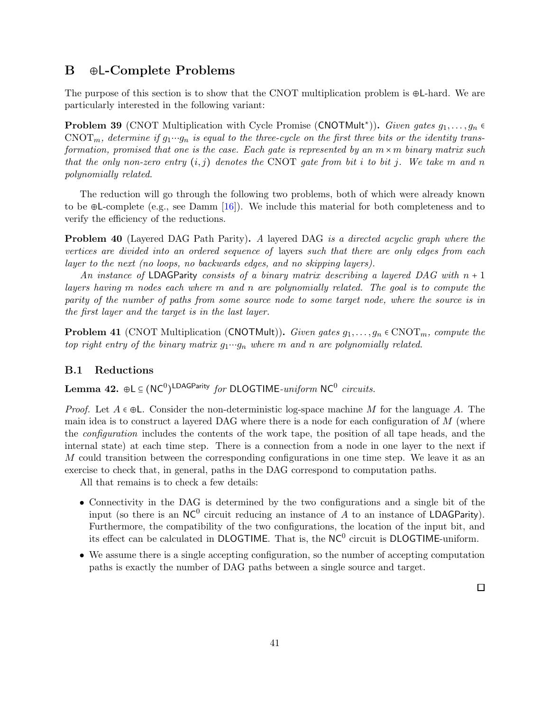# <span id="page-40-0"></span>B ⊕L-Complete Problems

The purpose of this section is to show that the CNOT multiplication problem is ⊕L-hard. We are particularly interested in the following variant:

**Problem 39** (CNOT Multiplication with Cycle Promise (CNOTMult<sup>\*</sup>)). *Given gates*  $g_1, \ldots, g_n$   $\in$  $\text{CNOT}_m$ , determine if  $g_1 \cdots g_n$  is equal to the three-cycle on the first three bits or the identity transformation, promised that one is the case. Each gate is represented by an  $m \times m$  binary matrix such that the only non-zero entry  $(i, j)$  denotes the CNOT gate from bit i to bit j. We take m and n polynomially related.

The reduction will go through the following two problems, both of which were already known to be ⊕L-complete (e.g., see Damm [\[16\]](#page-35-7)). We include this material for both completeness and to verify the efficiency of the reductions.

**Problem 40** (Layered DAG Path Parity). A layered DAG is a directed acyclic graph where the vertices are divided into an ordered sequence of layers such that there are only edges from each layer to the next (no loops, no backwards edges, and no skipping layers).

An instance of LDAGParity consists of a binary matrix describing a layered DAG with  $n + 1$ layers having m nodes each where m and n are polynomially related. The goal is to compute the parity of the number of paths from some source node to some target node, where the source is in the first layer and the target is in the last layer.

**Problem 41** (CNOT Multiplication (CNOTMult)). Given gates  $g_1, \ldots, g_n \in \text{CNOT}_m$ , compute the top right entry of the binary matrix  $g_1 \cdots g_n$  where m and n are polynomially related.

#### B.1 Reductions

Lemma 42. ⊕L $\subseteq (NC^0)^{\text{\textsf{LDAGParity}}}$  for DLOGTIME- $uniform \ \textsf{NC}^0 \ \textit{circuits}.$ 

*Proof.* Let  $A \in \oplus L$ . Consider the non-deterministic log-space machine M for the language A. The main idea is to construct a layered DAG where there is a node for each configuration of M (where the configuration includes the contents of the work tape, the position of all tape heads, and the internal state) at each time step. There is a connection from a node in one layer to the next if M could transition between the corresponding configurations in one time step. We leave it as an exercise to check that, in general, paths in the DAG correspond to computation paths.

All that remains is to check a few details:

- Connectivity in the DAG is determined by the two configurations and a single bit of the input (so there is an  $NC^0$  circuit reducing an instance of  $\overline{A}$  to an instance of LDAGParity). Furthermore, the compatibility of the two configurations, the location of the input bit, and its effect can be calculated in DLOGTIME. That is, the  $NC<sup>0</sup>$  circuit is DLOGTIME-uniform.
- <span id="page-40-1"></span>• We assume there is a single accepting configuration, so the number of accepting computation paths is exactly the number of DAG paths between a single source and target.

 $\Box$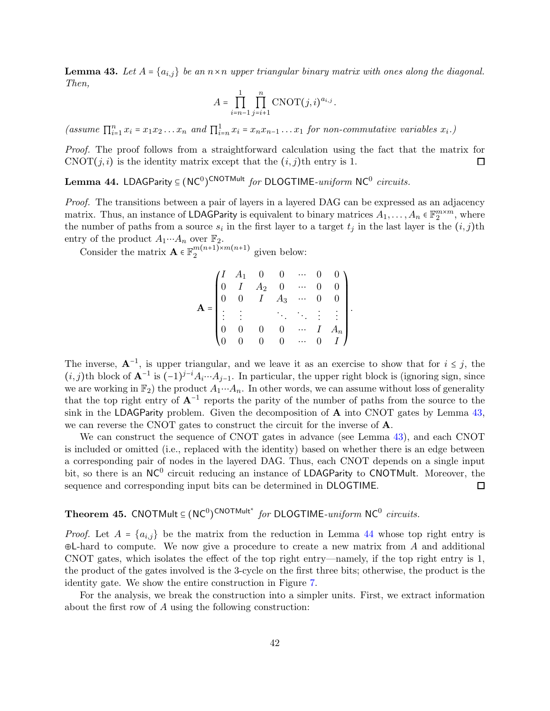**Lemma 43.** Let  $A = \{a_{i,j}\}\$  be an  $n \times n$  upper triangular binary matrix with ones along the diagonal. Then,

$$
A=\prod_{i=n-1}^1\prod_{j=i+1}^n \operatorname{CNOT}(j,i)^{a_{i,j}}.
$$

(assume  $\prod_{i=1}^n x_i = x_1x_2...x_n$  and  $\prod_{i=n}^1 x_i = x_nx_{n-1}...x_1$  for non-commutative variables  $x_i$ .)

Proof. The proof follows from a straightforward calculation using the fact that the matrix for CNOT $(j, i)$  is the identity matrix except that the  $(i, j)$ th entry is 1.  $\Box$ 

<span id="page-41-0"></span>Lemma 44. LDAGParity  $\subseteq (\mathsf{NC}^0)^{\mathsf{CNOTMult}}$  for <code>DLOGTIME-uniform NC $^0$ </sup> circuits.</code>

Proof. The transitions between a pair of layers in a layered DAG can be expressed as an adjacency matrix. Thus, an instance of **LDAGParity** is equivalent to binary matrices  $A_1, \ldots, A_n \in \mathbb{F}_2^{m \times m}$ , where the number of paths from a source  $s_i$  in the first layer to a target  $t_j$  in the last layer is the  $(i, j)$ th entry of the product  $A_1 \cdots A_n$  over  $\mathbb{F}_2$ .

Consider the matrix  $\mathbf{A} \in \mathbb{F}_2^{m(n+1)\times m(n+1)}$  given below:

$$
\mathbf{A} = \begin{pmatrix} I & A_1 & 0 & 0 & \cdots & 0 & 0 \\ 0 & I & A_2 & 0 & \cdots & 0 & 0 \\ 0 & 0 & I & A_3 & \cdots & 0 & 0 \\ \vdots & \vdots & & \ddots & \ddots & \vdots & \vdots \\ 0 & 0 & 0 & 0 & \cdots & I & A_n \\ 0 & 0 & 0 & 0 & \cdots & 0 & I \end{pmatrix}.
$$

The inverse,  $A^{-1}$ , is upper triangular, and we leave it as an exercise to show that for  $i \leq j$ , the  $(i, j)$ th block of  $\mathbf{A}^{-1}$  is  $(-1)^{j-i}A_i \cdots A_{j-1}$ . In particular, the upper right block is (ignoring sign, since we are working in  $\mathbb{F}_2$ ) the product  $A_1 \cdots A_n$ . In other words, we can assume without loss of generality that the top right entry of  $A^{-1}$  reports the parity of the number of paths from the source to the sink in the LDAGParity problem. Given the decomposition of  $A$  into CNOT gates by Lemma [43,](#page-40-1) we can reverse the CNOT gates to construct the circuit for the inverse of A.

We can construct the sequence of CNOT gates in advance (see Lemma [43\)](#page-40-1), and each CNOT is included or omitted (i.e., replaced with the identity) based on whether there is an edge between a corresponding pair of nodes in the layered DAG. Thus, each CNOT depends on a single input bit, so there is an NC<sup>0</sup> circuit reducing an instance of LDAGParity to CNOTMult. Moreover, the sequence and corresponding input bits can be determined in DLOGTIME. 口

# <span id="page-41-1"></span>Theorem 45. CNOTMult  $\subseteq (NC^0)^{\text{CNOTMult}^*}$  for DLOGTIME-uniform NC<sup>0</sup> circuits.

*Proof.* Let  $A = \{a_{i,j}\}\$ be the matrix from the reduction in Lemma [44](#page-41-0) whose top right entry is  $\oplus$ L-hard to compute. We now give a procedure to create a new matrix from A and additional CNOT gates, which isolates the effect of the top right entry—namely, if the top right entry is 1, the product of the gates involved is the 3-cycle on the first three bits; otherwise, the product is the identity gate. We show the entire construction in Figure [7.](#page-42-1)

For the analysis, we break the construction into a simpler units. First, we extract information about the first row of A using the following construction: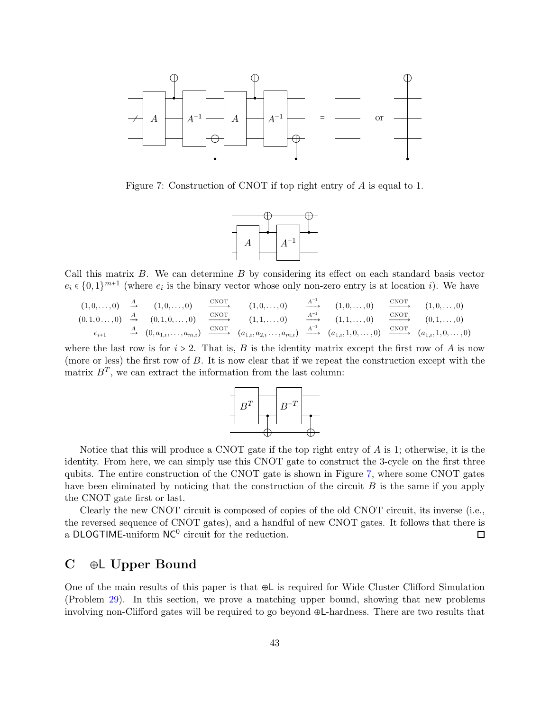

<span id="page-42-1"></span>Figure 7: Construction of CNOT if top right entry of A is equal to 1.



Call this matrix B. We can determine B by considering its effect on each standard basis vector  $e_i \in \{0,1\}^{m+1}$  (where  $e_i$  is the binary vector whose only non-zero entry is at location i). We have

$$
(1,0,\ldots,0) \xrightarrow{A} (1,0,\ldots,0) \xrightarrow{(0,1,0,\ldots,0)} (0,1,0,\ldots,0) \xrightarrow{\text{CNOT}} (1,0,\ldots,0) \xrightarrow{(1,0,\ldots,0)} (1,1,\ldots,0) \xrightarrow{A^{-1}} (1,0,\ldots,0) \xrightarrow{\text{CNOT}} (1,0,\ldots,0) \xrightarrow{(1,0,\ldots,0)} (0,1,\ldots,0) \xrightarrow{(0,1,0,\ldots,0)} (0,1,\ldots,0) \xrightarrow{\text{CNOT}} (0,1,\ldots,0) \xrightarrow{(1,0,0,\ldots,0)} (0,1,\ldots,0) \xrightarrow{\text{CNOT}} (0,1,\ldots,0) \xrightarrow{(1,0,0,\ldots,0)} (0,1,\ldots,0) \xrightarrow{\text{CNOT}} (0,1,\ldots,0) \xrightarrow{\text{CNOT}} (0,1,\ldots,0) \xrightarrow{\text{CNOT}} (0,1,\ldots,0) \xrightarrow{\text{CNOT}} (0,1,\ldots,0) \xrightarrow{\text{CNOT}} (0,1,\ldots,0) \xrightarrow{\text{CNOT}} (0,1,\ldots,0) \xrightarrow{\text{CNOT}} (0,1,\ldots,0) \xrightarrow{\text{CNOT}} (0,1,\ldots,0) \xrightarrow{\text{CNOT}} (0,1,\ldots,0) \xrightarrow{\text{CNOT}} (0,1,\ldots,0) \xrightarrow{\text{CNOT}} (0,1,\ldots,0) \xrightarrow{\text{CNOT}} (0,1,\ldots,0) \xrightarrow{\text{CNOT}} (0,1,\ldots,0) \xrightarrow{\text{CNOT}} (0,1,\ldots,0) \xrightarrow{\text{CNOT}} (0,1,\ldots,0) \xrightarrow{\text{CNOT}} (0,1,\ldots,0) \xrightarrow{\text{CNOT}} (0,1,\ldots,0) \xrightarrow{\text{CNOT}} (0,1,\ldots,0) \xrightarrow{\text{CNOT}} (0,1,\ldots,0) \xrightarrow{\text{CNOT}} (0,1,\ldots,0) \xrightarrow{\text{CNOT}} (0,1,\ldots,0) \xrightarrow{\text{CNOT}} (0,1,\ldots,0) \xrightarrow{\text{CNOT}} (0,1,\ldots,0) \xrightarrow{\text{CNOT}} (0,1,\ldots,0) \xrightarrow{\text{CNOT}} (0,1,\ldots,0) \xrightarrow{\text{CNOT}} (0,1,\ldots,
$$

where the last row is for  $i > 2$ . That is, B is the identity matrix except the first row of A is now (more or less) the first row of B. It is now clear that if we repeat the construction except with the matrix  $B<sup>T</sup>$ , we can extract the information from the last column:



Notice that this will produce a CNOT gate if the top right entry of  $A$  is 1; otherwise, it is the identity. From here, we can simply use this CNOT gate to construct the 3-cycle on the first three qubits. The entire construction of the CNOT gate is shown in Figure [7,](#page-42-1) where some CNOT gates have been eliminated by noticing that the construction of the circuit  $B$  is the same if you apply the CNOT gate first or last.

Clearly the new CNOT circuit is composed of copies of the old CNOT circuit, its inverse (i.e., the reversed sequence of CNOT gates), and a handful of new CNOT gates. It follows that there is a DLOGTIME-uniform  $NC^0$  circuit for the reduction.  $\Box$ 

# <span id="page-42-0"></span>C ⊕L Upper Bound

One of the main results of this paper is that ⊕L is required for Wide Cluster Clifford Simulation (Problem [29\)](#page-26-2). In this section, we prove a matching upper bound, showing that new problems involving non-Clifford gates will be required to go beyond ⊕L-hardness. There are two results that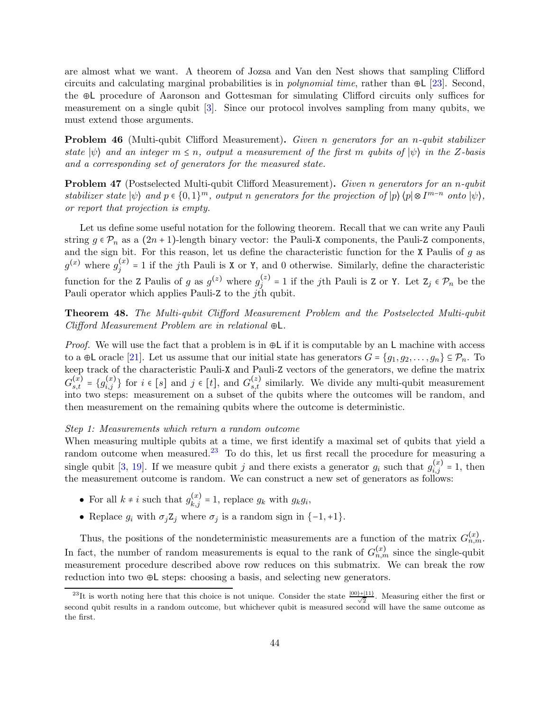are almost what we want. A theorem of Jozsa and Van den Nest shows that sampling Clifford circuits and calculating marginal probabilities is in *polynomial time*, rather than  $\oplus L$  [\[23\]](#page-36-14). Second, the ⊕L procedure of Aaronson and Gottesman for simulating Clifford circuits only suffices for measurement on a single qubit [\[3\]](#page-34-4). Since our protocol involves sampling from many qubits, we must extend those arguments.

Problem 46 (Multi-qubit Clifford Measurement). Given n generators for an n-qubit stabilizer state  $|\psi\rangle$  and an integer  $m \leq n$ , output a measurement of the first m qubits of  $|\psi\rangle$  in the Z-basis and a corresponding set of generators for the measured state.

Problem 47 (Postselected Multi-qubit Clifford Measurement). Given n generators for an n-qubit stabilizer state  $|\psi\rangle$  and  $p \in \{0,1\}^m$ , output n generators for the projection of  $|p\rangle \langle p| \otimes I^{m-n}$  onto  $|\psi\rangle$ , or report that projection is empty.

Let us define some useful notation for the following theorem. Recall that we can write any Pauli string  $g \in \mathcal{P}_n$  as a  $(2n+1)$ -length binary vector: the Pauli-X components, the Pauli-Z components, and the sign bit. For this reason, let us define the characteristic function for the  $X$  Paulis of  $g$  as  $g^{(x)}$  where  $g_j^{(x)} = 1$  if the jth Pauli is X or Y, and 0 otherwise. Similarly, define the characteristic function for the Z Paulis of g as  $g^{(z)}$  where  $g_j^{(z)} = 1$  if the jth Pauli is Z or Y. Let  $Z_j \in \mathcal{P}_n$  be the Pauli operator which applies Pauli-Z to the  $j$ th qubit.

<span id="page-43-0"></span>Theorem 48. The Multi-qubit Clifford Measurement Problem and the Postselected Multi-qubit Clifford Measurement Problem are in relational ⊕L.

*Proof.* We will use the fact that a problem is in  $\oplus L$  if it is computable by an L machine with access to a ⊕L oracle [\[21\]](#page-36-15). Let us assume that our initial state has generators  $G = \{g_1, g_2, \ldots, g_n\} \subseteq \mathcal{P}_n$ . To keep track of the characteristic Pauli-X and Pauli-Z vectors of the generators, we define the matrix  $G_{s,t}^{(x)} = \{g_{i,j}^{(x)}\}$  for  $i \in [s]$  and  $j \in [t]$ , and  $G_{s,t}^{(z)}$  similarly. We divide any multi-qubit measurement into two steps: measurement on a subset of the qubits where the outcomes will be random, and then measurement on the remaining qubits where the outcome is deterministic.

#### Step 1: Measurements which return a random outcome

When measuring multiple qubits at a time, we first identify a maximal set of qubits that yield a random outcome when measured.<sup>[23](#page-43-1)</sup> To do this, let us first recall the procedure for measuring a single qubit [\[3,](#page-34-4) [19\]](#page-35-12). If we measure qubit j and there exists a generator  $g_i$  such that  $g_{i,j}^{(x)} = 1$ , then the measurement outcome is random. We can construct a new set of generators as follows:

- For all  $k \neq i$  such that  $g_{k,j}^{(x)} = 1$ , replace  $g_k$  with  $g_k g_i$ ,
- Replace  $g_i$  with  $\sigma_j Z_j$  where  $\sigma_j$  is a random sign in {-1,+1}.

Thus, the positions of the nondeterministic measurements are a function of the matrix  $G_{n,m}^{(x)}$ . In fact, the number of random measurements is equal to the rank of  $G_{n,m}^{(x)}$  since the single-qubit measurement procedure described above row reduces on this submatrix. We can break the row reduction into two ⊕L steps: choosing a basis, and selecting new generators.

<span id="page-43-1"></span><sup>&</sup>lt;sup>23</sup>It is worth noting here that this choice is not unique. Consider the state  $\frac{|00\rangle+|11\rangle}{\sqrt{2}}$ . Measuring either the first or second qubit results in a random outcome, but whichever qubit is measured second will have the same outcome as the first.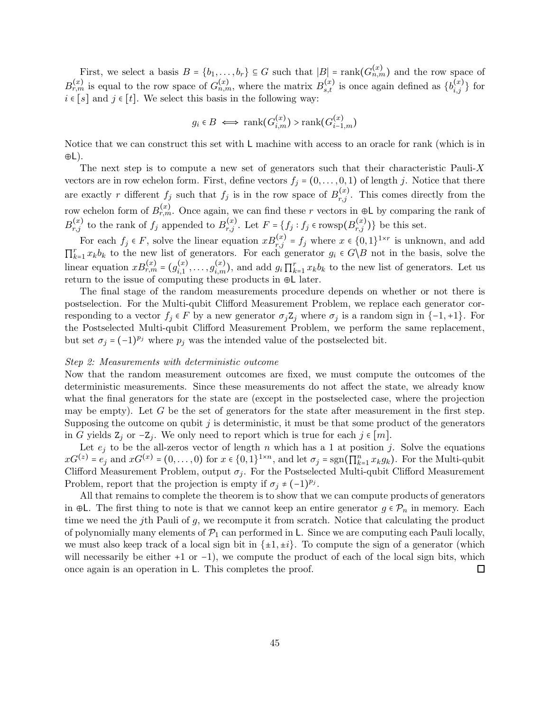First, we select a basis  $B = \{b_1, \ldots, b_r\} \subseteq G$  such that  $|B| = \text{rank}(G_{n,m}^{(x)})$  and the row space of  $B_{r,m}^{(x)}$  is equal to the row space of  $G_{n,m}^{(x)}$ , where the matrix  $B_{s,t}^{(x)}$  is once again defined as  $\{b_{i,j}^{(x)}\}$  for  $i \in [s]$  and  $j \in [t]$ . We select this basis in the following way:

$$
g_i \in B \iff \text{rank}(G_{i,m}^{(x)}) > \text{rank}(G_{i-1,m}^{(x)})
$$

Notice that we can construct this set with L machine with access to an oracle for rank (which is in ⊕L).

The next step is to compute a new set of generators such that their characteristic Pauli-X vectors are in row echelon form. First, define vectors  $f_j = (0, \ldots, 0, 1)$  of length j. Notice that there are exactly r different  $f_j$  such that  $f_j$  is in the row space of  $B_{r,j}^{(x)}$ . This comes directly from the row echelon form of  $B_{r,m}^{(x)}$ . Once again, we can find these r vectors in ⊕L by comparing the rank of  $B_{r,j}^{(x)}$  to the rank of  $f_j$  appended to  $B_{r,j}^{(x)}$ . Let  $F = \{f_j : f_j \in \text{rowsp}(B_{r,j}^{(x)})\}$  be this set.

For each  $f_j \in F$ , solve the linear equation  $xB_{r,j}^{(x)} = f_j$  where  $x \in \{0,1\}^{1 \times r}$  is unknown, and add  $\prod_{k=1}^r x_k b_k$  to the new list of generators. For each generator  $g_i \in G \backslash B$  not in the basis, solve the linear equation  $xB_{r,m}^{(x)} = (g_{i,1}^{(x)}, \ldots, g_{i,m}^{(x)})$ , and add  $g_i \prod_{k=1}^r x_k b_k$  to the new list of generators. Let us return to the issue of computing these products in ⊕L later.

The final stage of the random measurements procedure depends on whether or not there is postselection. For the Multi-qubit Clifford Measurement Problem, we replace each generator corresponding to a vector  $f_i \in F$  by a new generator  $\sigma_i \mathbb{Z}_i$  where  $\sigma_i$  is a random sign in  $\{-1, +1\}$ . For the Postselected Multi-qubit Clifford Measurement Problem, we perform the same replacement, but set  $\sigma_j$  =  $(-1)^{p_j}$  where  $p_j$  was the intended value of the postselected bit.

#### Step 2: Measurements with deterministic outcome

Now that the random measurement outcomes are fixed, we must compute the outcomes of the deterministic measurements. Since these measurements do not affect the state, we already know what the final generators for the state are (except in the postselected case, where the projection may be empty). Let  $G$  be the set of generators for the state after measurement in the first step. Supposing the outcome on qubit  $j$  is deterministic, it must be that some product of the generators in G yields  $Z_j$  or  $-Z_j$ . We only need to report which is true for each  $j \in [m]$ .

Let  $e_j$  to be the all-zeros vector of length n which has a 1 at position j. Solve the equations  $xG^{(z)} = e_j$  and  $xG^{(x)} = (0, \ldots, 0)$  for  $x \in \{0, 1\}^{1 \times n}$ , and let  $\sigma_j = \text{sgn}(\prod_{k=1}^n x_k g_k)$ . For the Multi-qubit Clifford Measurement Problem, output  $\sigma_i$ . For the Postselected Multi-qubit Clifford Measurement Problem, report that the projection is empty if  $\sigma_j \neq (-1)^{p_j}$ .

All that remains to complete the theorem is to show that we can compute products of generators in ⊕L. The first thing to note is that we cannot keep an entire generator  $g \in \mathcal{P}_n$  in memory. Each time we need the j<sup>th</sup> Pauli of  $g$ , we recompute it from scratch. Notice that calculating the product of polynomially many elements of  $\mathcal{P}_1$  can performed in L. Since we are computing each Pauli locally, we must also keep track of a local sign bit in  $\{\pm 1, \pm i\}$ . To compute the sign of a generator (which will necessarily be either  $+1$  or  $-1$ ), we compute the product of each of the local sign bits, which once again is an operation in L. This completes the proof. □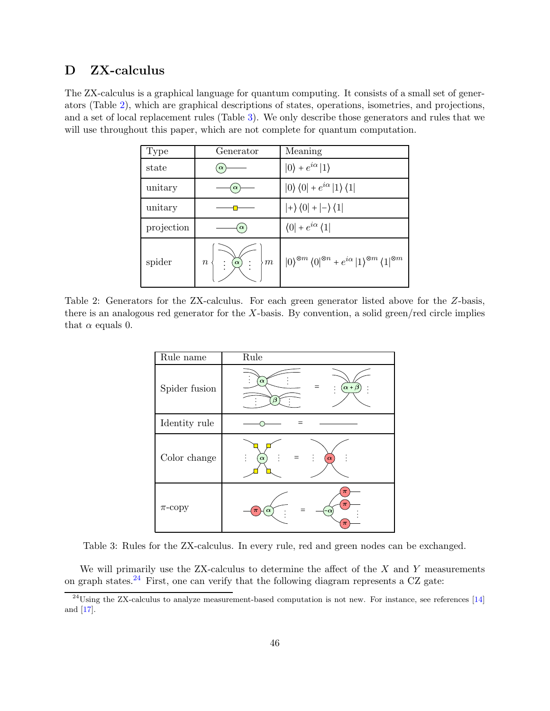# <span id="page-45-0"></span>D ZX-calculus

The ZX-calculus is a graphical language for quantum computing. It consists of a small set of generators (Table [2\)](#page-45-1), which are graphical descriptions of states, operations, isometries, and projections, and a set of local replacement rules (Table [3\)](#page-45-2). We only describe those generators and rules that we will use throughout this paper, which are not complete for quantum computation.

| Type       | Generator                                                           | Meaning                                                                                                                                                                |
|------------|---------------------------------------------------------------------|------------------------------------------------------------------------------------------------------------------------------------------------------------------------|
| state      | $\alpha$                                                            | $ 0\rangle + e^{i\alpha} 1\rangle$                                                                                                                                     |
| unitary    | $\alpha$                                                            | $ 0\rangle\langle 0  + e^{i\alpha}  1\rangle\langle 1 $                                                                                                                |
| unitary    |                                                                     | $\ket{+}(0\ket{+}\ket{-}\bra{1}$                                                                                                                                       |
| projection | $\alpha$                                                            | $\langle 0  + e^{i\alpha} \langle 1 $                                                                                                                                  |
| spider     | $\frac{1}{2}$ $\frac{1}{2}$ $\frac{1}{2}$<br>$\rangle$ $m$<br>$\,n$ | $\left\vert 0\right\rangle ^{\otimes m}\left\langle 0\right\vert ^{\otimes n}+e^{i\alpha}\left\vert 1\right\rangle ^{\otimes m}\left\langle 1\right\vert ^{\otimes m}$ |

<span id="page-45-1"></span>Table 2: Generators for the ZX-calculus. For each green generator listed above for the Z-basis, there is an analogous red generator for the X-basis. By convention, a solid green/red circle implies that  $\alpha$  equals 0.

| Rule name     | Rule                                    |
|---------------|-----------------------------------------|
| Spider fusion | $\alpha$<br>$\alpha + \beta$<br>$\beta$ |
| Identity rule |                                         |
| Color change  | $\pmb{\alpha}$<br>$\pmb{\alpha}$        |
| $\pi$ -copy   | $\pi$<br>$\pi$<br>$\alpha$<br>$\pi$     |

<span id="page-45-2"></span>Table 3: Rules for the ZX-calculus. In every rule, red and green nodes can be exchanged.

We will primarily use the  $ZX$ -calculus to determine the affect of the  $X$  and  $Y$  measurements on graph states.<sup>[24](#page-45-3)</sup> First, one can verify that the following diagram represents a CZ gate:

<span id="page-45-3"></span> $^{24}$ Using the ZX-calculus to analyze measurement-based computation is not new. For instance, see references [\[14\]](#page-35-8) and [\[17\]](#page-35-13).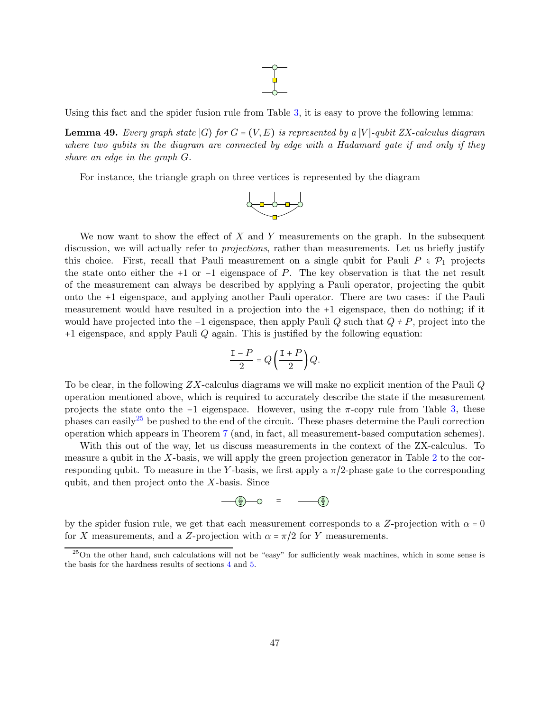# $\frac{1}{\sqrt{2}}$

<span id="page-46-1"></span>Using this fact and the spider fusion rule from Table [3,](#page-45-2) it is easy to prove the following lemma:

**Lemma 49.** Every graph state  $|G\rangle$  for  $G = (V, E)$  is represented by a  $|V\rangle$ -qubit ZX-calculus diagram where two qubits in the diagram are connected by edge with a Hadamard gate if and only if they share an edge in the graph G.

For instance, the triangle graph on three vertices is represented by the diagram



We now want to show the effect of  $X$  and  $Y$  measurements on the graph. In the subsequent discussion, we will actually refer to *projections*, rather than measurements. Let us briefly justify this choice. First, recall that Pauli measurement on a single qubit for Pauli  $P \in \mathcal{P}_1$  projects the state onto either the +1 or  $-1$  eigenspace of P. The key observation is that the net result of the measurement can always be described by applying a Pauli operator, projecting the qubit onto the +1 eigenspace, and applying another Pauli operator. There are two cases: if the Pauli measurement would have resulted in a projection into the +1 eigenspace, then do nothing; if it would have projected into the −1 eigenspace, then apply Pauli Q such that  $Q \neq P$ , project into the +1 eigenspace, and apply Pauli Q again. This is justified by the following equation:

$$
\frac{\mathbf{I} - P}{2} = Q\left(\frac{\mathbf{I} + P}{2}\right)Q.
$$

To be clear, in the following  $ZX$ -calculus diagrams we will make no explicit mention of the Pauli  $Q$ operation mentioned above, which is required to accurately describe the state if the measurement projects the state onto the  $-1$  eigenspace. However, using the  $\pi$ -copy rule from Table [3,](#page-45-2) these phases can easily<sup>[25](#page-46-0)</sup> be pushed to the end of the circuit. These phases determine the Pauli correction operation which appears in Theorem [7](#page-9-2) (and, in fact, all measurement-based computation schemes).

With this out of the way, let us discuss measurements in the context of the ZX-calculus. To measure a qubit in the X-basis, we will apply the green projection generator in Table [2](#page-45-1) to the corresponding qubit. To measure in the Y-basis, we first apply a  $\pi/2$ -phase gate to the corresponding qubit, and then project onto the  $X$ -basis. Since

$$
\frac{\pi}{2} - 0 = \frac{\pi}{2}
$$

by the spider fusion rule, we get that each measurement corresponds to a Z-projection with  $\alpha = 0$ for X measurements, and a Z-projection with  $\alpha = \pi/2$  for Y measurements.

<span id="page-46-0"></span> $25$ On the other hand, such calculations will not be "easy" for sufficiently weak machines, which in some sense is the basis for the hardness results of sections [4](#page-14-0) and [5.](#page-26-0)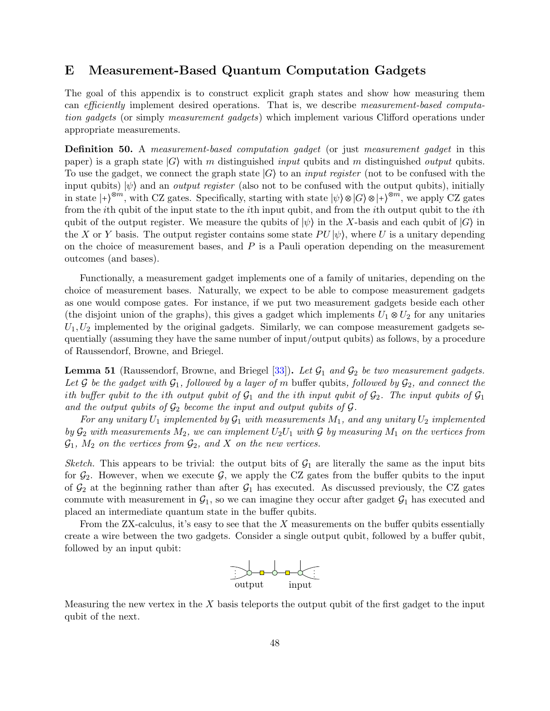# <span id="page-47-0"></span>E Measurement-Based Quantum Computation Gadgets

The goal of this appendix is to construct explicit graph states and show how measuring them can efficiently implement desired operations. That is, we describe measurement-based computation gadgets (or simply measurement gadgets) which implement various Clifford operations under appropriate measurements.

Definition 50. A measurement-based computation gadget (or just measurement gadget in this paper) is a graph state  $|G\rangle$  with m distinguished *input* qubits and m distinguished *output* qubits. To use the gadget, we connect the graph state  $|G\rangle$  to an *input register* (not to be confused with the input qubits)  $|\psi\rangle$  and an *output register* (also not to be confused with the output qubits), initially in state  $|+\rangle^{\otimes m}$ , with CZ gates. Specifically, starting with state  $|\psi\rangle \otimes |G\rangle \otimes |+\rangle^{\otimes m}$ , we apply CZ gates from the ith qubit of the input state to the ith input qubit, and from the ith output qubit to the ith qubit of the output register. We measure the qubits of  $|\psi\rangle$  in the X-basis and each qubit of  $|G\rangle$  in the X or Y basis. The output register contains some state  $PU|\psi\rangle$ , where U is a unitary depending on the choice of measurement bases, and  $P$  is a Pauli operation depending on the measurement outcomes (and bases).

Functionally, a measurement gadget implements one of a family of unitaries, depending on the choice of measurement bases. Naturally, we expect to be able to compose measurement gadgets as one would compose gates. For instance, if we put two measurement gadgets beside each other (the disjoint union of the graphs), this gives a gadget which implements  $U_1 \otimes U_2$  for any unitaries  $U_1, U_2$  implemented by the original gadgets. Similarly, we can compose measurement gadgets sequentially (assuming they have the same number of input/output qubits) as follows, by a procedure of Raussendorf, Browne, and Briegel.

**Lemma 51** (Raussendorf, Browne, and Briegel  $[33]$ ). Let  $\mathcal{G}_1$  and  $\mathcal{G}_2$  be two measurement gadgets. Let G be the gadget with  $G_1$ , followed by a layer of m buffer qubits, followed by  $G_2$ , and connect the ith buffer qubit to the ith output qubit of  $G_1$  and the ith input qubit of  $G_2$ . The input qubits of  $G_1$ and the output qubits of  $G_2$  become the input and output qubits of  $G$ .

For any unitary  $U_1$  implemented by  $\mathcal{G}_1$  with measurements  $M_1$ , and any unitary  $U_2$  implemented by  $G_2$  with measurements  $M_2$ , we can implement  $U_2U_1$  with G by measuring  $M_1$  on the vertices from  $\mathcal{G}_1$ ,  $M_2$  on the vertices from  $\mathcal{G}_2$ , and X on the new vertices.

Sketch. This appears to be trivial: the output bits of  $G_1$  are literally the same as the input bits for  $\mathcal{G}_2$ . However, when we execute  $\mathcal{G}$ , we apply the CZ gates from the buffer qubits to the input of  $\mathcal{G}_2$  at the beginning rather than after  $\mathcal{G}_1$  has executed. As discussed previously, the CZ gates commute with measurement in  $\mathcal{G}_1$ , so we can imagine they occur after gadget  $\mathcal{G}_1$  has executed and placed an intermediate quantum state in the buffer qubits.

From the  $ZX$ -calculus, it's easy to see that the  $X$  measurements on the buffer qubits essentially create a wire between the two gadgets. Consider a single output qubit, followed by a buffer qubit, followed by an input qubit:



Measuring the new vertex in the  $X$  basis teleports the output qubit of the first gadget to the input qubit of the next.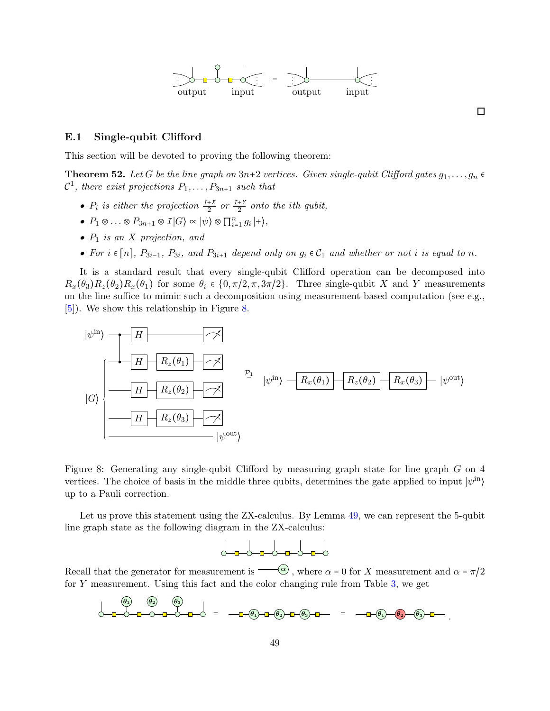

 $\Box$ 

#### E.1 Single-qubit Clifford

<span id="page-48-0"></span>This section will be devoted to proving the following theorem:

**Theorem 52.** Let G be the line graph on  $3n+2$  vertices. Given single-qubit Clifford gates  $g_1, \ldots, g_n \in$  $\mathcal{C}^1$ , there exist projections  $P_1, \ldots, P_{3n+1}$  such that

- $P_i$  is either the projection  $\frac{I+X}{2}$  or  $\frac{I+Y}{2}$  onto the ith qubit,
- $P_1 \otimes \ldots \otimes P_{3n+1} \otimes I |G\rangle \propto |\psi\rangle \otimes \prod_{i=1}^n g_i |+\rangle,$
- $P_1$  is an X projection, and
- For  $i \in [n]$ ,  $P_{3i-1}$ ,  $P_{3i}$ , and  $P_{3i+1}$  depend only on  $g_i \in C_1$  and whether or not i is equal to n.

It is a standard result that every single-qubit Clifford operation can be decomposed into  $R_x(\theta_3)R_z(\theta_2)R_x(\theta_1)$  for some  $\theta_i \in \{0, \pi/2, \pi, 3\pi/2\}$ . Three single-qubit X and Y measurements on the line suffice to mimic such a decomposition using measurement-based computation (see e.g., [\[5\]](#page-35-14)). We show this relationship in Figure [8.](#page-48-1)



<span id="page-48-1"></span>Figure 8: Generating any single-qubit Clifford by measuring graph state for line graph G on 4 vertices. The choice of basis in the middle three qubits, determines the gate applied to input  $|\psi^{in}\rangle$ up to a Pauli correction.

Let us prove this statement using the ZX-calculus. By Lemma [49,](#page-46-1) we can represent the 5-qubit line graph state as the following diagram in the ZX-calculus:

$$
\circ\hspace{-3.75pt}\circ\hspace{-3.75pt}\circ\hspace{-3.75pt}\circ\hspace{-3.75pt}\circ\hspace{-3.75pt}\circ\hspace{-3.75pt}\circ\hspace{-3.75pt}\circ\hspace{-3.75pt}\circ
$$

Recall that the generator for measurement is  $\overline{\alpha}$ , where  $\alpha = 0$  for X measurement and  $\alpha = \pi/2$ for Y measurement. Using this fact and the color changing rule from Table [3,](#page-45-2) we get

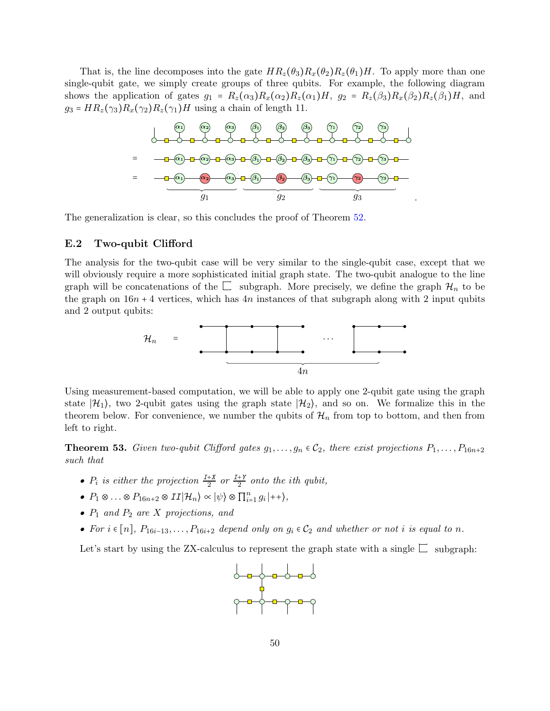That is, the line decomposes into the gate  $HR_z(\theta_3)R_x(\theta_2)R_z(\theta_1)H$ . To apply more than one single-qubit gate, we simply create groups of three qubits. For example, the following diagram shows the application of gates  $g_1 = R_z(\alpha_3)R_x(\alpha_2)R_z(\alpha_1)H$ ,  $g_2 = R_z(\beta_3)R_x(\beta_2)R_z(\beta_1)H$ , and  $g_3 = HR_z(\gamma_3)R_x(\gamma_2)R_z(\gamma_1)H$  using a chain of length 11.



The generalization is clear, so this concludes the proof of Theorem [52.](#page-48-0)

#### <span id="page-49-0"></span>E.2 Two-qubit Clifford

The analysis for the two-qubit case will be very similar to the single-qubit case, except that we will obviously require a more sophisticated initial graph state. The two-qubit analogue to the line graph will be concatenations of the  $\Box$  subgraph. More precisely, we define the graph  $\mathcal{H}_n$  to be the graph on  $16n + 4$  vertices, which has  $4n$  instances of that subgraph along with 2 input qubits and 2 output qubits:



Using measurement-based computation, we will be able to apply one 2-qubit gate using the graph state  $|\mathcal{H}_1\rangle$ , two 2-qubit gates using the graph state  $|\mathcal{H}_2\rangle$ , and so on. We formalize this in the theorem below. For convenience, we number the qubits of  $\mathcal{H}_n$  from top to bottom, and then from left to right.

<span id="page-49-1"></span>**Theorem 53.** Given two-qubit Clifford gates  $g_1, \ldots, g_n \in C_2$ , there exist projections  $P_1, \ldots, P_{16n+2}$ such that

- $P_i$  is either the projection  $\frac{I+X}{2}$  or  $\frac{I+Y}{2}$  onto the ith qubit,
- $P_1 \otimes \ldots \otimes P_{16n+2} \otimes II | \mathcal{H}_n \rangle \propto |\psi\rangle \otimes \prod_{i=1}^n g_i | ++ \rangle,$
- $P_1$  and  $P_2$  are X projections, and
- For  $i \in [n]$ ,  $P_{16i-13}, \ldots, P_{16i+2}$  depend only on  $g_i \in C_2$  and whether or not i is equal to n.

Let's start by using the ZX-calculus to represent the graph state with a single  $\Box$  subgraph:

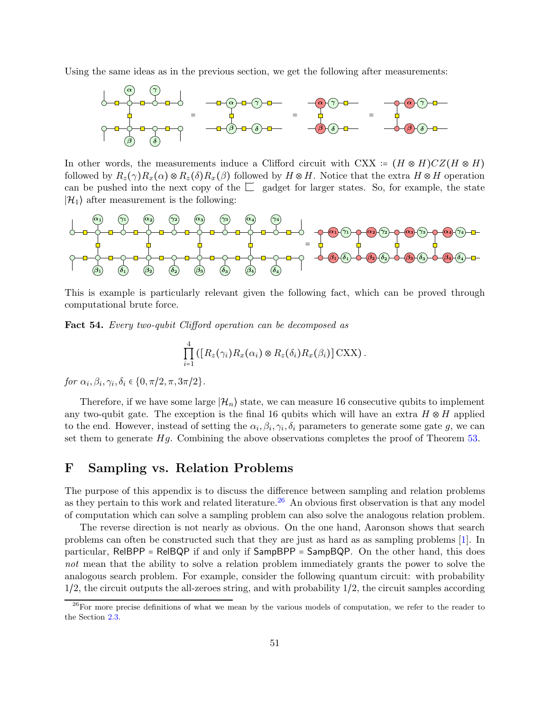Using the same ideas as in the previous section, we get the following after measurements:



In other words, the measurements induce a Clifford circuit with CXX :=  $(H \otimes H)CZ(H \otimes H)$ followed by  $R_z(\gamma)R_x(\alpha) \otimes R_z(\delta)R_x(\beta)$  followed by  $H \otimes H$ . Notice that the extra  $H \otimes H$  operation can be pushed into the next copy of the  $\Box$  gadget for larger states. So, for example, the state  $|\mathcal{H}_1\rangle$  after measurement is the following:



This is example is particularly relevant given the following fact, which can be proved through computational brute force.

Fact 54. Every two-qubit Clifford operation can be decomposed as

$$
\prod_{i=1}^4 ([R_z(\gamma_i)R_x(\alpha_i)\otimes R_z(\delta_i)R_x(\beta_i)]\text{CXX}).
$$

for  $\alpha_i, \beta_i, \gamma_i, \delta_i \in \{0, \pi/2, \pi, 3\pi/2\}.$ 

Therefore, if we have some large  $|\mathcal{H}_n\rangle$  state, we can measure 16 consecutive qubits to implement any two-qubit gate. The exception is the final 16 qubits which will have an extra  $H \otimes H$  applied to the end. However, instead of setting the  $\alpha_i, \beta_i, \gamma_i, \delta_i$  parameters to generate some gate g, we can set them to generate  $Hg$ . Combining the above observations completes the proof of Theorem  $53$ .

## <span id="page-50-0"></span>F Sampling vs. Relation Problems

The purpose of this appendix is to discuss the difference between sampling and relation problems as they pertain to this work and related literature.<sup>[26](#page-50-1)</sup> An obvious first observation is that any model of computation which can solve a sampling problem can also solve the analogous relation problem.

The reverse direction is not nearly as obvious. On the one hand, Aaronson shows that search problems can often be constructed such that they are just as hard as as sampling problems [\[1\]](#page-34-5). In particular, RelBPP = RelBQP if and only if SampBPP = SampBQP. On the other hand, this does not mean that the ability to solve a relation problem immediately grants the power to solve the analogous search problem. For example, consider the following quantum circuit: with probability 1/2, the circuit outputs the all-zeroes string, and with probability 1/2, the circuit samples according

<span id="page-50-1"></span><sup>&</sup>lt;sup>26</sup>For more precise definitions of what we mean by the various models of computation, we refer to the reader to the Section [2.3.](#page-9-0)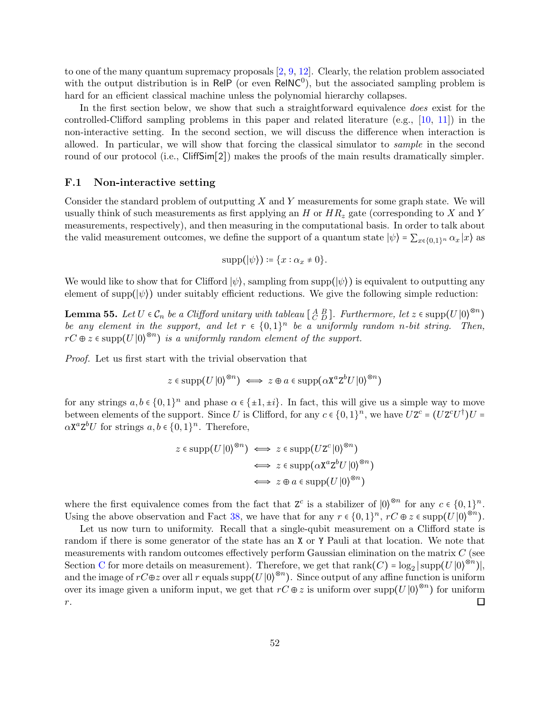to one of the many quantum supremacy proposals  $[2, 9, 12]$  $[2, 9, 12]$  $[2, 9, 12]$  $[2, 9, 12]$ . Clearly, the relation problem associated with the output distribution is in ReIP (or even ReINC<sup>0</sup>), but the associated sampling problem is hard for an efficient classical machine unless the polynomial hierarchy collapses.

In the first section below, we show that such a straightforward equivalence *does* exist for the controlled-Clifford sampling problems in this paper and related literature (e.g., [\[10,](#page-35-2) [11\]](#page-35-5)) in the non-interactive setting. In the second section, we will discuss the difference when interaction is allowed. In particular, we will show that forcing the classical simulator to sample in the second round of our protocol (i.e., CliffSim[2]) makes the proofs of the main results dramatically simpler.

#### F.1 Non-interactive setting

Consider the standard problem of outputting  $X$  and  $Y$  measurements for some graph state. We will usually think of such measurements as first applying an H or  $HR_z$  gate (corresponding to X and Y measurements, respectively), and then measuring in the computational basis. In order to talk about the valid measurement outcomes, we define the support of a quantum state  $|\psi\rangle = \sum_{x \in \{0,1\}^n} \alpha_x |x\rangle$  as

$$
supp(|\psi\rangle) \coloneqq \{x : \alpha_x \neq 0\}.
$$

<span id="page-51-0"></span>We would like to show that for Clifford  $|\psi\rangle$ , sampling from supp $(|\psi\rangle)$  is equivalent to outputting any element of supp $(\ket{\psi})$  under suitably efficient reductions. We give the following simple reduction:

**Lemma 55.** Let  $U \in \mathcal{C}_n$  be a Clifford unitary with tableau  $\begin{bmatrix} A & B \ C & D \end{bmatrix}$ . Furthermore, let  $z \in \text{supp}(U|0\rangle^{\otimes n})$ be any element in the support, and let  $r \in \{0,1\}^n$  be a uniformly random n-bit string. Then,  $rC \oplus z \in \text{supp}(U|0\rangle^{\otimes n})$  is a uniformly random element of the support.

Proof. Let us first start with the trivial observation that

$$
z \in \mathrm{supp}(U|0\rangle^{\otimes n}) \iff z \oplus a \in \mathrm{supp}(\alpha \mathtt{X}^a \mathtt{Z}^b U|0\rangle^{\otimes n})
$$

for any strings  $a, b \in \{0,1\}^n$  and phase  $\alpha \in \{\pm 1, \pm i\}$ . In fact, this will give us a simple way to move between elements of the support. Since U is Clifford, for any  $c \in \{0,1\}^n$ , we have  $UZ^c = (UZ^cU^{\dagger})U =$  $\alpha \mathbf{X}^a \mathbf{Z}^b U$  for strings  $a, b \in \{0, 1\}^n$ . Therefore,

$$
z \in \operatorname{supp}(U|0\rangle^{\otimes n}) \iff z \in \operatorname{supp}(UZ^{c}|0\rangle^{\otimes n})
$$
  

$$
\iff z \in \operatorname{supp}(\alpha X^{a}Z^{b}U|0\rangle^{\otimes n})
$$
  

$$
\iff z \oplus a \in \operatorname{supp}(U|0\rangle^{\otimes n})
$$

where the first equivalence comes from the fact that  $Z^c$  is a stabilizer of  $|0\rangle^{\otimes n}$  for any  $c \in \{0,1\}^n$ . Using the above observation and Fact [38,](#page-39-1) we have that for any  $r \in \{0,1\}^n$ ,  $rC \oplus z \in \text{supp}(U|0\rangle^{\otimes n})$ .

Let us now turn to uniformity. Recall that a single-qubit measurement on a Clifford state is random if there is some generator of the state has an X or Y Pauli at that location. We note that measurements with random outcomes effectively perform Gaussian elimination on the matrix  $C$  (see Section [C](#page-42-0) for more details on measurement). Therefore, we get that  $rank(C) = log_2 | supp(U|0)^{\otimes n}$ , and the image of  $rC \oplus z$  over all r equals supp $(U|0)^{\otimes n}$ ). Since output of any affine function is uniform over its image given a uniform input, we get that  $rC \oplus z$  is uniform over supp $(U|0\rangle^{\otimes n})$  for uniform  $\Box$ r.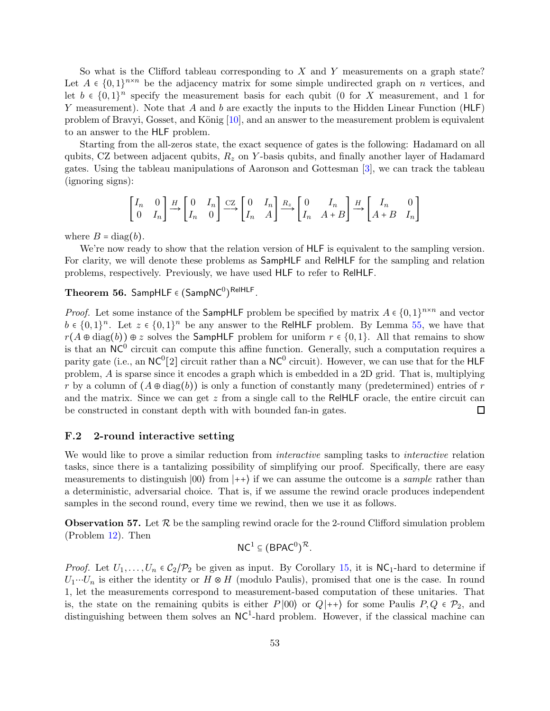So what is the Clifford tableau corresponding to  $X$  and  $Y$  measurements on a graph state? Let  $A \in \{0,1\}^{n \times n}$  be the adjacency matrix for some simple undirected graph on n vertices, and let  $b \in \{0,1\}^n$  specify the measurement basis for each qubit (0 for X measurement, and 1 for Y measurement). Note that A and b are exactly the inputs to the Hidden Linear Function  $(HLF)$ problem of Bravyi, Gosset, and König  $[10]$ , and an answer to the measurement problem is equivalent to an answer to the HLF problem.

Starting from the all-zeros state, the exact sequence of gates is the following: Hadamard on all qubits, CZ between adjacent qubits,  $R_z$  on Y-basis qubits, and finally another layer of Hadamard gates. Using the tableau manipulations of Aaronson and Gottesman [\[3\]](#page-34-4), we can track the tableau (ignoring signs):

$$
\begin{bmatrix} I_n & 0 \\ 0 & I_n \end{bmatrix} \xrightarrow{H} \begin{bmatrix} 0 & I_n \\ I_n & 0 \end{bmatrix} \xrightarrow{CZ} \begin{bmatrix} 0 & I_n \\ I_n & A \end{bmatrix} \xrightarrow{R_z} \begin{bmatrix} 0 & I_n \\ I_n & A+B \end{bmatrix} \xrightarrow{H} \begin{bmatrix} I_n & 0 \\ A+B & I_n \end{bmatrix}
$$

where  $B = diag(b)$ .

We're now ready to show that the relation version of HLF is equivalent to the sampling version. For clarity, we will denote these problems as SampHLF and RelHLF for the sampling and relation problems, respectively. Previously, we have used HLF to refer to RelHLF.

# <span id="page-52-0"></span>Theorem 56. SampHLF  $\epsilon$   $(\mathsf{SampNC}^0)^{\mathsf{ReIHLF}}$  .

*Proof.* Let some instance of the SampHLF problem be specified by matrix  $A \in \{0,1\}^{n \times n}$  and vector  $b \in \{0,1\}^n$ . Let  $z \in \{0,1\}^n$  be any answer to the ReIHLF problem. By Lemma [55,](#page-51-0) we have that  $r(A \oplus diag(b)) \oplus z$  solves the SampHLF problem for uniform  $r \in \{0,1\}$ . All that remains to show is that an  $NC^0$  circuit can compute this affine function. Generally, such a computation requires a parity gate (i.e., an  $NC^0[2]$  circuit rather than a  $NC^0$  circuit). However, we can use that for the HLF problem, A is sparse since it encodes a graph which is embedded in a 2D grid. That is, multiplying r by a column of  $(A \oplus diag(b))$  is only a function of constantly many (predetermined) entries of r and the matrix. Since we can get  $z$  from a single call to the ReIHLF oracle, the entire circuit can be constructed in constant depth with with bounded fan-in gates.  $\Box$ 

#### F.2 2-round interactive setting

We would like to prove a similar reduction from *interactive* sampling tasks to *interactive* relation tasks, since there is a tantalizing possibility of simplifying our proof. Specifically, there are easy measurements to distinguish  $|00\rangle$  from  $|++\rangle$  if we can assume the outcome is a *sample* rather than a deterministic, adversarial choice. That is, if we assume the rewind oracle produces independent samples in the second round, every time we rewind, then we use it as follows.

<span id="page-52-1"></span>**Observation 57.** Let  $\mathcal{R}$  be the sampling rewind oracle for the 2-round Clifford simulation problem (Problem [12\)](#page-14-2). Then

$$
\mathsf{NC}^1\subseteq (\mathsf{BPAC}^0)^\mathcal{R}.
$$

*Proof.* Let  $U_1, \ldots, U_n \in C_2/\mathcal{P}_2$  be given as input. By Corollary [15,](#page-16-1) it is  $\mathsf{NC}_1$ -hard to determine if  $U_1 \cdots U_n$  is either the identity or  $H \otimes H$  (modulo Paulis), promised that one is the case. In round 1, let the measurements correspond to measurement-based computation of these unitaries. That is, the state on the remaining qubits is either P |00) or  $Q|++\rangle$  for some Paulis P,  $Q \in \mathcal{P}_2$ , and distinguishing between them solves an  $NC<sup>1</sup>$ -hard problem. However, if the classical machine can